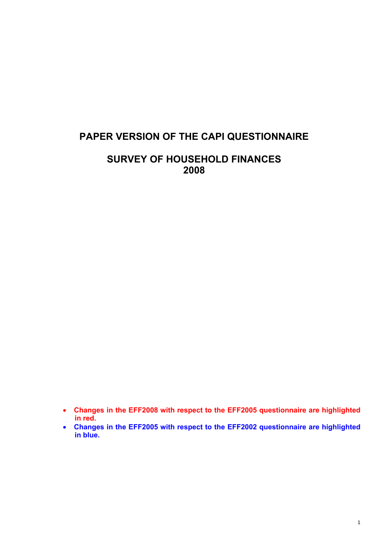# **PAPER VERSION OF THE CAPI QUESTIONNAIRE**

# **SURVEY OF HOUSEHOLD FINANCES 2008**

- **Changes in the EFF2008 with respect to the EFF2005 questionnaire are highlighted in red.**
- **Changes in the EFF2005 with respect to the EFF2002 questionnaire are highlighted in blue.**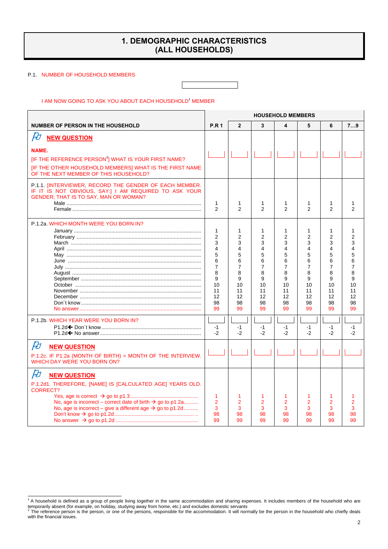## **1. DEMOGRAPHIC CHARACTERISTICS (ALL HOUSEHOLDS)**

#### P.1. NUMBER OF HOUSEHOLD MEMBERS

I AM NOW GOING TO ASK YOU ABOUT EACH HOUSEHOLD<sup>1</sup> MEMBER

|                                                                                                                                                                                                                                                                        | <b>HOUSEHOLD MEMBERS</b>                                                                                       |                                                                                      |                                                                                                   |                                                                                                            |                                                                                                            |                                                                                                                         |                                                                         |
|------------------------------------------------------------------------------------------------------------------------------------------------------------------------------------------------------------------------------------------------------------------------|----------------------------------------------------------------------------------------------------------------|--------------------------------------------------------------------------------------|---------------------------------------------------------------------------------------------------|------------------------------------------------------------------------------------------------------------|------------------------------------------------------------------------------------------------------------|-------------------------------------------------------------------------------------------------------------------------|-------------------------------------------------------------------------|
| <b>NUMBER OF PERSON IN THE HOUSEHOLD</b>                                                                                                                                                                                                                               | <b>P.R 1</b>                                                                                                   | $\overline{2}$                                                                       | 3                                                                                                 | 4                                                                                                          | 5                                                                                                          | 6                                                                                                                       | 79                                                                      |
| $\cancel{E}$<br><b>NEW QUESTION</b>                                                                                                                                                                                                                                    |                                                                                                                |                                                                                      |                                                                                                   |                                                                                                            |                                                                                                            |                                                                                                                         |                                                                         |
| NAME.<br>[IF THE REFERENCE PERSON <sup>2</sup> ] WHAT IS YOUR FIRST NAME?<br>[IF THE OTHER HOUSEHOLD MEMBERS] WHAT IS THE FIRST NAME<br>OF THE NEXT MEMBER OF THIS HOUSEHOLD?                                                                                          |                                                                                                                |                                                                                      |                                                                                                   |                                                                                                            |                                                                                                            |                                                                                                                         |                                                                         |
| P.1.1. [INTERVIEWER, RECORD THE GENDER OF EACH MEMBER.<br>IF IT IS NOT OBVIOUS, SAY:] I AM REQUIRED TO ASK YOUR<br><b>GENDER: THAT IS TO SAY, MAN OR WOMAN?</b>                                                                                                        | 1<br>2                                                                                                         | 1<br>2                                                                               | $\mathbf{1}$<br>2                                                                                 | 1<br>$\overline{2}$                                                                                        | 1<br>$\mathfrak{p}$                                                                                        | 1<br>$\overline{2}$                                                                                                     | $\mathfrak{p}$                                                          |
| P.1.2a. WHICH MONTH WERE YOU BORN IN?                                                                                                                                                                                                                                  | 1<br>$\overline{2}$<br>3<br>$\overline{4}$<br>5<br>6<br>$\overline{7}$<br>8<br>9<br>10<br>11<br>12<br>98<br>99 | 1<br>$\overline{2}$<br>3<br>4<br>5<br>6<br>7<br>8<br>9<br>10<br>11<br>12<br>98<br>99 | 1<br>$\overline{2}$<br>3<br>4<br>5<br>6<br>$\overline{7}$<br>8<br>9<br>10<br>11<br>12<br>98<br>99 | 1<br>$\overline{2}$<br>3<br>$\overline{\mathbf{4}}$<br>5<br>6<br>7<br>8<br>9<br>10<br>11<br>12<br>98<br>99 | 1<br>$\overline{2}$<br>3<br>$\overline{\mathbf{4}}$<br>5<br>6<br>7<br>8<br>9<br>10<br>11<br>12<br>98<br>99 | 1<br>$\overline{2}$<br>3<br>$\overline{\mathbf{A}}$<br>5<br>6<br>$\overline{7}$<br>8<br>9<br>10<br>11<br>12<br>98<br>99 | 1<br>2<br>3<br>4<br>5<br>6<br>7<br>8<br>9<br>10<br>11<br>12<br>98<br>99 |
| P.1.2b. WHICH YEAR WERE YOU BORN IN?                                                                                                                                                                                                                                   | $-1$<br>$-2$                                                                                                   | $-1$<br>$-2$                                                                         | $-1$<br>$-2$                                                                                      | $-1$<br>$-2$                                                                                               | $-1$<br>$-2$                                                                                               | $-1$<br>$-2$                                                                                                            | $-1$<br>$-2$                                                            |
| $\cancel{E}$<br><b>NEW QUESTION</b><br>P.1.2c. IF P1.2a (MONTH OF BIRTH) = MONTH OF THE INTERVIEW.<br><b>WHICH DAY WERE YOU BORN ON?</b>                                                                                                                               |                                                                                                                |                                                                                      |                                                                                                   |                                                                                                            |                                                                                                            |                                                                                                                         |                                                                         |
| $\cancel{E}$<br><b>NEW QUESTION</b><br>P.1.2d1. THEREFORE, [NAME] IS [CALCULATED AGE] YEARS OLD.<br><b>CORRECT?</b><br>No, age is incorrect – correct date of birth $\rightarrow$ go to p1.2a<br>No, age is incorrect – give a different age $\rightarrow$ go to p1.2d | 1<br>$\overline{2}$<br>3<br>98<br>99                                                                           | 1<br>$\overline{2}$<br>3<br>98<br>99                                                 | 1<br>$\overline{2}$<br>3<br>98<br>99                                                              | 1<br>2<br>3<br>98<br>99                                                                                    | 1<br>$\overline{2}$<br>3<br>98<br>99                                                                       | 1<br>$\overline{2}$<br>3<br>98<br>99                                                                                    | $\overline{2}$<br>3<br>98<br>99                                         |

<sup>1&</sup>lt;br>The household is defined as a group of people living together in the same accommodation and sharing expenses. It includes members of the household who are temporarily absent (for example, on holiday, studying away from home, etc.) and excludes domestic servants<br><sup>2</sup> The reference person is the person, or one of the persons, responsible for the accommodation. It will normally

with the financial issues.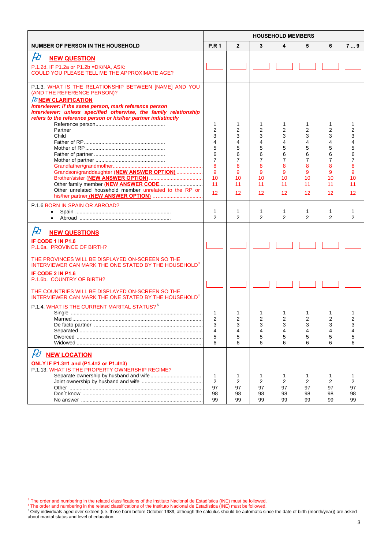|                                                                                                                                    | <b>HOUSEHOLD MEMBERS</b> |                      |                     |                     |                     |                     |          |
|------------------------------------------------------------------------------------------------------------------------------------|--------------------------|----------------------|---------------------|---------------------|---------------------|---------------------|----------|
| <b>NUMBER OF PERSON IN THE HOUSEHOLD</b>                                                                                           | <b>P.R1</b>              | $\overline{2}$       | 3                   | 4                   | 5                   | 6                   | 79       |
| $\cancel{E}$<br><b>NEW QUESTION</b>                                                                                                |                          |                      |                     |                     |                     |                     |          |
| P.1.2d. IF P1.2a or P1.2b = DK/NA, ASK:                                                                                            |                          |                      |                     |                     |                     |                     |          |
| COULD YOU PLEASE TELL ME THE APPROXIMATE AGE?                                                                                      |                          |                      |                     |                     |                     |                     |          |
| P.1.3. WHAT IS THE RELATIONSHIP BETWEEN [NAME] AND YOU                                                                             |                          |                      |                     |                     |                     |                     |          |
| (AND THE REFERENCE PERSON)?<br><b><i><b>D</b></i> NEW CLARIFICATION</b>                                                            |                          |                      |                     |                     |                     |                     |          |
| Interviewer: if the same person, mark reference person                                                                             |                          |                      |                     |                     |                     |                     |          |
| Interviewer: unless specified otherwise, the family relationship<br>refers to the reference person or his/her partner indistinctly |                          |                      |                     |                     |                     |                     |          |
|                                                                                                                                    | 1                        | 1                    | 1                   | 1                   | 1                   | 1                   |          |
| Partner<br>Child                                                                                                                   | $\overline{2}$<br>3      | 2<br>3               | 2<br>3              | 2<br>3              | 2<br>3              | $\overline{2}$<br>3 |          |
|                                                                                                                                    | 4                        | 4                    | 4                   | 4                   | 4                   | 4                   |          |
|                                                                                                                                    | 5                        | 5                    | 5                   | 5                   | 5                   | 5                   |          |
|                                                                                                                                    | 6<br>$\overline{7}$      | 6<br>$\overline{7}$  | 6<br>7              | 6<br>$\overline{7}$ | 6<br>$\overline{7}$ | 6<br>7              |          |
|                                                                                                                                    | 8                        | 8                    | 8                   | 8                   | 8                   | 8                   |          |
| Grandson/granddaughter (NEW ANSWER OPTION)                                                                                         | 9                        | 9                    | 9                   | 9                   | 9                   | 9                   |          |
|                                                                                                                                    | 10<br>11                 | 10<br>11             | 10<br>11            | 10<br>11            | 10<br>11            | 10<br>11            | 10<br>11 |
| Other unrelated household member unrelated to the RP or                                                                            | 12                       |                      |                     |                     |                     |                     |          |
|                                                                                                                                    |                          | 12                   | 12                  | 12                  | 12                  | 12                  | 12       |
| P.1.6 BORN IN SPAIN OR ABROAD?                                                                                                     |                          |                      |                     |                     |                     |                     |          |
| $\bullet$                                                                                                                          | 1<br>$\mathfrak{p}$      | $\mathbf{1}$<br>2    | 1<br>$\overline{2}$ | 1<br>$\mathcal{P}$  | 1<br>2              | 1<br>$\overline{2}$ | 2        |
|                                                                                                                                    |                          |                      |                     |                     |                     |                     |          |
| $\cancel{E}$<br><b>NEW QUESTIONS</b>                                                                                               |                          |                      |                     |                     |                     |                     |          |
| IF CODE 1 IN P1.6                                                                                                                  |                          |                      |                     |                     |                     |                     |          |
| P.1.6a. PROVINCE OF BIRTH?                                                                                                         |                          |                      |                     |                     |                     |                     |          |
| THE PROVINCES WILL BE DISPLAYED ON-SCREEN SO THE<br>INTERVIEWER CAN MARK THE ONE STATED BY THE HOUSEHOLD <sup>3</sup>              |                          |                      |                     |                     |                     |                     |          |
| IF CODE 2 IN P1.6                                                                                                                  |                          |                      |                     |                     |                     |                     |          |
| P.1.6b. COUNTRY OF BIRTH?                                                                                                          |                          |                      |                     |                     |                     |                     |          |
| THE COUNTRIES WILL BE DISPLAYED ON-SCREEN SO THE                                                                                   |                          |                      |                     |                     |                     |                     |          |
| INTERVIEWER CAN MARK THE ONE STATED BY THE HOUSEHOLD <sup>4</sup>                                                                  |                          |                      |                     |                     |                     |                     |          |
| P.1.4. WHAT IS THE CURRENT MARITAL STATUS? <sup>5</sup>                                                                            |                          |                      |                     |                     |                     |                     |          |
|                                                                                                                                    | 1<br>$\overline{2}$      | -1<br>$\overline{2}$ | 1<br>$\overline{2}$ | 1<br>$\overline{2}$ | 1<br>$\overline{2}$ | 1<br>2              |          |
|                                                                                                                                    | 3                        | 3                    | 3                   | 3                   | 3                   | 3                   | 3        |
|                                                                                                                                    | 4                        | 4                    | 4                   | 4                   | 4                   | 4                   |          |
|                                                                                                                                    | 5<br>6                   | 5<br>6               | 5<br>6              | 5<br>6              | 5<br>6              | 5<br>6              | 6        |
|                                                                                                                                    |                          |                      |                     |                     |                     |                     |          |
| $\cancel{E}$<br><b>NEW LOCATION</b>                                                                                                |                          |                      |                     |                     |                     |                     |          |
| ONLY IF P1.3=1 and (P1.4=2 or P1.4=3)<br>P.1.13. WHAT IS THE PROPERTY OWNERSHIP REGIME?                                            |                          |                      |                     |                     |                     |                     |          |
|                                                                                                                                    | 1                        | 1                    | 1                   | 1                   | 1                   | 1                   |          |
|                                                                                                                                    | 2                        | 2                    | 2                   | 2                   | 2                   | 2                   | 2        |
|                                                                                                                                    | 97<br>98                 | 97<br>98             | 97<br>98            | 97<br>98            | 97<br>98            | 97<br>98            | 97<br>98 |
|                                                                                                                                    | 99                       | 99                   | 99                  | 99                  | 99                  | 99                  | 99       |

<sup>&</sup>lt;sup>3</sup> The order and numbering in the related classifications of the Instituto Nacional de Estadística (INE) must be followed.<br><sup>4</sup> The order and numbering in the related classifications of the Instituto Nacional de Estadístic about marital status and level of education.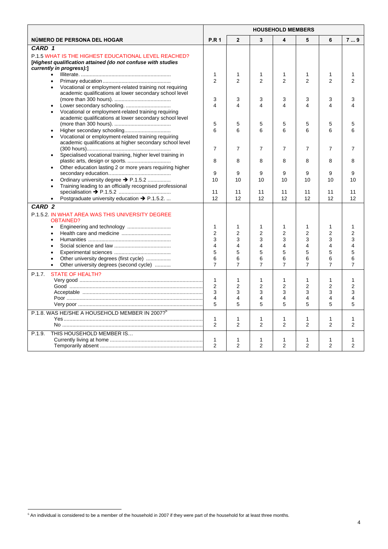|                                                                                                                                                         | <b>HOUSEHOLD MEMBERS</b>     |                     |                     |                              |                     |                     |                     |
|---------------------------------------------------------------------------------------------------------------------------------------------------------|------------------------------|---------------------|---------------------|------------------------------|---------------------|---------------------|---------------------|
| NUMERO DE PERSONA DEL HOGAR                                                                                                                             | <b>P.R1</b>                  | $\mathbf{2}$        | 3                   | 4                            | 5                   | 6                   | 79                  |
| CARD 1                                                                                                                                                  |                              |                     |                     |                              |                     |                     |                     |
| <b>P.1.5 WHAT IS THE HIGHEST EDUCATIONAL LEVEL REACHED?</b><br>[Highest qualification attained (do not confuse with studies<br>currently in progress):] |                              |                     |                     |                              |                     |                     |                     |
| $\bullet$                                                                                                                                               | $\mathbf{1}$                 | 1                   | 1                   | 1                            | 1                   | 1                   | 1                   |
| $\bullet$<br>Vocational or employment-related training not requiring<br>$\bullet$<br>academic qualifications at lower secondary school level            | $\mathfrak{p}$               | $\mathfrak{p}$      | $\mathfrak{p}$      | $\overline{2}$               | $\mathcal{P}$       | $\mathfrak{p}$      | $\mathfrak{p}$      |
|                                                                                                                                                         | 3                            | 3                   | 3                   | 3                            | 3                   | 3                   | 3                   |
| Vocational or employment-related training requiring<br>academic qualifications at lower secondary school level                                          | $\overline{\mathbf{4}}$<br>5 | 4<br>5              | 4<br>5              | $\overline{\mathbf{4}}$<br>5 | 4<br>5              | $\overline{4}$<br>5 | Δ                   |
|                                                                                                                                                         | 6                            | 6                   | 6                   | 6                            | 6                   | 6                   | 5<br>6              |
| Vocational or employment-related training requiring<br>academic qualifications at higher secondary school level                                         | $\overline{7}$               | 7                   | $\overline{7}$      | $\overline{7}$               | $\overline{7}$      | $\overline{7}$      | 7                   |
| Specialised vocational training, higher level training in                                                                                               |                              |                     |                     |                              |                     |                     |                     |
| Other education lasting 2 or more years requiring higher<br>$\bullet$                                                                                   | 8                            | 8                   | 8                   | 8                            | 8                   | 8                   | 8                   |
|                                                                                                                                                         | 9                            | 9                   | 9                   | 9                            | 9                   | 9                   | 9                   |
| Ordinary university degree → P.1.5.2<br>$\bullet$<br>Training leading to an officially recognised professional<br>$\bullet$                             | 10                           | 10                  | 10                  | 10                           | 10                  | 10                  | 10                  |
| Postgraduate university education → P.1.5.2.<br>$\bullet$                                                                                               | 11<br>12                     | 11<br>12            | 11<br>12            | 11<br>12                     | 11<br>12            | 11<br>12            | 11<br>12            |
| CARD <sub>2</sub>                                                                                                                                       |                              |                     |                     |                              |                     |                     |                     |
| P.1.5.2 IN WHAT AREA WAS THIS UNIVERSITY DEGREE<br><b>OBTAINED?</b>                                                                                     |                              |                     |                     |                              |                     |                     |                     |
| $\bullet$                                                                                                                                               | $\mathbf{1}$                 | 1                   | $\mathbf 1$         | 1                            | 1                   | $\mathbf{1}$        | 1                   |
| $\bullet$                                                                                                                                               | $\overline{2}$               | $\overline{2}$      | $\overline{2}$      | $\overline{2}$               | $\overline{2}$      | $\overline{2}$      | $\overline{2}$      |
|                                                                                                                                                         | 3                            | 3                   | 3                   | 3                            | 3                   | 3                   | 3                   |
|                                                                                                                                                         | 4                            | 4                   | 4                   | $\overline{\mathbf{4}}$      | 4                   | 4                   | 4                   |
| $\bullet$                                                                                                                                               | 5                            | 5                   | 5                   | 5                            | 5                   | 5                   | 5                   |
| Other university degrees (first cycle)<br>$\bullet$<br>Other university degrees (second cycle)                                                          | 6<br>$\overline{7}$          | 6<br>$\overline{7}$ | 6<br>$\overline{7}$ | 6<br>$\overline{7}$          | 6<br>$\overline{7}$ | 6<br>$\overline{7}$ | 6<br>$\overline{7}$ |
| <b>STATE OF HEALTH?</b><br>P.1.7.                                                                                                                       | $\mathbf{1}$                 | 1                   | $\mathbf{1}$        | 1                            | 1                   | $\mathbf{1}$        | 1                   |
|                                                                                                                                                         | 2                            | $\overline{2}$      | $\overline{2}$      | $\overline{2}$               | $\overline{2}$      | $\overline{2}$      | $\overline{2}$      |
|                                                                                                                                                         | 3                            | 3                   | 3                   | 3                            | 3                   | 3                   | 3                   |
|                                                                                                                                                         | $\overline{4}$               | 4                   | 4                   | 4                            | 4                   | 4                   | 4                   |
|                                                                                                                                                         | 5                            | 5                   | 5                   | 5                            | 5                   | 5                   | 5                   |
| P.1.8. WAS HE/SHE A HOUSEHOLD MEMBER IN 2007? <sup>6</sup>                                                                                              |                              |                     |                     |                              |                     |                     |                     |
|                                                                                                                                                         | 1<br>2                       | 1<br>$\overline{2}$ | 1<br>$\overline{2}$ | 1<br>$\overline{2}$          | 1<br>2              | 1<br>$\overline{2}$ | 1<br>2              |
| THIS HOUSEHOLD MEMBER IS<br>P.1.9.                                                                                                                      | $\mathbf{1}$<br>2            | 1<br>$\overline{2}$ | 1<br>$\overline{2}$ | 1<br>$\overline{2}$          | 1<br>$\overline{2}$ | 1<br>$\overline{2}$ | 1<br>$\overline{2}$ |

 $\overline{a}$ 

 $6$  An individual is considered to be a member of the household in 2007 if they were part of the household for at least three months.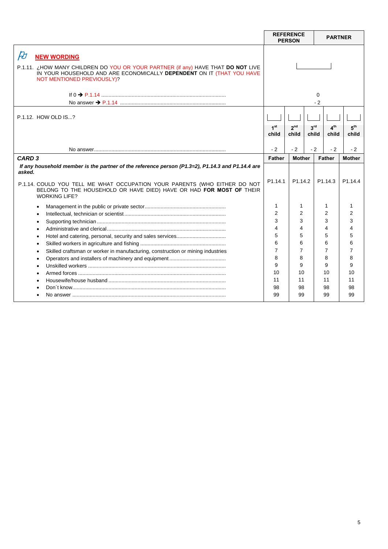|                                                                                                                                                                                                                                                                                        |                            | <b>REFERENCE</b><br><b>PERSON</b> |                          | <b>PARTNER</b>           |                          |
|----------------------------------------------------------------------------------------------------------------------------------------------------------------------------------------------------------------------------------------------------------------------------------------|----------------------------|-----------------------------------|--------------------------|--------------------------|--------------------------|
| $\beta t$<br><b>NEW WORDING</b><br>P.1.11. ¿HOW MANY CHILDREN DO YOU OR YOUR PARTNER (if any) HAVE THAT DO NOT LIVE<br>IN YOUR HOUSEHOLD AND ARE ECONOMICALLY DEPENDENT ON IT (THAT YOU HAVE<br>NOT MENTIONED PREVIOUSLY)?                                                             |                            |                                   |                          | 0<br>$-2$                |                          |
| P.1.12. HOW OLD IS?                                                                                                                                                                                                                                                                    | 1 <sup>st</sup><br>child   | 2 <sup>nd</sup><br>child          | 3 <sup>rd</sup><br>child | 4 <sup>th</sup><br>child | 5 <sup>th</sup><br>child |
|                                                                                                                                                                                                                                                                                        | $-2$                       | $-2$                              | $-2$                     | $-2$                     | $-2$                     |
| CARD <sub>3</sub>                                                                                                                                                                                                                                                                      | <b>Father</b>              | <b>Mother</b>                     |                          | <b>Father</b>            | <b>Mother</b>            |
| If any household member is the partner of the reference person (P1.3=2), P1.14.3 and P1.14.4 are<br>asked.<br>P.1.14. COULD YOU TELL ME WHAT OCCUPATION YOUR PARENTS (WHO EITHER DO NOT<br>BELONG TO THE HOUSEHOLD OR HAVE DIED) HAVE OR HAD FOR MOST OF THEIR<br><b>WORKING LIFE?</b> | P <sub>1.14.1</sub>        | P <sub>1.14.2</sub>               |                          | P1.14.3                  | P <sub>1.14.4</sub>      |
|                                                                                                                                                                                                                                                                                        | 1                          | 1                                 |                          | 1                        | 1                        |
|                                                                                                                                                                                                                                                                                        | 2                          | 2                                 |                          | 2                        | $\overline{2}$           |
|                                                                                                                                                                                                                                                                                        | 3<br>$\boldsymbol{\Delta}$ | 3<br>4                            |                          | 3<br>4                   | 3<br>4                   |
|                                                                                                                                                                                                                                                                                        | 5                          | 5                                 |                          | 5                        | 5                        |
|                                                                                                                                                                                                                                                                                        | 6                          | 6                                 |                          | 6                        | 6                        |
| Skilled craftsman or worker in manufacturing, construction or mining industries                                                                                                                                                                                                        | $\overline{7}$             | $\overline{7}$                    |                          | 7                        | 7                        |
|                                                                                                                                                                                                                                                                                        | 8                          | 8                                 |                          | 8                        | 8                        |
|                                                                                                                                                                                                                                                                                        | 9                          | 9                                 |                          | 9                        | 9                        |
|                                                                                                                                                                                                                                                                                        | 10                         | 10                                |                          | 10                       | 10                       |
|                                                                                                                                                                                                                                                                                        | 11                         | 11                                |                          | 11                       | 11                       |
|                                                                                                                                                                                                                                                                                        | 98<br>99                   | 98<br>99                          |                          | 98<br>99                 | 98<br>99                 |
|                                                                                                                                                                                                                                                                                        |                            |                                   |                          |                          |                          |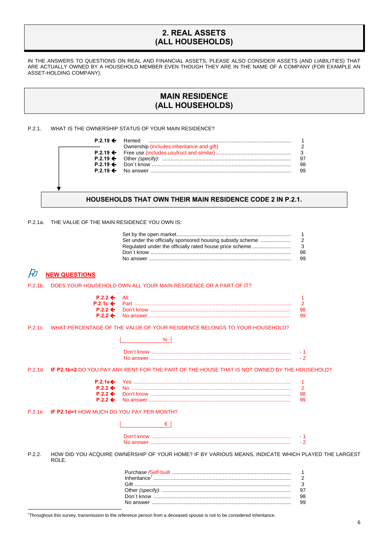## **2. REAL ASSETS (ALL HOUSEHOLDS)**

IN THE ANSWERS TO QUESTIONS ON REAL AND FINANCIAL ASSETS, PLEASE ALSO CONSIDER ASSETS (AND LIABILITIES) THAT ARE ACTUALLY OWNED BY A HOUSEHOLD MEMBER EVEN THOUGH THEY ARE IN THE NAME OF A COMPANY (FOR EXAMPLE AN ASSET-HOLDING COMPANY).

## **MAIN RESIDENCE (ALL HOUSEHOLDS)**

P.2.1. WHAT IS THE OWNERSHIP STATUS OF YOUR MAIN RESIDENCE?

|  | Ownership (includes inheritance and gift) |    |
|--|-------------------------------------------|----|
|  |                                           |    |
|  |                                           |    |
|  |                                           | 98 |
|  |                                           | 99 |
|  |                                           |    |
|  |                                           |    |
|  |                                           |    |

### **HOUSEHOLDS THAT OWN THEIR MAIN RESIDENCE CODE 2 IN P.2.1.**

P.2.1a. THE VALUE OF THE MAIN RESIDENCE YOU OWN IS:

| 98. |
|-----|
| 99. |

# $\cancel{F}$  NEW QUESTIONS

 $\overline{a}$ 

P.2.1b. DOES YOUR HOUSEHOLD OWN ALL YOUR MAIN RESIDENCE OR A PART OF IT?

 $\overline{\phantom{a}}$ 

| $P.2.2 \leftarrow$ All |     |
|------------------------|-----|
|                        |     |
|                        | 98. |
|                        | 99. |

P.2.1c. WHAT PERCENTAGE OF THE VALUE OF YOUR RESIDENCE BELONGS TO YOUR HOUSEHOLD?

P.2.1d. **IF P2.1b=2** DO YOU PAY ANY RENT FOR THE PART OF THE HOUSE THAT IS NOT OWNED BY THE HOUSEHOLD?

|  | 98. |
|--|-----|
|  | 99  |

#### P.2.1e. **IF P2.1d=1** HOW MUCH DO YOU PAY PER MONTH?

P.2.2. HOW DID YOU ACQUIRE OWNERSHIP OF YOUR HOME? IF BY VARIOUS MEANS, INDICATE WHICH PLAYED THE LARGEST ROLE.

7 Throughout this survey, transmission to the reference person from a deceased spouse is not to be considered inheritance.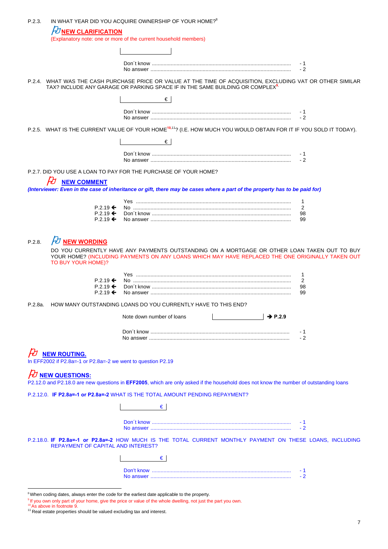| P.2.3. | IN WHAT YEAR DID YOU ACQUIRE OWNERSHIP OF YOUR HOME? <sup>8</sup>                                                                                                                                       |                           |  |                     |                                                                                                                                                                                                                       |
|--------|---------------------------------------------------------------------------------------------------------------------------------------------------------------------------------------------------------|---------------------------|--|---------------------|-----------------------------------------------------------------------------------------------------------------------------------------------------------------------------------------------------------------------|
|        | <b><i>O</i></b> NEW CLARIFICATION<br>(Explanatory note: one or more of the current household members)                                                                                                   |                           |  |                     |                                                                                                                                                                                                                       |
|        |                                                                                                                                                                                                         |                           |  |                     |                                                                                                                                                                                                                       |
|        |                                                                                                                                                                                                         |                           |  |                     | - 1<br>$-2$                                                                                                                                                                                                           |
|        | P.2.4. WHAT WAS THE CASH PURCHASE PRICE OR VALUE AT THE TIME OF ACQUISITION, EXCLUDING VAT OR OTHER SIMILAR<br>TAX? INCLUDE ANY GARAGE OR PARKING SPACE IF IN THE SAME BUILDING OR COMPLEX <sup>9</sup> |                           |  |                     |                                                                                                                                                                                                                       |
|        |                                                                                                                                                                                                         | €                         |  |                     |                                                                                                                                                                                                                       |
|        |                                                                                                                                                                                                         |                           |  |                     | - 1<br>$-2$                                                                                                                                                                                                           |
|        | P.2.5. WHAT IS THE CURRENT VALUE OF YOUR HOME <sup>10,11</sup> ? (I.E. HOW MUCH YOU WOULD OBTAIN FOR IT IF YOU SOLD IT TODAY).                                                                          |                           |  |                     |                                                                                                                                                                                                                       |
|        |                                                                                                                                                                                                         | €                         |  |                     |                                                                                                                                                                                                                       |
|        |                                                                                                                                                                                                         |                           |  |                     | - 1<br>$-2$                                                                                                                                                                                                           |
|        | P.2.7. DID YOU USE A LOAN TO PAY FOR THE PURCHASE OF YOUR HOME?                                                                                                                                         |                           |  |                     |                                                                                                                                                                                                                       |
|        | <b>NEW COMMENT</b>                                                                                                                                                                                      |                           |  |                     |                                                                                                                                                                                                                       |
|        | (Interviewer: Even in the case of inheritance or gift, there may be cases where a part of the property has to be paid for)                                                                              |                           |  |                     |                                                                                                                                                                                                                       |
|        | $P.2.19 \leftarrow$                                                                                                                                                                                     |                           |  |                     | 1<br>2                                                                                                                                                                                                                |
|        | $P.2.19 \leftarrow$<br>$P.2.19 \leftarrow$                                                                                                                                                              |                           |  |                     | 98<br>99                                                                                                                                                                                                              |
| P.2.8. | $H$ NEW WORDING<br>TO BUY YOUR HOME)?<br>$P.2.19 \leftarrow$<br>$P.2.19 \leftarrow$<br>$P.2.19 \leftarrow$                                                                                              |                           |  |                     | DO YOU CURRENTLY HAVE ANY PAYMENTS OUTSTANDING ON A MORTGAGE OR OTHER LOAN TAKEN OUT TO BUY<br>YOUR HOME? (INCLUDING PAYMENTS ON ANY LOANS WHICH MAY HAVE REPLACED THE ONE ORIGINALLY TAKEN OUT<br>1<br>2<br>98<br>99 |
|        | P.2.8a. HOW MANY OUTSTANDING LOANS DO YOU CURRENTLY HAVE TO THIS END?                                                                                                                                   |                           |  |                     |                                                                                                                                                                                                                       |
|        |                                                                                                                                                                                                         | Note down number of loans |  | $\rightarrow$ P.2.9 |                                                                                                                                                                                                                       |
|        |                                                                                                                                                                                                         |                           |  |                     | - 1<br>- 2                                                                                                                                                                                                            |
|        | <b>NEW ROUTING.</b><br>In EFF2002 if P2.8a=-1 or P2.8a=-2 we went to question P2.19                                                                                                                     |                           |  |                     |                                                                                                                                                                                                                       |
|        | ${\cal H}$ NEW QUESTIONS:<br>P2.12.0 and P2.18.0 are new questions in EFF2005, which are only asked if the household does not know the number of outstanding loans                                      |                           |  |                     |                                                                                                                                                                                                                       |
|        | P.2.12.0. IF P2.8a=-1 or P2.8a=-2 WHAT IS THE TOTAL AMOUNT PENDING REPAYMENT?                                                                                                                           |                           |  |                     |                                                                                                                                                                                                                       |
|        |                                                                                                                                                                                                         | €                         |  |                     |                                                                                                                                                                                                                       |
|        |                                                                                                                                                                                                         |                           |  |                     | - 1<br>$-2$                                                                                                                                                                                                           |
|        | P.2.18.0. IF P2.8a=-1 or P2.8a=-2 HOW MUCH IS THE TOTAL CURRENT MONTHLY PAYMENT ON THESE LOANS, INCLUDING<br><b>REPAYMENT OF CAPITAL AND INTEREST?</b>                                                  |                           |  |                     |                                                                                                                                                                                                                       |
|        |                                                                                                                                                                                                         | €                         |  |                     |                                                                                                                                                                                                                       |
|        |                                                                                                                                                                                                         |                           |  |                     | - 1<br>$-2$                                                                                                                                                                                                           |
|        |                                                                                                                                                                                                         |                           |  |                     |                                                                                                                                                                                                                       |

 $8$ When coding dates, always enter the code for the earliest date applicable to the property.

<sup>&</sup>lt;sup>9</sup> If you own only part of your home, give the price or value of the whole dwelling, not just the part you own.

 $10$  As above in footnote 9.<br><sup>11</sup> Real estate properties should be valued excluding tax and interest.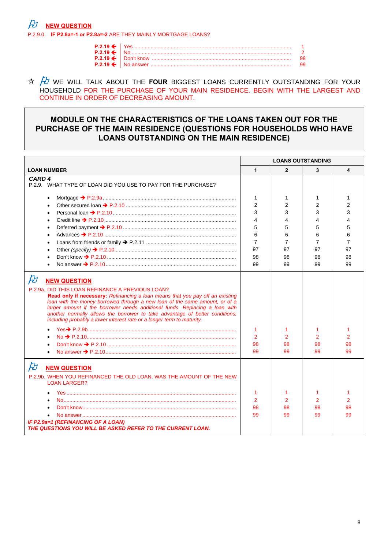**NEW QUESTION** 

P.2.9.0. IF P2.8a=-1 or P2.8a=-2 ARE THEY MAINLY MORTGAGE LOANS?

|  | - 98 |
|--|------|
|  | - 99 |

 $\frac{A}{A}$  we will talk about the **FOUR** BIGGEST LOANS CURRENTLY OUTSTANDING FOR YOUR HOUSEHOLD FOR THE PURCHASE OF YOUR MAIN RESIDENCE. BEGIN WITH THE LARGEST AND CONTINUE IN ORDER OF DECREASING AMOUNT.

## MODULE ON THE CHARACTERISTICS OF THE LOANS TAKEN OUT FOR THE PURCHASE OF THE MAIN RESIDENCE (QUESTIONS FOR HOUSEHOLDS WHO HAVE **LOANS OUTSTANDING ON THE MAIN RESIDENCE)**

|                                                                                                                                                                                                                                                                                                                                                                                                                                                                                                         |                                 |                    | <b>LOANS OUTSTANDING</b> |                    |
|---------------------------------------------------------------------------------------------------------------------------------------------------------------------------------------------------------------------------------------------------------------------------------------------------------------------------------------------------------------------------------------------------------------------------------------------------------------------------------------------------------|---------------------------------|--------------------|--------------------------|--------------------|
| <b>LOAN NUMBER</b>                                                                                                                                                                                                                                                                                                                                                                                                                                                                                      | 1                               | $\overline{2}$     | 3                        | 4                  |
| CARD <sub>4</sub><br>P.2.9. WHAT TYPE OF LOAN DID YOU USE TO PAY FOR THE PURCHASE?                                                                                                                                                                                                                                                                                                                                                                                                                      |                                 |                    |                          |                    |
| $\bullet$<br>$\bullet$                                                                                                                                                                                                                                                                                                                                                                                                                                                                                  | 1<br>$\overline{2}$             | 1<br>2             | 1<br>2                   | 1<br>2             |
| $\bullet$<br>$\bullet$                                                                                                                                                                                                                                                                                                                                                                                                                                                                                  | 3<br>4                          | 3<br>4             | 3<br>4                   | 3                  |
| $\bullet$<br>$\bullet$                                                                                                                                                                                                                                                                                                                                                                                                                                                                                  | 5<br>6                          | 5<br>6             | 5<br>6                   | 5<br>6             |
| $\bullet$                                                                                                                                                                                                                                                                                                                                                                                                                                                                                               | $\overline{7}$                  | 7                  | 7                        | 7                  |
| $\bullet$<br>$\bullet$                                                                                                                                                                                                                                                                                                                                                                                                                                                                                  | 97<br>98                        | 97<br>98           | 97<br>98                 | 97<br>98           |
| $\bullet$                                                                                                                                                                                                                                                                                                                                                                                                                                                                                               | 99                              | 99                 | 99                       | 99                 |
| $\cancel{E}$<br><b>NEW QUESTION</b><br>P.2.9a. DID THIS LOAN REFINANCE A PREVIOUS LOAN?<br><b>Read only if necessary:</b> Refinancing a loan means that you pay off an existing<br>loan with the money borrowed through a new loan of the same amount, or of a<br>larger amount if the borrower needs additional funds. Replacing a loan with<br>another normally allows the borrower to take advantage of better conditions,<br>including probably a lower interest rate or a longer term to maturity. | 1<br>2<br>98<br>99              | 1<br>2<br>98<br>99 | 1<br>2<br>98<br>99       | 1<br>2<br>98<br>99 |
| $\cancel{E}$<br><b>NEW QUESTION</b><br>P.2.9b. WHEN YOU REFINANCED THE OLD LOAN, WAS THE AMOUNT OF THE NEW<br><b>LOAN LARGER?</b><br>$\bullet$<br>IF P2.9a=1 (REFINANCING OF A LOAN)<br>THE QUESTIONS YOU WILL BE ASKED REFER TO THE CURRENT LOAN.                                                                                                                                                                                                                                                      | 1<br>$\overline{2}$<br>98<br>99 | 1<br>2<br>98<br>99 | 1<br>2<br>98<br>99       | 2<br>98<br>99      |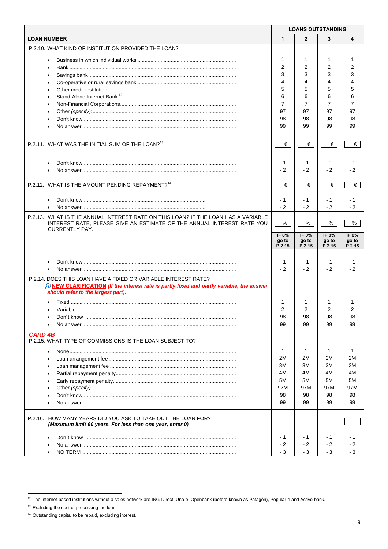|                                                                                                                                                                                      | <b>LOANS OUTSTANDING</b> |                   |                |                |
|--------------------------------------------------------------------------------------------------------------------------------------------------------------------------------------|--------------------------|-------------------|----------------|----------------|
| <b>LOAN NUMBER</b>                                                                                                                                                                   | $\mathbf{1}$             | $\overline{2}$    | 3              | 4              |
| P.2.10. WHAT KIND OF INSTITUTION PROVIDED THE LOAN?                                                                                                                                  |                          |                   |                |                |
|                                                                                                                                                                                      | 1                        | 1                 | 1              |                |
| $\bullet$                                                                                                                                                                            | $\overline{2}$           | 2                 | $\overline{2}$ | 2              |
|                                                                                                                                                                                      | 3                        | 3                 | 3              |                |
|                                                                                                                                                                                      | 4                        | 4                 | 4              |                |
|                                                                                                                                                                                      | 5                        | 5                 | 5              |                |
| $\bullet$<br>$\bullet$                                                                                                                                                               | 6                        | 6                 | 6              | 6              |
| $\bullet$                                                                                                                                                                            | $\overline{7}$           | 7                 | 7              | 7              |
| $\bullet$                                                                                                                                                                            | 97                       | 97                | 97             | 97             |
| $\bullet$                                                                                                                                                                            | 98                       | 98                | 98             | 98             |
|                                                                                                                                                                                      | 99                       | 99                | 99             | 99             |
|                                                                                                                                                                                      |                          |                   |                |                |
| P.2.11. WHAT WAS THE INITIAL SUM OF THE LOAN? <sup>13</sup>                                                                                                                          | €                        | €                 | €              | €              |
|                                                                                                                                                                                      | - 1                      | - 1               | $-1$           | - 1            |
| $\bullet$                                                                                                                                                                            | $-2$                     | $-2$              | $-2$           | - 2            |
|                                                                                                                                                                                      |                          |                   |                |                |
| P.2.12. WHAT IS THE AMOUNT PENDING REPAYMENT? <sup>14</sup>                                                                                                                          | $\epsilon$               | €                 | €              | €              |
|                                                                                                                                                                                      | - 1                      | - 1               | $-1$           | - 1            |
|                                                                                                                                                                                      | $-2$                     | $-2$              | $-2$           | $-2$           |
| P.2.13. WHAT IS THE ANNUAL INTEREST RATE ON THIS LOAN? IF THE LOAN HAS A VARIABLE<br>INTEREST RATE, PLEASE GIVE AN ESTIMATE OF THE ANNUAL INTEREST RATE YOU<br><b>CURRENTLY PAY.</b> | %                        | %                 | %              | %              |
|                                                                                                                                                                                      | IF 0%<br>go to           | IF $0\%$<br>go to | IF 0%<br>go to | IF 0%<br>go to |
|                                                                                                                                                                                      | P.2.15                   | P.2.15            | P.2.15         | P.2.15         |
|                                                                                                                                                                                      |                          |                   |                |                |
|                                                                                                                                                                                      | - 1                      | - 1               | $-1$           | - 1            |
|                                                                                                                                                                                      | $-2$                     | $-2$              | $-2$           | $-2$           |
| P.2.14. DOES THIS LOAN HAVE A FIXED OR VARIABLE INTEREST RATE?<br>$\beta$ NEW CLARIFICATION (If the interest rate is partly fixed and partly variable, the answer                    |                          |                   |                |                |
| should refer to the largest part).                                                                                                                                                   |                          |                   |                |                |
|                                                                                                                                                                                      | 1                        | 1                 | 1              |                |
|                                                                                                                                                                                      | $\overline{2}$           | 2                 | 2              | 2              |
|                                                                                                                                                                                      | 98                       | 98                | 98             | 98             |
|                                                                                                                                                                                      | 99                       | 99                | 99             | 99             |
| <b>CARD 4B</b><br>P.2.15. WHAT TYPE OF COMMISSIONS IS THE LOAN SUBJECT TO?                                                                                                           |                          |                   |                |                |
| $\bullet$                                                                                                                                                                            | 1                        | 1                 | 1              | 1              |
|                                                                                                                                                                                      | 2M                       | 2M                | 2M             | 2M             |
| $\bullet$                                                                                                                                                                            | ЗM                       | ЗM                | 3M             | 3M             |
| $\bullet$                                                                                                                                                                            | 4M                       | 4M                | 4M             | 4M             |
| $\bullet$                                                                                                                                                                            | 5M                       | 5M                | 5M             | 5M             |
|                                                                                                                                                                                      | 97M                      | 97M               | 97M            | 97M            |
|                                                                                                                                                                                      | 98                       | 98                | 98             | 98             |
|                                                                                                                                                                                      | 99                       | 99                | 99             | 99             |
| P.2.16. HOW MANY YEARS DID YOU ASK TO TAKE OUT THE LOAN FOR?<br>(Maximum limit 60 years. For less than one year, enter 0)                                                            |                          |                   |                |                |
|                                                                                                                                                                                      | $-1$                     | - 1               | $-1$           | - 1            |
|                                                                                                                                                                                      | - 2                      | $-2$              | $-2$           | - 2            |
| $\bullet$                                                                                                                                                                            | - 3                      | - 3               | - 3            | - 3            |

 $\overline{a}$ 

<sup>&</sup>lt;sup>12</sup> The internet-based institutions without a sales network are ING-Direct, Uno-e, Openbank (before known as Patagón), Popular-e and Activo-bank.

 $13$  Excluding the cost of processing the loan.

<sup>&</sup>lt;sup>14</sup> Outstanding capital to be repaid, excluding interest.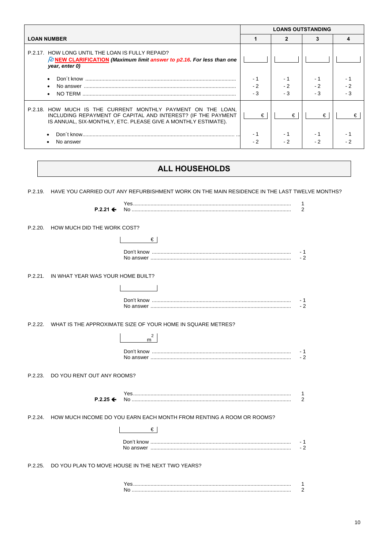|                                                                                                                                                                                               | <b>LOANS OUTSTANDING</b> |            |             |  |
|-----------------------------------------------------------------------------------------------------------------------------------------------------------------------------------------------|--------------------------|------------|-------------|--|
| <b>LOAN NUMBER</b>                                                                                                                                                                            |                          |            |             |  |
| P.2.17. HOW LONG UNTIL THE LOAN IS FULLY REPAID?<br>$\beta$ NEW CLARIFICATION (Maximum limit answer to p2.16. For less than one<br>year, enter 0)                                             |                          |            |             |  |
| $\bullet$<br>$\bullet$<br>$\bullet$                                                                                                                                                           | $-2$<br>- 3              | - 1<br>- 3 | $-2$<br>- 3 |  |
| P.2.18. HOW MUCH IS THE CURRENT MONTHLY PAYMENT ON THE LOAN,<br>INCLUDING REPAYMENT OF CAPITAL AND INTEREST? (IF THE PAYMENT<br>IS ANNUAL, SIX-MONTHLY, ETC. PLEASE GIVE A MONTHLY ESTIMATE). | €                        | €          | €           |  |
| No answer                                                                                                                                                                                     | - 1<br>- 2               | - 1<br>- 2 | $-2$        |  |

## ALL HOUSEHOLDS

P.2.19. HAVE YOU CARRIED OUT ANY REFURBISHMENT WORK ON THE MAIN RESIDENCE IN THE LAST TWELVE MONTHS?

|         | $P.2.21 \leftarrow$               |                                                                      | 1<br>2             |
|---------|-----------------------------------|----------------------------------------------------------------------|--------------------|
| P.2.20. | HOW MUCH DID THE WORK COST?       |                                                                      |                    |
|         |                                   | €                                                                    |                    |
|         |                                   |                                                                      | - 1<br>$-2$        |
| P.2.21. | IN WHAT YEAR WAS YOUR HOME BUILT? |                                                                      |                    |
|         |                                   |                                                                      |                    |
|         |                                   |                                                                      | - 1<br>$-2$        |
|         |                                   | P.2.22. WHAT IS THE APPROXIMATE SIZE OF YOUR HOME IN SQUARE METRES?  |                    |
|         |                                   | 2<br>m                                                               |                    |
|         |                                   |                                                                      | - 1<br>$-2$        |
| P.2.23. | DO YOU RENT OUT ANY ROOMS?        |                                                                      |                    |
|         | $P.2.25 \leftarrow$               |                                                                      | 1<br>$\mathcal{P}$ |
| P.2.24. |                                   | HOW MUCH INCOME DO YOU EARN EACH MONTH FROM RENTING A ROOM OR ROOMS? |                    |
|         |                                   | €                                                                    |                    |
|         |                                   |                                                                      | - 1<br>$-2$        |
| P.2.25. |                                   | DO YOU PLAN TO MOVE HOUSE IN THE NEXT TWO YEARS?                     |                    |
|         |                                   | Yes.                                                                 | 1.                 |

 $\overline{2}$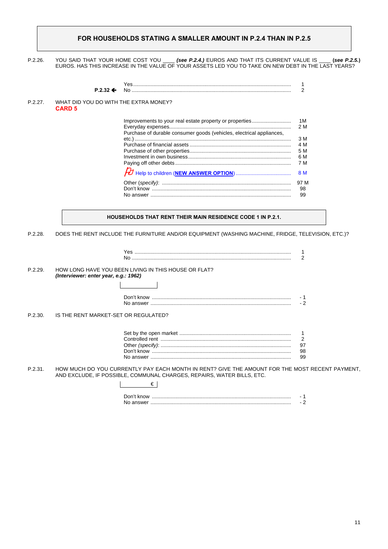### **FOR HOUSEHOLDS STATING A SMALLER AMOUNT IN P.2.4 THAN IN P.2.5**

P.2.26. YOU SAID THAT YOUR HOME COST YOU \_\_\_\_ *(see P.2.4.)* EUROS AND THAT ITS CURRENT VALUE IS \_\_\_\_ **(***see P.2.5.***)**  EUROS. HAS THIS INCREASE IN THE VALUE OF YOUR ASSETS LED YOU TO TAKE ON NEW DEBT IN THE LAST YEARS?

|         |               | $P.2.32 \leftarrow$ | Yes.<br>No.                                                          | 2                                                   |
|---------|---------------|---------------------|----------------------------------------------------------------------|-----------------------------------------------------|
| P.2.27. | <b>CARD 5</b> |                     | WHAT DID YOU DO WITH THE EXTRA MONEY?                                |                                                     |
|         |               |                     | Purchase of durable consumer goods (vehicles, electrical appliances, | 1M<br>2 M<br>3 M<br>4 M<br>5 M<br>6 M<br>7 M<br>8 M |
|         |               |                     |                                                                      | 97 M<br>98<br>99                                    |

**HOUSEHOLDS THAT RENT THEIR MAIN RESIDENCE CODE 1 IN P.2.1.** 

P.2.28. DOES THE RENT INCLUDE THE FURNITURE AND/OR EQUIPMENT (WASHING MACHINE, FRIDGE, TELEVISION, ETC.)?

P.2.29. HOW LONG HAVE YOU BEEN LIVING IN THIS HOUSE OR FLAT? *(Interviewer: enter year, e.g.: 1962)* 

| Don't know |  |
|------------|--|
| No answer. |  |

P.2.30. IS THE RENT MARKET-SET OR REGULATED?

| 99. |
|-----|

P.2.31. HOW MUCH DO YOU CURRENTLY PAY EACH MONTH IN RENT? GIVE THE AMOUNT FOR THE MOST RECENT PAYMENT, AND EXCLUDE, IF POSSIBLE, COMMUNAL CHARGES, REPAIRS, WATER BILLS, ETC.

| Don't know |  |
|------------|--|
|            |  |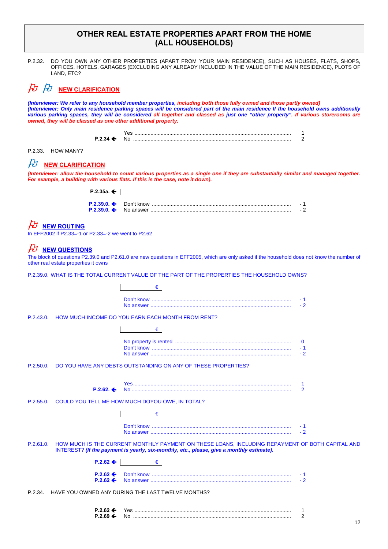## **OTHER REAL ESTATE PROPERTIES APART FROM THE HOME (ALL HOUSEHOLDS)**

P.2.32. DO YOU OWN ANY OTHER PROPERTIES (APART FROM YOUR MAIN RESIDENCE), SUCH AS HOUSES, FLATS, SHOPS, OFFICES, HOTELS, GARAGES (EXCLUDING ANY ALREADY INCLUDED IN THE VALUE OF THE MAIN RESIDENCE), PLOTS OF LAND, ETC?

## $\cancel{P}$   $\cancel{P}$  **NEW CLARIFICATION**

*(Interviewer: We refer to any household member properties, including both those fully owned and those partly owned) (Interviewer: Only main residence parking spaces will be considered part of the main residence If the household owns additionally various parking spaces, they will be considered all together and classed as just one "other property". If various storerooms are owned, they will be classed as one other additional property.* 

| M |  |
|---|--|

P.2.33. HOW MANY?

# $\not\!\!\! D$  **NEW CLARIFICATION**

*(Interviewer: allow the household to count various properties as a single one if they are substantially similar and managed together. For example, a building with various flats. If this is the case, note it down).* 

| P.2.35a. ← $\blacksquare$ |  |
|---------------------------|--|
|                           |  |
|                           |  |

## **NEW ROUTING**

In EFF2002 if P2.33=-1 or P2.33=-2 we went to P2.62

## *HU* NEW QUESTIONS

The block of questions P2.39.0 and P2.61.0 are new questions in EFF2005, which are only asked if the household does not know the number of other real estate properties it owns

P.2.39.0. WHAT IS THE TOTAL CURRENT VALUE OF THE PART OF THE PROPERTIES THE HOUSEHOLD OWNS?

|           | €                                                                                                                                                                                            |
|-----------|----------------------------------------------------------------------------------------------------------------------------------------------------------------------------------------------|
|           | - 1<br>$-2$                                                                                                                                                                                  |
|           | P.2.43.0. HOW MUCH INCOME DO YOU EARN EACH MONTH FROM RENT?                                                                                                                                  |
|           | €                                                                                                                                                                                            |
|           | $-2$                                                                                                                                                                                         |
| P.2.50.0. | DO YOU HAVE ANY DEBTS OUTSTANDING ON ANY OF THESE PROPERTIES?                                                                                                                                |
|           | 1<br>$\overline{2}$<br>$P.2.62 \div$                                                                                                                                                         |
|           | P.2.55.0. COULD YOU TELL ME HOW MUCH DOYOU OWE, IN TOTAL?                                                                                                                                    |
|           | €                                                                                                                                                                                            |
|           | - 1<br>$-2$                                                                                                                                                                                  |
| P.2.61.0. | HOW MUCH IS THE CURRENT MONTHLY PAYMENT ON THESE LOANS, INCLUDING REPAYMENT OF BOTH CAPITAL AND<br>INTEREST? (If the payment is yearly, six-monthly, etc., please, give a monthly estimate). |
|           | €<br>$P.2.62 \Leftrightarrow$                                                                                                                                                                |
|           | $P.2.62 \leftarrow$<br>- 1<br>$P.2.62 \Leftrightarrow$<br>$-2$                                                                                                                               |
| P.2.34    | HAVE YOU OWNED ANY DURING THE LAST TWELVE MONTHS?                                                                                                                                            |

| <b>P 2 62 9</b> |     |  |
|-----------------|-----|--|
| P 2 69          | 'NL |  |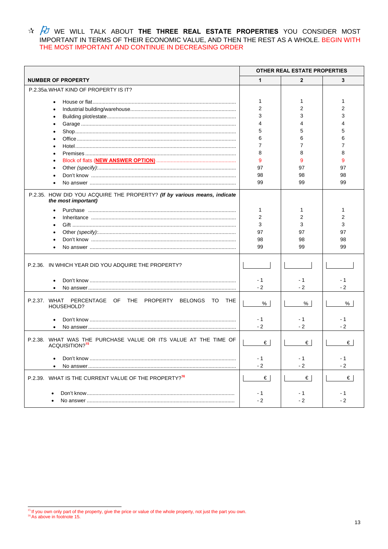$\frac{A}{A}$  we will talk about the three real estate properties you consider most important in terms of their economic value, and then the rest as a whole. Begin with THE MOST IMPORTANT AND CONTINUE IN DECREASING ORDER

|                                                                                                 |                     | OTHER REAL ESTATE PROPERTIES |              |
|-------------------------------------------------------------------------------------------------|---------------------|------------------------------|--------------|
| <b>NUMBER OF PROPERTY</b>                                                                       | 1                   | $\overline{2}$               | 3            |
| P.2.35a. WHAT KIND OF PROPERTY IS IT?                                                           |                     |                              |              |
|                                                                                                 | 1<br>$\overline{2}$ | 1<br>2                       | 1<br>2       |
|                                                                                                 | 3                   | 3                            | 3            |
|                                                                                                 |                     | 4                            |              |
|                                                                                                 | 5                   | 5                            | 5            |
|                                                                                                 | 6                   | 6                            | 6            |
|                                                                                                 | 7                   | 7                            |              |
|                                                                                                 | 8                   | 8                            | 8            |
|                                                                                                 |                     |                              |              |
|                                                                                                 | 9                   | 9                            | 9            |
|                                                                                                 | 97                  | 97                           | 97           |
|                                                                                                 | 98                  | 98                           | 98           |
|                                                                                                 | 99                  | 99                           | 99           |
| P.2.35. HOW DID YOU ACQUIRE THE PROPERTY? (If by various means, indicate<br>the most important) |                     |                              |              |
|                                                                                                 | 1                   | 1                            | 1            |
|                                                                                                 | 2                   | 2                            | 2            |
|                                                                                                 | 3                   | 3                            | 3            |
|                                                                                                 | 97                  | 97                           | 97           |
|                                                                                                 | 98                  | 98                           | 98           |
|                                                                                                 | 99                  | 99                           | 99           |
| P.2.36. IN WHICH YEAR DID YOU ADQUIRE THE PROPERTY?                                             |                     |                              |              |
|                                                                                                 | $-1$<br>$-2$        | - 1<br>$-2$                  | - 1<br>$-2$  |
|                                                                                                 |                     |                              |              |
| P.2.37. WHAT PERCENTAGE OF THE PROPERTY BELONGS TO THE<br>HOUSEHOLD?                            | %                   | %                            | %            |
|                                                                                                 | $-1$<br>$-2$        | - 1<br>$-2$                  | - 1<br>$-2$  |
| P.2.38. WHAT WAS THE PURCHASE VALUE OR ITS VALUE AT THE TIME OF<br>ACQUISITION? <sup>15</sup>   | €                   | €                            | €            |
|                                                                                                 | - 1<br>$-2$         | - 1<br>$-2$                  | $-2$         |
| P.2.39. WHAT IS THE CURRENT VALUE OF THE PROPERTY? <sup>16</sup>                                | $\epsilon$          | €                            | $\epsilon$   |
|                                                                                                 | $-1$<br>$-2$        | - 1<br>$-2$                  | $-1$<br>$-2$ |

<sup>&</sup>lt;sup>15</sup> If you own only part of the property, give the price or value of the whole property, not just the part you own.<br><sup>16</sup> As above in footnote 15.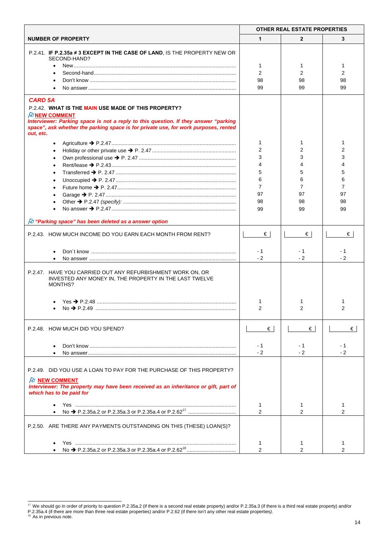|                                                                                                                                                                                                                                                                                         | <b>OTHER REAL ESTATE PROPERTIES</b> |                     |      |
|-----------------------------------------------------------------------------------------------------------------------------------------------------------------------------------------------------------------------------------------------------------------------------------------|-------------------------------------|---------------------|------|
| <b>NUMBER OF PROPERTY</b>                                                                                                                                                                                                                                                               | 1                                   | $\overline{2}$      | 3    |
| P.2.41. IF P.2.35a ≠ 3 EXCEPT IN THE CASE OF LAND, IS THE PROPERTY NEW OR                                                                                                                                                                                                               |                                     |                     |      |
| SECOND-HAND?                                                                                                                                                                                                                                                                            | 1                                   | 1                   | 1    |
|                                                                                                                                                                                                                                                                                         | $\overline{2}$                      | 2                   | 2    |
|                                                                                                                                                                                                                                                                                         | 98                                  | 98                  | 98   |
|                                                                                                                                                                                                                                                                                         | 99                                  | 99                  | 99   |
|                                                                                                                                                                                                                                                                                         |                                     |                     |      |
| <b>CARD 5A</b><br>P.2.42. WHAT IS THE MAIN USE MADE OF THIS PROPERTY?<br>$\n  D$ NEW COMMENT<br>Interviewer: Parking space is not a reply to this question. If they answer "parking<br>space", ask whether the parking space is for private use, for work purposes, rented<br>out, etc. |                                     |                     |      |
|                                                                                                                                                                                                                                                                                         | 1                                   | 1                   | 1    |
|                                                                                                                                                                                                                                                                                         | $\overline{2}$                      | 2                   | 2    |
|                                                                                                                                                                                                                                                                                         | 3                                   | 3                   | 3    |
|                                                                                                                                                                                                                                                                                         | 4                                   | 4                   |      |
|                                                                                                                                                                                                                                                                                         | 5                                   | 5                   | 5    |
|                                                                                                                                                                                                                                                                                         | 6                                   | 6                   | 6    |
|                                                                                                                                                                                                                                                                                         | 7                                   | 7                   | 7    |
|                                                                                                                                                                                                                                                                                         | 97                                  | 97                  | 97   |
|                                                                                                                                                                                                                                                                                         | 98                                  | 98                  | 98   |
|                                                                                                                                                                                                                                                                                         | 99                                  | 99                  | 99   |
| $\beta$ "Parking space" has been deleted as a answer option                                                                                                                                                                                                                             |                                     |                     |      |
| P.2.43. HOW MUCH INCOME DO YOU EARN EACH MONTH FROM RENT?                                                                                                                                                                                                                               | $\epsilon$                          | €∣                  | €    |
|                                                                                                                                                                                                                                                                                         | $-1$                                | - 1                 | - 1  |
|                                                                                                                                                                                                                                                                                         | $-2$                                | $-2$                | $-2$ |
|                                                                                                                                                                                                                                                                                         |                                     |                     |      |
| P.2.47. HAVE YOU CARRIED OUT ANY REFURBISHMENT WORK ON, OR<br>INVESTED ANY MONEY IN, THE PROPERTY IN THE LAST TWELVE<br>MONTHS?                                                                                                                                                         |                                     |                     |      |
|                                                                                                                                                                                                                                                                                         |                                     |                     |      |
|                                                                                                                                                                                                                                                                                         | 1<br>2                              | 1<br>2              | 2    |
|                                                                                                                                                                                                                                                                                         |                                     |                     |      |
| P.2.48. HOW MUCH DID YOU SPEND?                                                                                                                                                                                                                                                         | €                                   | €                   | €    |
|                                                                                                                                                                                                                                                                                         |                                     |                     |      |
|                                                                                                                                                                                                                                                                                         | - 1                                 | - 1                 | - 1  |
|                                                                                                                                                                                                                                                                                         | $-2$                                | $-2$                | $-2$ |
| P.2.49. DID YOU USE A LOAN TO PAY FOR THE PURCHASE OF THIS PROPERTY?                                                                                                                                                                                                                    |                                     |                     |      |
| $\n  D$ NEW COMMENT                                                                                                                                                                                                                                                                     |                                     |                     |      |
| Interviewer: The property may have been received as an inheritance or gift, part of<br>which has to be paid for                                                                                                                                                                         |                                     |                     |      |
|                                                                                                                                                                                                                                                                                         | 1                                   | 1                   | 1    |
|                                                                                                                                                                                                                                                                                         | $\overline{2}$                      | $\mathfrak{p}$      | 2    |
| P.2.50. ARE THERE ANY PAYMENTS OUTSTANDING ON THIS (THESE) LOAN(S)?                                                                                                                                                                                                                     |                                     |                     |      |
|                                                                                                                                                                                                                                                                                         |                                     |                     |      |
|                                                                                                                                                                                                                                                                                         | 1<br>2                              | 1<br>$\mathfrak{p}$ | 1    |
|                                                                                                                                                                                                                                                                                         |                                     |                     |      |

 $\overline{a}$  $17$  We should go in order of priority to question P.2.35a.2 (if there is a second real estate property) and/or P.2.35a.3 (if there is a third real estate property) and/or P.2.35a.4 (if there are more than three real estate properties) and/or P.2.62 (if there isn't any other real estate properties*).*<br><sup>18</sup> As in previous note.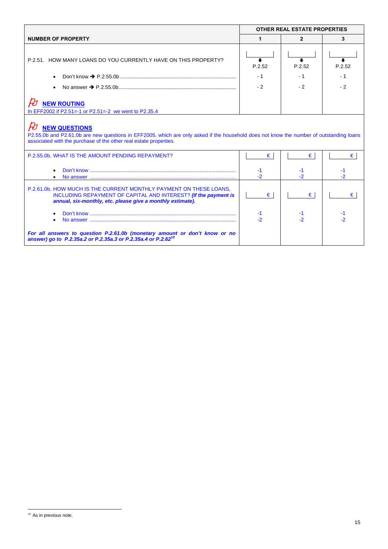|                                                                                                                                                                                                                                                                                                                     | <b>OTHER REAL ESTATE PROPERTIES</b> |            |          |
|---------------------------------------------------------------------------------------------------------------------------------------------------------------------------------------------------------------------------------------------------------------------------------------------------------------------|-------------------------------------|------------|----------|
| <b>NUMBER OF PROPERTY</b>                                                                                                                                                                                                                                                                                           |                                     | 2          |          |
| P.2.51. HOW MANY LOANS DO YOU CURRENTLY HAVE ON THIS PROPERTY?                                                                                                                                                                                                                                                      | P.2.52                              | P.2.52     | P.2.52   |
|                                                                                                                                                                                                                                                                                                                     | $-1$                                | - 1        | - 1      |
|                                                                                                                                                                                                                                                                                                                     | $-2$                                | $-2$       | $-2$     |
| <b>NEW ROUTING</b><br>In EFF2002 if P2.51=-1 or P2.51=-2 we went to P2.35.4<br><b>NEW QUESTIONS</b><br>P2.55.0b and P2.61.0b are new questions in EFF2005, which are only asked if the household does not know the number of outstanding loans<br>associated with the purchase of the other real estate properties. |                                     |            |          |
| P.2.55.0b. WHAT IS THE AMOUNT PENDING REPAYMENT?                                                                                                                                                                                                                                                                    | €                                   | €          | €        |
|                                                                                                                                                                                                                                                                                                                     | -1<br>-2                            | -1<br>$-2$ | $-2^{1}$ |
| P.2.61.0b. HOW MUCH IS THE CURRENT MONTHLY PAYMENT ON THESE LOANS.<br>INCLUDING REPAYMENT OF CAPITAL AND INTEREST? (If the payment is<br>annual, six-monthly, etc. please give a monthly estimate).                                                                                                                 | €                                   | €          | €        |

 $\overline{a}$ 

<sup>&</sup>lt;sup>19</sup> As in previous note.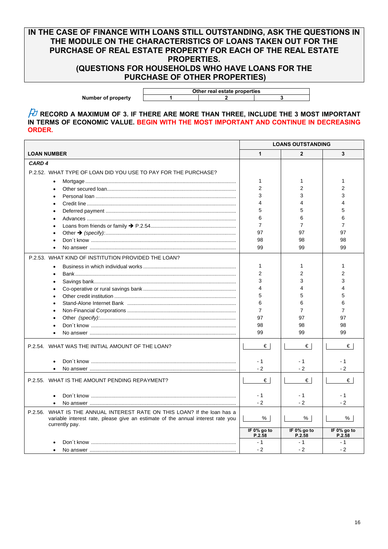## **IN THE CASE OF FINANCE WITH LOANS STILL OUTSTANDING, ASK THE QUESTIONS IN THE MODULE ON THE CHARACTERISTICS OF LOANS TAKEN OUT FOR THE PURCHASE OF REAL ESTATE PROPERTY FOR EACH OF THE REAL ESTATE PROPERTIES. (QUESTIONS FOR HOUSEHOLDS WHO HAVE LOANS FOR THE**

 **PURCHASE OF OTHER PROPERTIES)** 

 **Other real estate properties**  Number of property 1 1 2 3

 $\beta$  record a maximum of 3. If there are more than three, include the 3 most important **IN TERMS OF ECONOMIC VALUE. BEGIN WITH THE MOST IMPORTANT AND CONTINUE IN DECREASING ORDER.**

| <b>LOAN NUMBER</b><br>1<br>$\overline{2}$<br>3<br>CARD <sub>4</sub><br>P.2.52. WHAT TYPE OF LOAN DID YOU USE TO PAY FOR THE PURCHASE?<br>$\mathbf{1}$<br>1<br>1<br>$\overline{2}$<br>2<br>2<br>3<br>3<br>3<br>4<br>4<br>4<br>5<br>5<br>5<br>6<br>6<br>6<br>$\overline{7}$<br>$\overline{7}$<br>7 | <b>LOANS OUTSTANDING</b> |    |    |
|--------------------------------------------------------------------------------------------------------------------------------------------------------------------------------------------------------------------------------------------------------------------------------------------------|--------------------------|----|----|
|                                                                                                                                                                                                                                                                                                  |                          |    |    |
|                                                                                                                                                                                                                                                                                                  |                          |    |    |
|                                                                                                                                                                                                                                                                                                  |                          |    |    |
|                                                                                                                                                                                                                                                                                                  |                          |    |    |
|                                                                                                                                                                                                                                                                                                  |                          |    |    |
|                                                                                                                                                                                                                                                                                                  |                          |    |    |
|                                                                                                                                                                                                                                                                                                  |                          |    |    |
|                                                                                                                                                                                                                                                                                                  |                          |    |    |
|                                                                                                                                                                                                                                                                                                  |                          |    |    |
|                                                                                                                                                                                                                                                                                                  |                          |    |    |
|                                                                                                                                                                                                                                                                                                  | 97                       | 97 | 97 |
| 98<br>98<br>98                                                                                                                                                                                                                                                                                   |                          |    |    |
| 99<br>99<br>99                                                                                                                                                                                                                                                                                   |                          |    |    |
| P.2.53. WHAT KIND OF INSTITUTION PROVIDED THE LOAN?                                                                                                                                                                                                                                              |                          |    |    |
| 1<br>1<br>1                                                                                                                                                                                                                                                                                      |                          |    |    |
| $\overline{2}$<br>2<br>2                                                                                                                                                                                                                                                                         |                          |    |    |
| 3<br>3<br>3                                                                                                                                                                                                                                                                                      |                          |    |    |
| 4<br>4<br>4                                                                                                                                                                                                                                                                                      |                          |    |    |
| 5<br>5<br>5                                                                                                                                                                                                                                                                                      |                          |    |    |
| 6<br>6<br>6                                                                                                                                                                                                                                                                                      |                          |    |    |
| 7<br>7<br>7                                                                                                                                                                                                                                                                                      |                          |    |    |
| 97<br>97<br>97                                                                                                                                                                                                                                                                                   |                          |    |    |
| 98<br>98<br>98                                                                                                                                                                                                                                                                                   |                          |    |    |
| 99<br>99<br>99                                                                                                                                                                                                                                                                                   |                          |    |    |
| €<br>€<br>€<br>P.2.54. WHAT WAS THE INITIAL AMOUNT OF THE LOAN?                                                                                                                                                                                                                                  |                          |    |    |
| $-1$<br>- 1<br>- 1                                                                                                                                                                                                                                                                               |                          |    |    |
| $-2$<br>$-2$<br>$-2$                                                                                                                                                                                                                                                                             |                          |    |    |
|                                                                                                                                                                                                                                                                                                  |                          |    |    |
| €<br>P.2.55. WHAT IS THE AMOUNT PENDING REPAYMENT?<br>€<br>€                                                                                                                                                                                                                                     |                          |    |    |
| $-1$<br>$-1$<br>$-1$                                                                                                                                                                                                                                                                             |                          |    |    |
| $-2$<br>$-2$<br>$-2$                                                                                                                                                                                                                                                                             |                          |    |    |
| P.2.56. WHAT IS THE ANNUAL INTEREST RATE ON THIS LOAN? If the loan has a                                                                                                                                                                                                                         |                          |    |    |
| %<br>%<br>%<br>variable interest rate, please give an estimate of the annual interest rate you<br>currently pay.                                                                                                                                                                                 |                          |    |    |
| IF 0% go to<br>IF 0% go to<br>IF 0% go to<br>P.2.58<br>P.2.58<br>P.2.58                                                                                                                                                                                                                          |                          |    |    |
| $-1$<br>$-1$<br>$-1$                                                                                                                                                                                                                                                                             |                          |    |    |
| $-2$<br>$-2$<br>$-2$                                                                                                                                                                                                                                                                             |                          |    |    |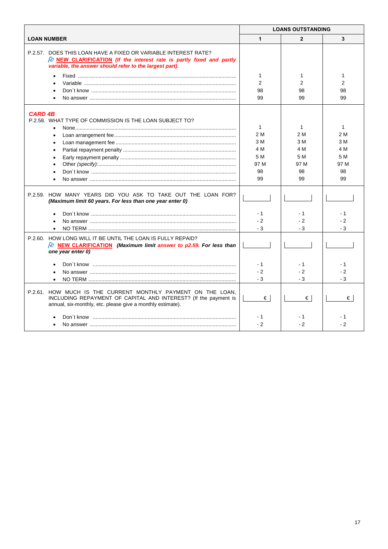|                                                                                                                                                                                                         | <b>LOANS OUTSTANDING</b> |                     |                    |
|---------------------------------------------------------------------------------------------------------------------------------------------------------------------------------------------------------|--------------------------|---------------------|--------------------|
| <b>LOAN NUMBER</b>                                                                                                                                                                                      | $\mathbf{1}$             | $\overline{2}$      | 3                  |
| P.2.57. DOES THIS LOAN HAVE A FIXED OR VARIABLE INTEREST RATE?<br>$\beta$ NEW CLARIFICATION (If the interest rate is partly fixed and partly<br>variable, the answer should refer to the largest part). |                          |                     |                    |
|                                                                                                                                                                                                         | $\mathbf{1}$             | 1                   | 1                  |
|                                                                                                                                                                                                         | $\overline{2}$           | 2                   | 2                  |
|                                                                                                                                                                                                         | 98                       | 98                  | 98                 |
|                                                                                                                                                                                                         | 99                       | 99                  | 99                 |
| <b>CARD 4B</b><br>P.2.58. WHAT TYPE OF COMMISSION IS THE LOAN SUBJECT TO?                                                                                                                               | $\mathbf{1}$             | $\mathbf{1}$        | $\mathbf{1}$       |
|                                                                                                                                                                                                         | 2 M                      | 2 M                 | 2 M                |
|                                                                                                                                                                                                         | 3 M                      | 3 M                 | 3 M                |
|                                                                                                                                                                                                         | 4 M                      | 4 M                 | 4 M                |
|                                                                                                                                                                                                         | 5 M                      | 5 M                 | 5 M                |
|                                                                                                                                                                                                         | 97 M                     | 97 M                | 97 M               |
|                                                                                                                                                                                                         | 98                       | 98                  | 98                 |
|                                                                                                                                                                                                         | 99                       | 99                  | 99                 |
|                                                                                                                                                                                                         |                          |                     |                    |
| P.2.59. HOW MANY YEARS DID YOU ASK TO TAKE OUT THE LOAN FOR?<br>(Maximum limit 60 years. For less than one year enter 0)                                                                                |                          |                     |                    |
|                                                                                                                                                                                                         | $-1$                     | - 1                 | - 1                |
|                                                                                                                                                                                                         | $-2$                     | $-2$                | $-2$               |
|                                                                                                                                                                                                         | - 3                      | - 3                 | - 3                |
| P.2.60. HOW LONG WILL IT BE UNTIL THE LOAN IS FULLY REPAID?<br>$\beta$ NEW CLARIFICATION (Maximum limit answer to p2.59. For less than                                                                  |                          |                     |                    |
| one year enter 0)                                                                                                                                                                                       |                          |                     |                    |
|                                                                                                                                                                                                         | $-1$<br>$-2$<br>$-3$     | - 1<br>$-2$<br>$-3$ | - 1<br>$-2$<br>- 3 |
| P.2.61. HOW MUCH IS THE CURRENT MONTHLY PAYMENT ON THE LOAN,<br>INCLUDING REPAYMENT OF CAPITAL AND INTEREST? (If the payment is<br>annual, six-monthly, etc. please give a monthly estimate).           | €                        | €                   | €                  |
|                                                                                                                                                                                                         | - 1<br>$-2$              | - 1<br>$-2$         | - 1<br>$-2$        |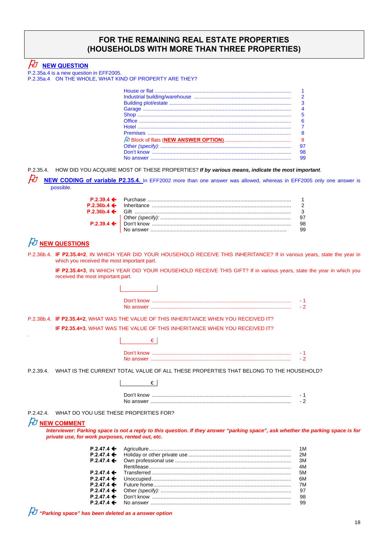## **FOR THE REMAINING REAL ESTATE PROPERTIES (HOUSEHOLDS WITH MORE THAN THREE PROPERTIES)**

 $\not\!\!\! D$  NEW QUESTION

P.2.35a.4 is a new question in EFF2005. P.2.35a.4 ON THE WHOLE, WHAT KIND OF PROPERTY ARE THEY?

|                                           | $\mathcal{P}$ |
|-------------------------------------------|---------------|
|                                           | 3             |
|                                           | 4             |
|                                           | 5             |
| Office ………………………………………………………………………………………… | 6             |
|                                           |               |
|                                           | 8             |
|                                           |               |
|                                           | 97            |
|                                           | 98            |
|                                           | 99            |
|                                           |               |

P.2.35.4. HOW DID YOU ACQUIRE MOST OF THESE PROPERTIES? *If by various means, indicate the most important*.

**NEW CODING of variable P2.35.4.** In EFF2002 more than one answer was allowed, whereas in EFF2005 only one answer is possible.

|  | 98 |
|--|----|

# $\not\!\!\! D$  NEW QUESTIONS

P.2.36b.4. **IF P2.35.4=2**, IN WHICH YEAR DID YOUR HOUSEHOLD RECEIVE THIS INHERITANCE? If in various years, state the year in which you received the most important part.

**IF P2.35.4=3**, IN WHICH YEAR DID YOUR HOUSEHOLD RECEIVE THIS GIFT? If in various years, state the year in which you received the most important part.

### P.2.38b.4. **IF P2.35.4=2**, WHAT WAS THE VALUE OF THIS INHERITANCE WHEN YOU RECEIVED IT? **IF P2.35.4=3**, WHAT WAS THE VALUE OF THIS INHERITANCE WHEN YOU RECEIVED IT?

€

 $\overline{\phantom{0}}$ 

 $\overline{\phantom{a}}$ 

P.2.39.4. WHAT IS THE CURRENT TOTAL VALUE OF ALL THESE PROPERTIES THAT BELONG TO THE HOUSEHOLD?

| Don't know<br>No answer |  |
|-------------------------|--|

P.2.42.4. WHAT DO YOU USE THESE PROPERTIES FOR?

#### **NEW COMMENT**

.

*Interviewer: Parking space is not a reply to this question. If they answer "parking space", ask whether the parking space is for private use, for work purposes, rented out, etc.*

|  | 1M |
|--|----|
|  |    |
|  |    |
|  | 4M |
|  | 5M |
|  | 6M |
|  |    |
|  |    |
|  |    |
|  |    |

*"Parking space" has been deleted as a answer option*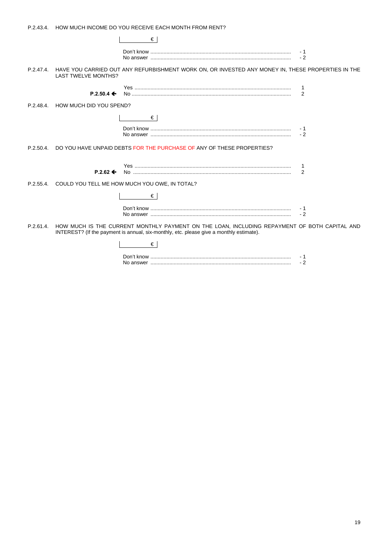|  | P.2.43.4. |  | HOW MUCH INCOME DO YOU RECEIVE EACH MONTH FROM RENT? |
|--|-----------|--|------------------------------------------------------|
|--|-----------|--|------------------------------------------------------|

| €                                                                                       |                                                                                                             |                |
|-----------------------------------------------------------------------------------------|-------------------------------------------------------------------------------------------------------------|----------------|
|                                                                                         |                                                                                                             | $-2$           |
| <b>LAST TWELVE MONTHS?</b>                                                              | P.2.47.4. HAVE YOU CARRIED OUT ANY REFURBISHMENT WORK ON, OR INVESTED ANY MONEY IN, THESE PROPERTIES IN THE |                |
| $P.2.50.4 \leftarrow$                                                                   |                                                                                                             | $\overline{2}$ |
| P.2.48.4. HOW MUCH DID YOU SPEND?                                                       |                                                                                                             |                |
| €                                                                                       |                                                                                                             | $-2$           |
| P.2.50.4. DO YOU HAVE UNPAID DEBTS FOR THE PURCHASE OF ANY OF THESE PROPERTIES?         |                                                                                                             |                |
| $P.2.62 \leftarrow$                                                                     |                                                                                                             | $\overline{2}$ |
| P.2.55.4. COULD YOU TELL ME HOW MUCH YOU OWE, IN TOTAL?                                 |                                                                                                             |                |
| €                                                                                       |                                                                                                             |                |
|                                                                                         |                                                                                                             | $-2$           |
| INTEREST? (If the payment is annual, six-monthly, etc. please give a monthly estimate). | P.2.61.4. HOW MUCH IS THE CURRENT MONTHLY PAYMENT ON THE LOAN, INCLUDING REPAYMENT OF BOTH CAPITAL AND      |                |
| €                                                                                       |                                                                                                             |                |

|           | - |
|-----------|---|
| No answer | - |
|           |   |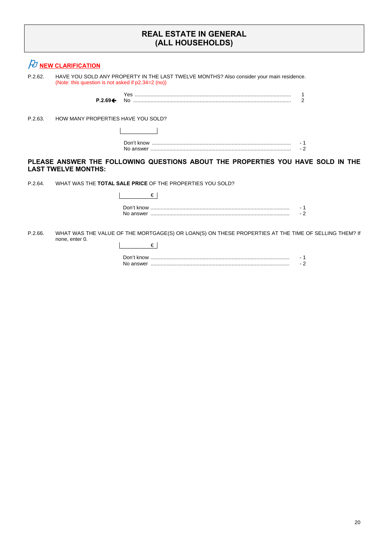## **REAL ESTATE IN GENERAL (ALL HOUSEHOLDS)**

|         | $\n  D NEW CLARIFICATION\n$                                                                                                                    |
|---------|------------------------------------------------------------------------------------------------------------------------------------------------|
| P.2.62. | HAVE YOU SOLD ANY PROPERTY IN THE LAST TWELVE MONTHS? Also consider your main residence.<br>(Note: this question is not asked if p2.34=2 (no)) |
|         | 2<br>$P.2.69 \leftarrow$                                                                                                                       |
| P.2.63. | HOW MANY PROPERTIES HAVE YOU SOLD?                                                                                                             |
|         |                                                                                                                                                |
|         | - 1<br>$-2$                                                                                                                                    |
|         | PLEASE ANSWER THE FOLLOWING QUESTIONS ABOUT THE PROPERTIES YOU HAVE SOLD IN THE<br><b>LAST TWELVE MONTHS:</b>                                  |
| P.2.64. | WHAT WAS THE <b>TOTAL SALE PRICE</b> OF THE PROPERTIES YOU SOLD?                                                                               |
|         | €                                                                                                                                              |
|         | - 1<br>$-2$                                                                                                                                    |
| P.2.66. | WHAT WAS THE VALUE OF THE MORTGAGE(S) OR LOAN(S) ON THESE PROPERTIES AT THE TIME OF SELLING THEM? If<br>none, enter 0.<br>€                    |
|         | $-2$                                                                                                                                           |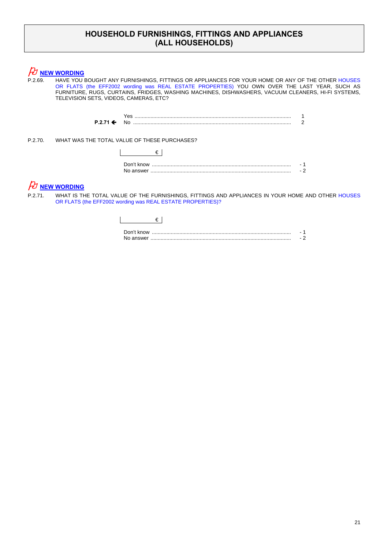## **HOUSEHOLD FURNISHINGS, FITTINGS AND APPLIANCES (ALL HOUSEHOLDS)**

# $\not\!\!\! D$  NEW WORDING

P.2.69. HAVE YOU BOUGHT ANY FURNISHINGS, FITTINGS OR APPLIANCES FOR YOUR HOME OR ANY OF THE OTHER HOUSES OR FLATS (the EFF2002 wording was REAL ESTATE PROPERTIES) YOU OWN OVER THE LAST YEAR, SUCH AS FURNITURE, RUGS, CURTAINS, FRIDGES, WASHING MACHINES, DISHWASHERS, VACUUM CLEANERS, HI-FI SYSTEMS, TELEVISION SETS, VIDEOS, CAMERAS, ETC?

> Yes ............................................................................................................ 1 **P.2.71**  No ............................................................................................................. 2

P.2.70. WHAT WAS THE TOTAL VALUE OF THESE PURCHASES?

| Don't know |  |
|------------|--|

# *A***<sub>D</sub>** NEW WORDING

P.2.71. WHAT IS THE TOTAL VALUE OF THE FURNISHINGS, FITTINGS AND APPLIANCES IN YOUR HOME AND OTHER HOUSES OR FLATS (the EFF2002 wording was REAL ESTATE PROPERTIES)?

| Don't know |  |
|------------|--|
|            |  |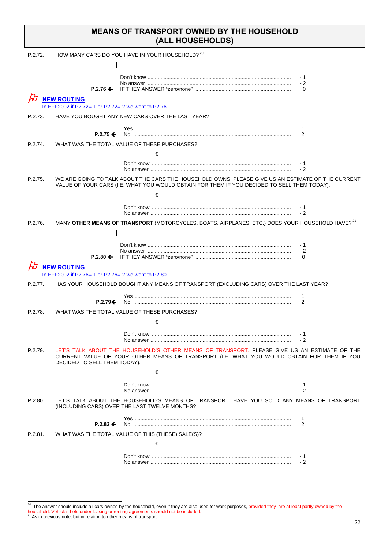| <b>MEANS OF TRANSPORT OWNED BY THE HOUSEHOLD</b> |
|--------------------------------------------------|
| (ALL HOUSEHOLDS)                                 |

| P.2.72. |                                                     | HOW MANY CARS DO YOU HAVE IN YOUR HOUSEHOLD? 20                                                                                                                                                  |                  |
|---------|-----------------------------------------------------|--------------------------------------------------------------------------------------------------------------------------------------------------------------------------------------------------|------------------|
|         |                                                     |                                                                                                                                                                                                  |                  |
|         |                                                     |                                                                                                                                                                                                  | - 1              |
|         |                                                     |                                                                                                                                                                                                  | $-2$<br>$\Omega$ |
|         | <b>NEW ROUTING</b>                                  |                                                                                                                                                                                                  |                  |
|         | In EFF2002 if P2.72=-1 or P2.72=-2 we went to P2.76 |                                                                                                                                                                                                  |                  |
| P.2.73. |                                                     | HAVE YOU BOUGHT ANY NEW CARS OVER THE LAST YEAR?                                                                                                                                                 |                  |
|         |                                                     |                                                                                                                                                                                                  | -1               |
|         | $P.2.75 \Leftrightarrow$                            |                                                                                                                                                                                                  | 2                |
| P.2.74. |                                                     | WHAT WAS THE TOTAL VALUE OF THESE PURCHASES?                                                                                                                                                     |                  |
|         |                                                     | €∣                                                                                                                                                                                               | - 1              |
|         |                                                     |                                                                                                                                                                                                  | - 2              |
| P.2.75. |                                                     | WE ARE GOING TO TALK ABOUT THE CARS THE HOUSEHOLD OWNS. PLEASE GIVE US AN ESTIMATE OF THE CURRENT<br>VALUE OF YOUR CARS (I.E. WHAT YOU WOULD OBTAIN FOR THEM IF YOU DECIDED TO SELL THEM TODAY). |                  |
|         |                                                     | €∣                                                                                                                                                                                               |                  |
|         |                                                     |                                                                                                                                                                                                  | - 1<br>$-2$      |
| P.2.76. |                                                     | MANY OTHER MEANS OF TRANSPORT (MOTORCYCLES, BOATS, AIRPLANES, ETC.) DOES YOUR HOUSEHOLD HAVE? <sup>21</sup>                                                                                      |                  |
|         |                                                     |                                                                                                                                                                                                  |                  |
|         |                                                     |                                                                                                                                                                                                  | - 1              |
|         | $P.2.80 \leftarrow$                                 |                                                                                                                                                                                                  | - 2<br>$\Omega$  |
|         | <b>NEW ROUTING</b>                                  |                                                                                                                                                                                                  |                  |
|         | In EFF2002 if P2.76=-1 or P2.76=-2 we went to P2.80 |                                                                                                                                                                                                  |                  |
| P.2.77. |                                                     | HAS YOUR HOUSEHOLD BOUGHT ANY MEANS OF TRANSPORT (EXCLUDING CARS) OVER THE LAST YEAR?                                                                                                            |                  |
|         | $P.2.79 \Leftrightarrow$                            |                                                                                                                                                                                                  | 1<br>2           |
| P.2.78. |                                                     | WHAT WAS THE TOTAL VALUE OF THESE PURCHASES?                                                                                                                                                     |                  |
|         |                                                     | €                                                                                                                                                                                                |                  |
|         |                                                     |                                                                                                                                                                                                  |                  |
|         |                                                     |                                                                                                                                                                                                  |                  |
| P.2.79. | DECIDED TO SELL THEM TODAY).                        | LET'S TALK ABOUT THE HOUSEHOLD'S OTHER MEANS OF TRANSPORT. PLEASE GIVE US AN ESTIMATE OF THE<br>CURRENT VALUE OF YOUR OTHER MEANS OF TRANSPORT (I.E. WHAT YOU WOULD OBTAIN FOR THEM IF YOU       |                  |
|         |                                                     | €                                                                                                                                                                                                |                  |
|         |                                                     |                                                                                                                                                                                                  | - 1<br>$-2$      |
| P.2.80. |                                                     | LET'S TALK ABOUT THE HOUSEHOLD'S MEANS OF TRANSPORT. HAVE YOU SOLD ANY MEANS OF TRANSPORT<br>(INCLUDING CARS) OVER THE LAST TWELVE MONTHS?                                                       |                  |
|         |                                                     |                                                                                                                                                                                                  | -1               |
|         | $P.2.82 \leftarrow$                                 |                                                                                                                                                                                                  | 2                |
| P.2.81. |                                                     | WHAT WAS THE TOTAL VALUE OF THIS (THESE) SALE(S)?<br>€                                                                                                                                           |                  |
|         |                                                     |                                                                                                                                                                                                  |                  |
|         |                                                     |                                                                                                                                                                                                  | - 1<br>$-2$      |
|         |                                                     |                                                                                                                                                                                                  |                  |

 $20$  The answer should include all cars owned by the household, even if they are also used for work purposes, provided they are at least partly owned by the

household. Vehicles held under leasing or renting agreements should not be included.<br><sup>21</sup> As in previous note, but in relation to other means of transport.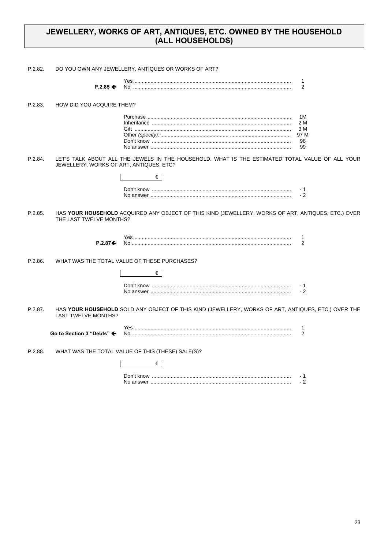## JEWELLERY, WORKS OF ART, ANTIQUES, ETC. OWNED BY THE HOUSEHOLD (ALL HOUSEHOLDS)

| P.2.82. |                                         | DO YOU OWN ANY JEWELLERY, ANTIQUES OR WORKS OF ART?                                                  |                                      |
|---------|-----------------------------------------|------------------------------------------------------------------------------------------------------|--------------------------------------|
|         | $P.2.85 \leftarrow$                     |                                                                                                      | -1<br>2                              |
| P.2.83. | HOW DID YOU ACQUIRE THEM?               |                                                                                                      |                                      |
|         |                                         |                                                                                                      | 1M<br>2 M<br>3 M<br>97 M<br>98<br>99 |
| P.2.84. | JEWELLERY, WORKS OF ART, ANTIQUES, ETC? | LET'S TALK ABOUT ALL THE JEWELS IN THE HOUSEHOLD. WHAT IS THE ESTIMATED TOTAL VALUE OF ALL YOUR<br>€ |                                      |
|         |                                         |                                                                                                      | $-1$<br>$-2$                         |
| P.2.85. | THE LAST TWELVE MONTHS?                 | HAS YOUR HOUSEHOLD ACQUIRED ANY OBJECT OF THIS KIND (JEWELLERY, WORKS OF ART, ANTIQUES, ETC.) OVER   |                                      |
|         | $P.2.87 \div$                           |                                                                                                      | $\mathbf{1}$<br>2                    |
| P.2.86. |                                         | WHAT WAS THE TOTAL VALUE OF THESE PURCHASES?                                                         |                                      |
|         |                                         | €                                                                                                    |                                      |
|         |                                         |                                                                                                      | - 1<br>$-2$                          |
| P.2.87. | <b>LAST TWELVE MONTHS?</b>              | HAS YOUR HOUSEHOLD SOLD ANY OBJECT OF THIS KIND (JEWELLERY, WORKS OF ART, ANTIQUES, ETC.) OVER THE   |                                      |
|         | Go to Section 3 "Debts" ←               |                                                                                                      | $\mathbf{1}$<br>2                    |
| P.2.88. |                                         | WHAT WAS THE TOTAL VALUE OF THIS (THESE) SALE(S)?                                                    |                                      |
|         |                                         | €                                                                                                    |                                      |
|         |                                         |                                                                                                      | - 1<br>$-2$                          |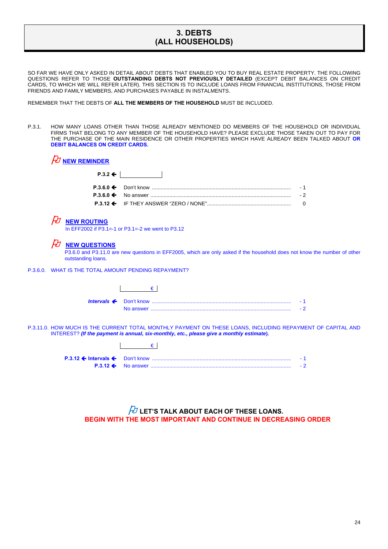## **3. DEBTS (ALL HOUSEHOLDS)**

SO FAR WE HAVE ONLY ASKED IN DETAIL ABOUT DEBTS THAT ENABLED YOU TO BUY REAL ESTATE PROPERTY. THE FOLLOWING QUESTIONS REFER TO THOSE **OUTSTANDING DEBTS NOT PREVIOUSLY DETAILED** (EXCEPT DEBIT BALANCES ON CREDIT CARDS, TO WHICH WE WILL REFER LATER). THIS SECTION IS TO INCLUDE LOANS FROM FINANCIAL INSTITUTIONS, THOSE FROM FRIENDS AND FAMILY MEMBERS, AND PURCHASES PAYABLE IN INSTALMENTS.

REMEMBER THAT THE DEBTS OF **ALL THE MEMBERS OF THE HOUSEHOLD** MUST BE INCLUDED.

P.3.1. HOW MANY LOANS OTHER THAN THOSE ALREADY MENTIONED DO MEMBERS OF THE HOUSEHOLD OR INDIVIDUAL FIRMS THAT BELONG TO ANY MEMBER OF THE HOUSEHOLD HAVE? PLEASE EXCLUDE THOSE TAKEN OUT TO PAY FOR THE PURCHASE OF THE MAIN RESIDENCE OR OTHER PROPERTIES WHICH HAVE ALREADY BEEN TALKED ABOUT **OR DEBIT BALANCES ON CREDIT CARDS.** 

| $\cancel{tU}$ new reminder |                    |  |
|----------------------------|--------------------|--|
|                            | $P.3.2 \leftarrow$ |  |
|                            |                    |  |
|                            |                    |  |
|                            |                    |  |

### **NEW ROUTING**

In EFF2002 if P3.1=-1 or P3.1=-2 we went to P3.12

### $H$  NEW QUESTIONS

 P3.6.0 and P3.11.0 are new questions in EFF2005, which are only asked if the household does not know the number of other outstanding loans.

P.3.6.0. WHAT IS THE TOTAL AMOUNT PENDING REPAYMENT?

P.3.11.0. HOW MUCH IS THE CURRENT TOTAL MONTHLY PAYMENT ON THESE LOANS, INCLUDING REPAYMENT OF CAPITAL AND INTEREST? *(If the payment is annual, six-monthly, etc., please give a monthly estimate***).**

## **LET'S TALK ABOUT EACH OF THESE LOANS. BEGIN WITH THE MOST IMPORTANT AND CONTINUE IN DECREASING ORDER**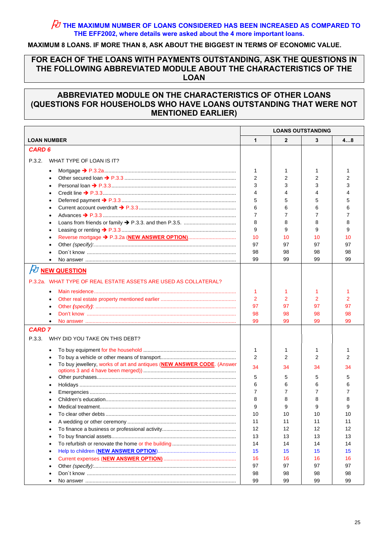## **THE MAXIMUM NUMBER OF LOANS CONSIDERED HAS BEEN INCREASED AS COMPARED TO THE EFF2002, where details were asked about the 4 more important loans.**

### **MAXIMUM 8 LOANS. IF MORE THAN 8, ASK ABOUT THE BIGGEST IN TERMS OF ECONOMIC VALUE.**

## **FOR EACH OF THE LOANS WITH PAYMENTS OUTSTANDING, ASK THE QUESTIONS IN THE FOLLOWING ABBREVIATED MODULE ABOUT THE CHARACTERISTICS OF THE LOAN**

## **ABBREVIATED MODULE ON THE CHARACTERISTICS OF OTHER LOANS (QUESTIONS FOR HOUSEHOLDS WHO HAVE LOANS OUTSTANDING THAT WERE NOT MENTIONED EARLIER)**

| <b>LOAN NUMBER</b><br>$\mathbf{1}$<br>$\mathbf{2}$<br>3<br>48<br><b>CARD 6</b><br>P.3.2.<br>WHAT TYPE OF LOAN IS IT?<br>1<br>1<br>1<br>1<br>$\bullet$<br>$\overline{2}$<br>2<br>2<br>2<br>$\bullet$<br>3<br>3<br>3<br>3<br>4<br>4<br>4<br>4<br>٠<br>5<br>5<br>5<br>5<br>$\bullet$<br>6<br>6<br>6<br>6<br>$\bullet$<br>7<br>7<br>7<br>7<br>$\bullet$<br>8<br>8<br>8<br>8<br>$\bullet$<br>9<br>9<br>9<br>9<br>٠<br>10<br>10<br>10<br>10<br>$\bullet$<br>97<br>97<br>97<br>97<br>$\bullet$ |
|-----------------------------------------------------------------------------------------------------------------------------------------------------------------------------------------------------------------------------------------------------------------------------------------------------------------------------------------------------------------------------------------------------------------------------------------------------------------------------------------|
|                                                                                                                                                                                                                                                                                                                                                                                                                                                                                         |
|                                                                                                                                                                                                                                                                                                                                                                                                                                                                                         |
|                                                                                                                                                                                                                                                                                                                                                                                                                                                                                         |
|                                                                                                                                                                                                                                                                                                                                                                                                                                                                                         |
|                                                                                                                                                                                                                                                                                                                                                                                                                                                                                         |
|                                                                                                                                                                                                                                                                                                                                                                                                                                                                                         |
|                                                                                                                                                                                                                                                                                                                                                                                                                                                                                         |
|                                                                                                                                                                                                                                                                                                                                                                                                                                                                                         |
|                                                                                                                                                                                                                                                                                                                                                                                                                                                                                         |
|                                                                                                                                                                                                                                                                                                                                                                                                                                                                                         |
|                                                                                                                                                                                                                                                                                                                                                                                                                                                                                         |
|                                                                                                                                                                                                                                                                                                                                                                                                                                                                                         |
|                                                                                                                                                                                                                                                                                                                                                                                                                                                                                         |
|                                                                                                                                                                                                                                                                                                                                                                                                                                                                                         |
|                                                                                                                                                                                                                                                                                                                                                                                                                                                                                         |
| 98<br>98<br>98<br>98                                                                                                                                                                                                                                                                                                                                                                                                                                                                    |
| 99<br>99<br>99<br>99                                                                                                                                                                                                                                                                                                                                                                                                                                                                    |
| <b><i>FU</i></b> NEW QUESTION                                                                                                                                                                                                                                                                                                                                                                                                                                                           |
| P.3.2a. WHAT TYPE OF REAL ESTATE ASSETS ARE USED AS COLLATERAL?                                                                                                                                                                                                                                                                                                                                                                                                                         |
| 1<br>1<br>1<br>$\bullet$                                                                                                                                                                                                                                                                                                                                                                                                                                                                |
| $\overline{2}$<br>$\overline{2}$<br>$\overline{2}$<br>$\overline{2}$<br>$\bullet$                                                                                                                                                                                                                                                                                                                                                                                                       |
| 97<br>97<br>97<br>97<br>$\bullet$                                                                                                                                                                                                                                                                                                                                                                                                                                                       |
| 98<br>98<br>98<br>98<br>$\bullet$                                                                                                                                                                                                                                                                                                                                                                                                                                                       |
| 99<br>99<br>99<br>99<br>$\bullet$                                                                                                                                                                                                                                                                                                                                                                                                                                                       |
| <b>CARD 7</b>                                                                                                                                                                                                                                                                                                                                                                                                                                                                           |
| P.3.3.<br>WHY DID YOU TAKE ON THIS DEBT?                                                                                                                                                                                                                                                                                                                                                                                                                                                |
| 1<br>1<br>1<br>1<br>$\bullet$                                                                                                                                                                                                                                                                                                                                                                                                                                                           |
| 2<br>2<br>2<br>2                                                                                                                                                                                                                                                                                                                                                                                                                                                                        |
| To buy jewellery, works of art and antiques (NEW ANSWER CODE. (Answer<br>$\bullet$                                                                                                                                                                                                                                                                                                                                                                                                      |
| 34<br>34<br>34<br>34                                                                                                                                                                                                                                                                                                                                                                                                                                                                    |
| 5<br>5<br>5<br>5<br>$\bullet$                                                                                                                                                                                                                                                                                                                                                                                                                                                           |
| 6<br>6<br>6<br>6<br>٠                                                                                                                                                                                                                                                                                                                                                                                                                                                                   |
| 7<br>7<br>7<br>7<br>$\bullet$                                                                                                                                                                                                                                                                                                                                                                                                                                                           |
| 8<br>8<br>8<br>8                                                                                                                                                                                                                                                                                                                                                                                                                                                                        |
| 9<br>9<br>9<br>9                                                                                                                                                                                                                                                                                                                                                                                                                                                                        |
| 10<br>10<br>10<br>10                                                                                                                                                                                                                                                                                                                                                                                                                                                                    |
| 11<br>11<br>11<br>11                                                                                                                                                                                                                                                                                                                                                                                                                                                                    |
| 12<br>12<br>12<br>12<br>$\bullet$                                                                                                                                                                                                                                                                                                                                                                                                                                                       |
| 13<br>13<br>13<br>13<br>$\bullet$                                                                                                                                                                                                                                                                                                                                                                                                                                                       |
| 14<br>14<br>14<br>14<br>$\bullet$                                                                                                                                                                                                                                                                                                                                                                                                                                                       |
| 15<br>15<br>15<br>15<br>$\bullet$                                                                                                                                                                                                                                                                                                                                                                                                                                                       |
| 16<br>16<br>16<br>16<br>$\bullet$                                                                                                                                                                                                                                                                                                                                                                                                                                                       |
| 97<br>97<br>97<br>97<br>$\bullet$                                                                                                                                                                                                                                                                                                                                                                                                                                                       |
| 98<br>98<br>98<br>98<br>$\bullet$                                                                                                                                                                                                                                                                                                                                                                                                                                                       |
| 99<br>99<br>99<br>99<br>$\bullet$                                                                                                                                                                                                                                                                                                                                                                                                                                                       |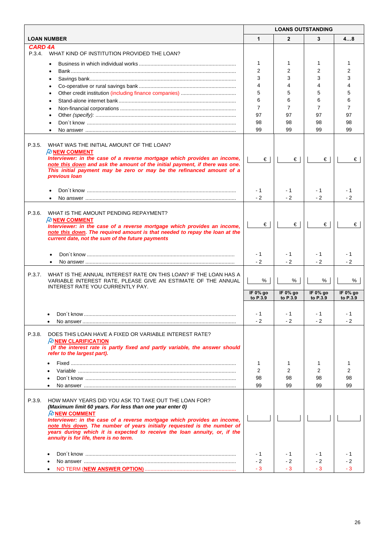|                                                                                                                                                                                                                                                                                                                                                                                                                                  | <b>LOANS OUTSTANDING</b> |                      |                         |                         |
|----------------------------------------------------------------------------------------------------------------------------------------------------------------------------------------------------------------------------------------------------------------------------------------------------------------------------------------------------------------------------------------------------------------------------------|--------------------------|----------------------|-------------------------|-------------------------|
| <b>LOAN NUMBER</b>                                                                                                                                                                                                                                                                                                                                                                                                               | $\mathbf{1}$             | $\overline{2}$       | 3                       | 48                      |
| <b>CARD 4A</b>                                                                                                                                                                                                                                                                                                                                                                                                                   |                          |                      |                         |                         |
| P.3.4. WHAT KIND OF INSTITUTION PROVIDED THE LOAN?                                                                                                                                                                                                                                                                                                                                                                               |                          |                      |                         |                         |
| $\bullet$                                                                                                                                                                                                                                                                                                                                                                                                                        | 1                        | 1                    | 1                       |                         |
| $\bullet$                                                                                                                                                                                                                                                                                                                                                                                                                        | $\overline{2}$           | 2                    | 2                       | 2                       |
|                                                                                                                                                                                                                                                                                                                                                                                                                                  | 3                        | 3                    | 3                       | 3                       |
| $\bullet$                                                                                                                                                                                                                                                                                                                                                                                                                        | 4                        | 4                    | 4                       | 4                       |
| $\bullet$                                                                                                                                                                                                                                                                                                                                                                                                                        | 5                        | 5                    | 5                       | 5                       |
| $\bullet$                                                                                                                                                                                                                                                                                                                                                                                                                        | 6                        | 6                    | 6                       | 6                       |
| $\bullet$                                                                                                                                                                                                                                                                                                                                                                                                                        | $\overline{7}$           | $\overline{7}$       | $\overline{7}$          | 7                       |
| $\bullet$                                                                                                                                                                                                                                                                                                                                                                                                                        | 97                       | 97                   | 97                      | 97                      |
|                                                                                                                                                                                                                                                                                                                                                                                                                                  | 98                       | 98                   | 98                      | 98                      |
|                                                                                                                                                                                                                                                                                                                                                                                                                                  | 99                       | 99                   | 99                      | 99                      |
| P.3.5.<br>WHAT WAS THE INITIAL AMOUNT OF THE LOAN?<br>$\n  D$ NEW COMMENT<br>Interviewer: in the case of a reverse mortgage which provides an income,<br>note this down and ask the amount of the initial payment, if there was one.                                                                                                                                                                                             | €                        | $\epsilon$           | €                       | €                       |
| This initial payment may be zero or may be the refinanced amount of a<br>previous loan                                                                                                                                                                                                                                                                                                                                           | $-1$                     | - 1                  | - 1                     | - 1                     |
|                                                                                                                                                                                                                                                                                                                                                                                                                                  | $-2$                     | $-2$                 | $-2$                    | $-2$                    |
| P.3.6.<br>WHAT IS THE AMOUNT PENDING REPAYMENT?<br><b><i>PU</i></b> NEW COMMENT<br>Interviewer: in the case of a reverse mortgage which provides an income,<br>note this down. The required amount is that needed to repay the loan at the<br>current date, not the sum of the future payments                                                                                                                                   | $\epsilon$               | €                    | €                       | €                       |
|                                                                                                                                                                                                                                                                                                                                                                                                                                  | $-1$<br>$-2$             | - 1<br>$-2$          | - 1<br>$-2$             | - 1<br>$-2$             |
| P.3.7.<br>WHAT IS THE ANNUAL INTEREST RATE ON THIS LOAN? IF THE LOAN HAS A<br>VARIABLE INTEREST RATE, PLEASE GIVE AN ESTIMATE OF THE ANNUAL<br>INTEREST RATE YOU CURRENTLY PAY.                                                                                                                                                                                                                                                  | %                        | %                    | %                       | %                       |
|                                                                                                                                                                                                                                                                                                                                                                                                                                  | IF 0% go<br>to P.3.9     | IF 0% go<br>to P.3.9 | IF $0\%$ go<br>to P.3.9 | IF $0\%$ go<br>to P.3.9 |
|                                                                                                                                                                                                                                                                                                                                                                                                                                  |                          |                      |                         |                         |
|                                                                                                                                                                                                                                                                                                                                                                                                                                  | $-1$                     | - 1                  | $-1$                    | - 1                     |
|                                                                                                                                                                                                                                                                                                                                                                                                                                  | $-2$                     | - 2                  | $-2$                    | - 2                     |
| P.3.8.<br>DOES THIS LOAN HAVE A FIXED OR VARIABLE INTEREST RATE?<br><b><i>H</i></b> NEW CLARIFICATION<br>(If the interest rate is partly fixed and partly variable, the answer should<br>refer to the largest part).                                                                                                                                                                                                             |                          |                      |                         |                         |
| $\bullet$                                                                                                                                                                                                                                                                                                                                                                                                                        | 1                        | 1                    | 1                       | 1                       |
| $\bullet$                                                                                                                                                                                                                                                                                                                                                                                                                        | 2                        | 2                    | 2                       | 2                       |
| $\bullet$                                                                                                                                                                                                                                                                                                                                                                                                                        | 98                       | 98                   | 98                      | 98                      |
| $\bullet$                                                                                                                                                                                                                                                                                                                                                                                                                        | 99                       | 99                   | 99                      | 99                      |
| P.3.9.<br>HOW MANY YEARS DID YOU ASK TO TAKE OUT THE LOAN FOR?<br>(Maximum limit 60 years. For less than one year enter 0)<br>$\n  D$ NEW COMMENT<br>Interviewer: in the case of a reverse mortgage which provides an income,<br>note this down. The number of years initially requested is the number of<br>years during which it is expected to receive the loan annuity, or, if the<br>annuity is for life, there is no term. |                          |                      |                         |                         |
|                                                                                                                                                                                                                                                                                                                                                                                                                                  | $-1$                     | - 1                  | - 1                     | - 1                     |
|                                                                                                                                                                                                                                                                                                                                                                                                                                  | $-2$                     | - 2                  | - 2                     | - 2                     |
| $\bullet$                                                                                                                                                                                                                                                                                                                                                                                                                        | $-3$                     | - 3                  | $-3$                    | - 3                     |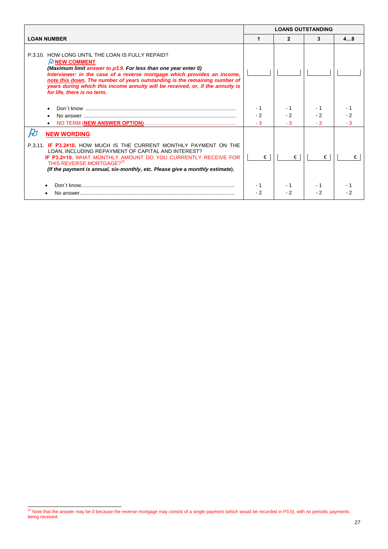|                                                                                                                                                                                                                                                                                                                                                                                                                      | <b>LOANS OUTSTANDING</b> |                    |                     |             |
|----------------------------------------------------------------------------------------------------------------------------------------------------------------------------------------------------------------------------------------------------------------------------------------------------------------------------------------------------------------------------------------------------------------------|--------------------------|--------------------|---------------------|-------------|
| <b>LOAN NUMBER</b>                                                                                                                                                                                                                                                                                                                                                                                                   |                          | 2                  | 3                   | 48          |
| P.3.10. HOW LONG UNTIL THE LOAN IS FULLY REPAID?<br>$\n  D$ NEW COMMENT<br>(Maximum limit answer to p3.9. For less than one year enter 0)<br>Interviewer: in the case of a reverse mortgage which provides an income,<br>note this down. The number of years outstanding is the remaining number of<br>years during which this income annuity will be received, or, if the annuity is<br>for life, there is no term. |                          |                    |                     |             |
|                                                                                                                                                                                                                                                                                                                                                                                                                      | - 1<br>$-2$<br>$-3$      | - 1<br>$-2$<br>- 3 | - 1<br>$-2$<br>$-3$ | $-2$<br>- 3 |
| <b>NEW WORDING</b><br>P.3.11. IF P3.2≠10, HOW MUCH IS THE CURRENT MONTHLY PAYMENT ON THE<br>LOAN, INCLUDING REPAYMENT OF CAPITAL AND INTEREST?<br>IF P3.2=10, WHAT MONTHLY AMOUNT DO YOU CURRENTLY RECEIVE FOR<br>THIS REVERSE MORTGAGE? <sup>22</sup><br>(If the payment is annual, six-monthly, etc. Please give a monthly estimate).                                                                              | €                        | €                  | €                   | €           |
|                                                                                                                                                                                                                                                                                                                                                                                                                      | - 2                      | - 2                | - 2                 |             |

 $22$  Note that the answer may be 0 because the reverse mortgage may consist of a single payment (which would be recorded in P3.5), with no periodic payments being received.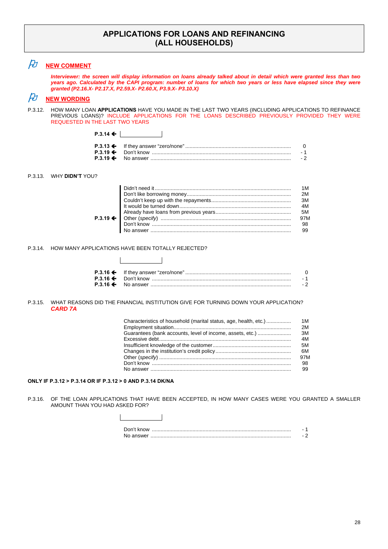### **APPLICATIONS FOR LOANS AND REFINANCING (ALL HOUSEHOLDS)**

# *A* <u>**NEW COMMENT**</u>

*Interviewer: the screen will display information on loans already talked about in detail which were granted less than two years ago. Calculated by the CAPI program: number of loans for which two years or less have elapsed since they were granted (P2.16.X- P2.17.X, P2.59.X- P2.60.X, P3.9.X- P3.10.X)*

## $\cancel{E}$  NEW WORDING

P.3.12. HOW MANY LOAN **APPLICATIONS** HAVE YOU MADE IN THE LAST TWO YEARS (INCLUDING APPLICATIONS TO REFINANCE PREVIOUS LOANS)? INCLUDE APPLICATIONS FOR THE LOANS DESCRIBED PREVIOUSLY PROVIDED THEY WERE REQUESTED IN THE LAST TWO YEARS

#### P.3.13. WHY **DIDN'T** YOU?

| 2M   |
|------|
| - 3M |
| 4M   |
| 5M   |
| 97M  |
| 98   |
|      |
|      |

#### P.3.14. HOW MANY APPLICATIONS HAVE BEEN TOTALLY REJECTED?

**P.3.14 ←** 

|  | - 1  |
|--|------|
|  | $-2$ |

#### P.3.15. WHAT REASONS DID THE FINANCIAL INSTITUTION GIVE FOR TURNING DOWN YOUR APPLICATION?  *CARD 7A*

| Characteristics of household (marital status, age, health, etc.) | 1 M<br>2M |
|------------------------------------------------------------------|-----------|
|                                                                  |           |
| Guarantees (bank accounts, level of income, assets, etc.)        | ЗM        |
|                                                                  | 4M        |
|                                                                  | 5M        |
|                                                                  | 6M        |
|                                                                  | 97M       |
|                                                                  | 98        |
|                                                                  | 99        |
|                                                                  |           |

### **ONLY IF P.3.12 > P.3.14 OR IF P.3.12 > 0 AND P.3.14 DK/NA**

P.3.16. OF THE LOAN APPLICATIONS THAT HAVE BEEN ACCEPTED, IN HOW MANY CASES WERE YOU GRANTED A SMALLER AMOUNT THAN YOU HAD ASKED FOR?



| Don't know |  |
|------------|--|
| No answer  |  |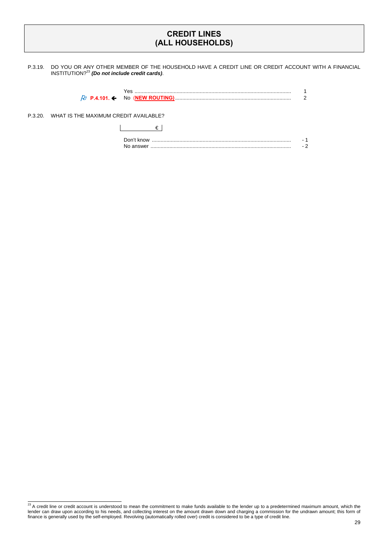## **CREDIT LINES (ALL HOUSEHOLDS)**

P.3.19. DO YOU OR ANY OTHER MEMBER OF THE HOUSEHOLD HAVE A CREDIT LINE OR CREDIT ACCOUNT WITH A FINANCIAL INSTITUTION?<sup>23</sup> *(Do not include credit cards)*.

| NO (NEW ROUT |  |
|--------------|--|

P.3.20. WHAT IS THE MAXIMUM CREDIT AVAILABLE?

€

| Don't know |  |
|------------|--|
| No answer  |  |

 $23$  A credit line or credit account is understood to mean the commitment to make funds available to the lender up to a predetermined maximum amount, which the lender can draw upon according to his needs, and collecting interest on the amount drawn down and charging a commission for the undrawn amount; this form of finance is generally used by the self-employed. Revolving (automatically rolled over) credit is considered to be a type of credit line.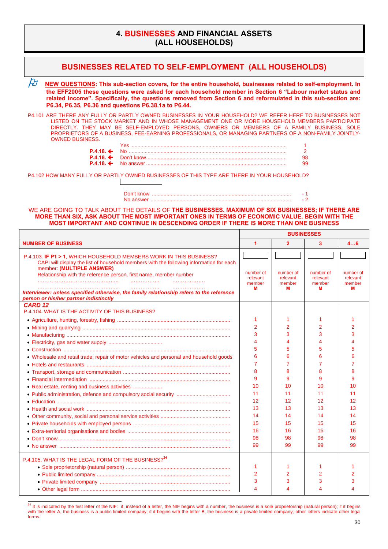## **4. BUSINESSES AND FINANCIAL ASSETS (ALL HOUSEHOLDS)**

| <b>BUSINESSES RELATED TO SELF-EMPLOYMENT (ALL HOUSEHOLDS)</b>                                                                                                                                                                                                                                                                                                                                                                          |   |                                      |                                      |                                      |                                      |
|----------------------------------------------------------------------------------------------------------------------------------------------------------------------------------------------------------------------------------------------------------------------------------------------------------------------------------------------------------------------------------------------------------------------------------------|---|--------------------------------------|--------------------------------------|--------------------------------------|--------------------------------------|
| $\cancel{E}$<br>NEW QUESTIONS: This sub-section covers, for the entire household, businesses related to self-employment. In<br>the EFF2005 these questions were asked for each household member in Section 6 "Labour market status and<br>related income". Specifically, the questions removed from Section 6 and reformulated in this sub-section are:<br>P6.34, P6.35, P6.36 and questions P6.38.1a to P6.44.                        |   |                                      |                                      |                                      |                                      |
| P4.101 ARE THERE ANY FULLY OR PARTLY OWNED BUSINESSES IN YOUR HOUSEHOLD? WE REFER HERE TO BUSINESSES NOT<br>LISTED ON THE STOCK MARKET AND IN WHOSE MANAGEMENT ONE OR MORE HOUSEHOLD MEMBERS PARTICIPATE<br>DIRECTLY. THEY MAY BE SELF-EMPLOYED PERSONS, OWNERS OR MEMBERS OF A FAMILY BUSINESS, SOLE<br>PROPRIETORS OF A BUSINESS, FEE-EARNING PROFESSIONALS, OR MANAGING PARTNERS OF A NON-FAMILY JOINTLY-<br><b>OWNED BUSINESS.</b> |   |                                      |                                      |                                      |                                      |
| $P.4.18 \div$<br>$P.4.18 \div$                                                                                                                                                                                                                                                                                                                                                                                                         |   |                                      |                                      | $\overline{2}$<br>98                 |                                      |
| $P.4.18 \div$                                                                                                                                                                                                                                                                                                                                                                                                                          |   |                                      |                                      | 99                                   |                                      |
| P4.102 HOW MANY FULLY OR PARTLY OWNED BUSINESSES OF THIS TYPE ARE THERE IN YOUR HOUSEHOLD?                                                                                                                                                                                                                                                                                                                                             |   |                                      |                                      |                                      |                                      |
|                                                                                                                                                                                                                                                                                                                                                                                                                                        |   |                                      |                                      | - 1                                  |                                      |
|                                                                                                                                                                                                                                                                                                                                                                                                                                        |   |                                      |                                      | $-2$                                 |                                      |
| WE ARE GOING TO TALK ABOUT THE DETAILS OF THE BUSINESSES. MAXIMUM OF SIX BUSINESSES; IF THERE ARE<br>MORE THAN SIX, ASK ABOUT THE MOST IMPORTANT ONES IN TERMS OF ECONOMIC VALUE. BEGIN WITH THE<br>MOST IMPORTANT AND CONTINUE IN DESCENDING ORDER IF THERE IS MORE THAN ONE BUSINESS                                                                                                                                                 |   |                                      |                                      |                                      |                                      |
|                                                                                                                                                                                                                                                                                                                                                                                                                                        |   |                                      | <b>BUSINESSES</b>                    |                                      |                                      |
| <b>NUMBER OF BUSINESS</b>                                                                                                                                                                                                                                                                                                                                                                                                              |   | $\blacktriangleleft$                 | $\overline{2}$                       | $\mathbf{3}$                         | 46                                   |
| P.4.103. IF P1 > 1, WHICH HOUSEHOLD MEMBERS WORK IN THIS BUSINESS?                                                                                                                                                                                                                                                                                                                                                                     |   |                                      |                                      |                                      |                                      |
| CAPI will display the list of household members with the following information for each<br>member: (MULTIPLE ANSWER)<br>Relationship with the reference person, first name, member number                                                                                                                                                                                                                                              | . | number of<br>relevant<br>member<br>М | number of<br>relevant<br>member<br>м | number of<br>relevant<br>member<br>м | number of<br>relevant<br>member<br>м |
| Interviewer: unless specified otherwise, the family relationship refers to the reference<br>person or his/her partner indistinctly                                                                                                                                                                                                                                                                                                     |   |                                      |                                      |                                      |                                      |
| CARD <sub>12</sub>                                                                                                                                                                                                                                                                                                                                                                                                                     |   |                                      |                                      |                                      |                                      |
| P.4.104. WHAT IS THE ACTIVITY OF THIS BUSINESS?                                                                                                                                                                                                                                                                                                                                                                                        |   |                                      |                                      |                                      |                                      |
|                                                                                                                                                                                                                                                                                                                                                                                                                                        |   | 1                                    | 1                                    | 1                                    |                                      |
|                                                                                                                                                                                                                                                                                                                                                                                                                                        |   | $\overline{2}$                       | $\overline{2}$                       | 2                                    | 2                                    |
|                                                                                                                                                                                                                                                                                                                                                                                                                                        |   | 3                                    | 3                                    | 3                                    | 3                                    |
|                                                                                                                                                                                                                                                                                                                                                                                                                                        |   | $\boldsymbol{\Delta}$                | $\boldsymbol{\Delta}$                | 4                                    | Δ                                    |
|                                                                                                                                                                                                                                                                                                                                                                                                                                        |   | 5                                    | 5                                    | 5                                    | 5                                    |
| • Wholesale and retail trade; repair of motor vehicles and personal and household goods                                                                                                                                                                                                                                                                                                                                                |   | 6                                    | 6                                    | 6                                    |                                      |
|                                                                                                                                                                                                                                                                                                                                                                                                                                        |   |                                      | 7                                    |                                      |                                      |
|                                                                                                                                                                                                                                                                                                                                                                                                                                        |   | 8<br>9                               | 8<br>9                               | 8<br>9                               | 9                                    |
|                                                                                                                                                                                                                                                                                                                                                                                                                                        |   | 10                                   | 10                                   | 10                                   | 10                                   |
|                                                                                                                                                                                                                                                                                                                                                                                                                                        |   | 11                                   | 11                                   | 11                                   | 11                                   |
|                                                                                                                                                                                                                                                                                                                                                                                                                                        |   | 12                                   | 12                                   | 12                                   | 12                                   |
|                                                                                                                                                                                                                                                                                                                                                                                                                                        |   | 13                                   | 13                                   | 13                                   | 13                                   |
|                                                                                                                                                                                                                                                                                                                                                                                                                                        |   | 14                                   | 14                                   | 14                                   | 14                                   |
|                                                                                                                                                                                                                                                                                                                                                                                                                                        |   | 15                                   | 15                                   | 15                                   | 15                                   |
|                                                                                                                                                                                                                                                                                                                                                                                                                                        |   | 16                                   | 16                                   | 16                                   | 16                                   |
|                                                                                                                                                                                                                                                                                                                                                                                                                                        |   | 98                                   | 98                                   | 98                                   | 98                                   |
|                                                                                                                                                                                                                                                                                                                                                                                                                                        |   |                                      |                                      |                                      |                                      |
|                                                                                                                                                                                                                                                                                                                                                                                                                                        |   | 99                                   | 99                                   | 99                                   | 99                                   |
|                                                                                                                                                                                                                                                                                                                                                                                                                                        |   |                                      |                                      |                                      |                                      |
|                                                                                                                                                                                                                                                                                                                                                                                                                                        |   |                                      |                                      |                                      |                                      |
| P.4.105. WHAT IS THE LEGAL FORM OF THE BUSINESS? <sup>24</sup>                                                                                                                                                                                                                                                                                                                                                                         |   | 1                                    | 1                                    |                                      |                                      |
|                                                                                                                                                                                                                                                                                                                                                                                                                                        |   | 2                                    | 2                                    | 2                                    |                                      |
|                                                                                                                                                                                                                                                                                                                                                                                                                                        |   | 3<br>4                               | 3<br>4                               | 3<br>4                               | 3                                    |

 $^{24}$  It is indicated by the first letter of the NIF: if, instead of a letter, the NIF begins with a number, the business is a sole proprietorship (natural person); if it begins with the letter A, the business is a public limited company; if it begins with the letter B, the business is a private limited company; other letters indicate other legal forms.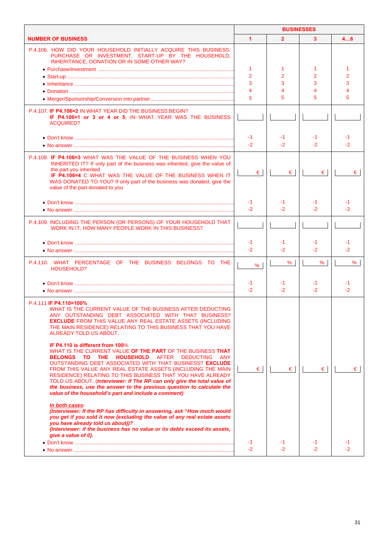|                                                                                                                                                                                                                                                                                                                                                                                                                                                                                                                                                              | <b>BUSINESSES</b>    |              |                |            |
|--------------------------------------------------------------------------------------------------------------------------------------------------------------------------------------------------------------------------------------------------------------------------------------------------------------------------------------------------------------------------------------------------------------------------------------------------------------------------------------------------------------------------------------------------------------|----------------------|--------------|----------------|------------|
| <b>NUMBER OF BUSINESS</b>                                                                                                                                                                                                                                                                                                                                                                                                                                                                                                                                    | $\blacktriangleleft$ | $\mathbf{2}$ | 3              | 46         |
| P.4.106. HOW DID YOUR HOUSEHOLD INITIALLY ACQUIRE THIS BUSINESS:<br>PURCHASE OR INVESTMENT, START-UP BY THE HOUSEHOLD,<br>INHERITANCE, DONATION OR IN SOME OTHER WAY?                                                                                                                                                                                                                                                                                                                                                                                        |                      |              |                |            |
|                                                                                                                                                                                                                                                                                                                                                                                                                                                                                                                                                              | 1                    | 1            | 1              |            |
|                                                                                                                                                                                                                                                                                                                                                                                                                                                                                                                                                              | $\overline{2}$       | 2            | $\overline{2}$ | 2          |
|                                                                                                                                                                                                                                                                                                                                                                                                                                                                                                                                                              | 3                    | 3            | 3              | 3          |
|                                                                                                                                                                                                                                                                                                                                                                                                                                                                                                                                                              | 4                    | 4            | 4              |            |
|                                                                                                                                                                                                                                                                                                                                                                                                                                                                                                                                                              | 5                    | 5            | 5              | 5          |
| P.4.107. IF P4.106=2 IN WHAT YEAR DID THE BUSINESS BEGIN?<br>IF P4.106=1 or 3 or 4 or 5. IN WHAT YEAR WAS THE BUSINESS<br>ACQUIRED?                                                                                                                                                                                                                                                                                                                                                                                                                          |                      |              |                |            |
| • Don't know ……………………………………………………………………………………………                                                                                                                                                                                                                                                                                                                                                                                                                                                                                                             | $-1$                 | -1           | -1             | -1         |
|                                                                                                                                                                                                                                                                                                                                                                                                                                                                                                                                                              | $-2$                 | $-2$         | $-2$           | $-2$       |
|                                                                                                                                                                                                                                                                                                                                                                                                                                                                                                                                                              |                      |              |                |            |
| P.4.108. IF P4.106=3 WHAT WAS THE VALUE OF THE BUSINESS WHEN YOU<br>INHERITED IT? If only part of the business was inherited, give the value of<br>the part you inherited                                                                                                                                                                                                                                                                                                                                                                                    | €                    | €            | €              | €          |
| IF P4.106=4 C WHAT WAS THE VALUE OF THE BUSINESS WHEN IT<br>WAS DONATED TO YOU? If only part of the business was donated, give the<br>value of the part donated to you                                                                                                                                                                                                                                                                                                                                                                                       |                      |              |                |            |
| • Don't know ……………………………………………………………………………………………                                                                                                                                                                                                                                                                                                                                                                                                                                                                                                             | -1                   | -1           | -1             | -1         |
|                                                                                                                                                                                                                                                                                                                                                                                                                                                                                                                                                              | $-2$                 | $-2$         | $-2$           | -2         |
|                                                                                                                                                                                                                                                                                                                                                                                                                                                                                                                                                              |                      |              |                |            |
| P.4.109. INCLUDING THE PERSON (OR PERSONS) OF YOUR HOUSEHOLD THAT<br>WORK IN IT, HOW MANY PEOPLE WORK IN THIS BUSINESS?                                                                                                                                                                                                                                                                                                                                                                                                                                      |                      |              |                |            |
|                                                                                                                                                                                                                                                                                                                                                                                                                                                                                                                                                              | $-1$                 | -1           | -1             | -1         |
|                                                                                                                                                                                                                                                                                                                                                                                                                                                                                                                                                              | $-2$                 | $-2$         | $-2$           | $-2$       |
| P.4.110. WHAT PERCENTAGE OF THE BUSINESS BELONGS TO THE<br>HOUSEHOLD?                                                                                                                                                                                                                                                                                                                                                                                                                                                                                        | %                    | %            | %              | %          |
|                                                                                                                                                                                                                                                                                                                                                                                                                                                                                                                                                              |                      |              |                |            |
|                                                                                                                                                                                                                                                                                                                                                                                                                                                                                                                                                              | -1<br>$-2$           | -1<br>$-2$   | -1<br>$-2$     | -1<br>$-2$ |
|                                                                                                                                                                                                                                                                                                                                                                                                                                                                                                                                                              |                      |              |                |            |
| P.4.111 IF P4.110=100%<br>WHAT IS THE CURRENT VALUE OF THE BUSINESS AFTER DEDUCTING<br>ANY OUTSTANDING DEBT ASSOCIATED WITH THAT BUSINESS?<br><b>EXCLUDE FROM THIS VALUE ANY REAL ESTATE ASSETS (INCLUDING</b><br>THE MAIN RESIDENCE) RELATING TO THIS BUSINESS THAT YOU HAVE<br>ALREADY TOLD US ABOUT.                                                                                                                                                                                                                                                      |                      |              |                |            |
| IF P4.110 is different from 100%<br>WHAT IS THE CURRENT VALUE OF THE PART OF THE BUSINESS THAT<br><b>BELONGS TO THE HOUSEHOLD</b> AFTER<br>DEDUCTING ANY<br>OUTSTANDING DEBT ASSOCIATED WITH THAT BUSINESS? EXCLUDE<br>FROM THIS VALUE ANY REAL ESTATE ASSETS (INCLUDING THE MAIN<br>RESIDENCE) RELATING TO THIS BUSINESS THAT YOU HAVE ALREADY<br>TOLD US ABOUT. (Interviewer: If The RP can only give the total value of<br>the business, use the answer to the previous question to calculate the<br>value of the household's part and include a comment) | $\epsilon$           | €            | $\epsilon$     | €∣         |
| In both cases:<br>(Interviewer: If the RP has difficulty in answering, ask "How much would<br>you get if you sold it now (excluding the value of any real estate assets<br>you have already told us about))?<br>(Interviewer: if the business has no value or its debts exceed its assets,<br>give a value of 0).                                                                                                                                                                                                                                            | -1                   | -1           | -1             |            |
|                                                                                                                                                                                                                                                                                                                                                                                                                                                                                                                                                              | $-2$                 | $-2$         | $-2^{1}$       | -2         |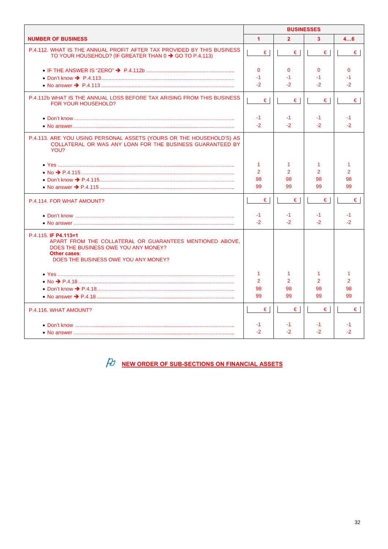|                                                                                                                                                                                  | <b>BUSINESSES</b>    |                |               |               |
|----------------------------------------------------------------------------------------------------------------------------------------------------------------------------------|----------------------|----------------|---------------|---------------|
| <b>NUMBER OF BUSINESS</b>                                                                                                                                                        | $\blacktriangleleft$ | $\overline{2}$ | $\mathbf{3}$  | 46            |
| P.4.112. WHAT IS THE ANNUAL PROFIT AFTER TAX PROVIDED BY THIS BUSINESS<br>TO YOUR HOUSEHOLD? (IF GREATER THAN $0 \rightarrow$ GO TO P.4.113)                                     | €                    | €              | €             | €             |
|                                                                                                                                                                                  | $\mathbf{0}$         | $\mathbf{0}$   | $\mathbf{0}$  | $\mathbf 0$   |
|                                                                                                                                                                                  | $-1$                 | $-1$           | -1            | $-1$          |
|                                                                                                                                                                                  | $-2$                 | $-2$           | $-2$          | $-2$          |
| P.4.112b WHAT IS THE ANNUAL LOSS BEFORE TAX ARISING FROM THIS BUSINESS<br>FOR YOUR HOUSEHOLD?                                                                                    | $\epsilon$           | €              | $\epsilon$    | $\epsilon$    |
|                                                                                                                                                                                  | $-1$                 | -1             | -1            | $-1$          |
|                                                                                                                                                                                  | $-2$                 | $-2$           | $-2^{1}$      | -2            |
| P.4.113. ARE YOU USING PERSONAL ASSETS (YOURS OR THE HOUSEHOLD'S) AS<br>COLLATERAL OR WAS ANY LOAN FOR THE BUSINESS GUARANTEED BY<br>YOU?                                        |                      |                |               |               |
|                                                                                                                                                                                  | 1                    | 1              | -1            | 1             |
|                                                                                                                                                                                  | $\overline{2}$       | $\mathcal{P}$  | $\mathcal{P}$ | $\mathcal{P}$ |
|                                                                                                                                                                                  | 98                   | 98             | 98            | 98            |
|                                                                                                                                                                                  | 99                   | 99             | 99            | 99            |
| P.4.114. FOR WHAT AMOUNT?                                                                                                                                                        | €                    | €              | €             | €             |
|                                                                                                                                                                                  | $-1$                 | -1             | -1            | $-1$          |
|                                                                                                                                                                                  | $-2$                 | $-2$           | $-2$          | $-2^{1}$      |
| P.4.115. IF P4.113=1<br>APART FROM THE COLLATERAL OR GUARANTEES MENTIONED ABOVE.<br>DOES THE BUSINESS OWE YOU ANY MONEY?<br>Other cases:<br>DOES THE BUSINESS OWE YOU ANY MONEY? |                      |                |               |               |
|                                                                                                                                                                                  | 1                    | 1              | -1            | 1             |
|                                                                                                                                                                                  | $\overline{2}$       | $\mathcal{P}$  | $\mathcal{P}$ | $\mathcal{P}$ |
|                                                                                                                                                                                  | 98                   | 98             | 98            | 98            |
|                                                                                                                                                                                  | 99                   | 99             | 99            | 99            |
| P.4.116. WHAT AMOUNT?                                                                                                                                                            | €                    | €              | €             | €             |
|                                                                                                                                                                                  | -1                   | -1             | -1            | -1            |
|                                                                                                                                                                                  | $-2$                 | $-2$           | $-2$          | -2            |

 $\hat{\mathcal{H}}$  NEW ORDER OF SUB-SECTIONS ON FINANCIAL ASSETS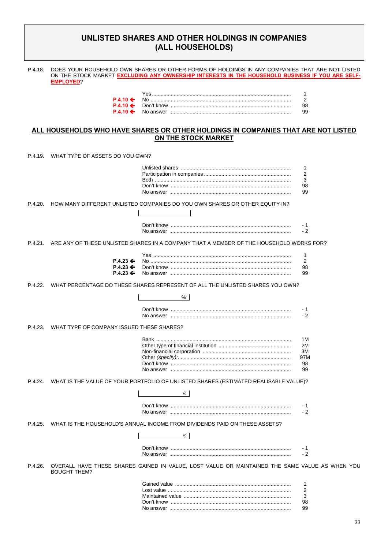## **UNLISTED SHARES AND OTHER HOLDINGS IN COMPANIES (ALL HOUSEHOLDS)**

| P.4.18. | <b>EMPLOYED?</b>                                                                 | DOES YOUR HOUSEHOLD OWN SHARES OR OTHER FORMS OF HOLDINGS IN ANY COMPANIES THAT ARE NOT LISTED<br>ON THE STOCK MARKET EXCLUDING ANY OWNERSHIP INTERESTS IN THE HOUSEHOLD BUSINESS IF YOU ARE SELF- |                                      |
|---------|----------------------------------------------------------------------------------|----------------------------------------------------------------------------------------------------------------------------------------------------------------------------------------------------|--------------------------------------|
|         | $P.4.10 \Leftrightarrow$<br>$P.4.10 \Leftrightarrow$<br>$P.4.10 \Leftrightarrow$ |                                                                                                                                                                                                    | 1<br>$\overline{2}$<br>98<br>99      |
|         |                                                                                  | ALL HOUSEHOLDS WHO HAVE SHARES OR OTHER HOLDINGS IN COMPANIES THAT ARE NOT LISTED<br>ON THE STOCK MARKET                                                                                           |                                      |
| P.4.19  | WHAT TYPE OF ASSETS DO YOU OWN?                                                  |                                                                                                                                                                                                    |                                      |
|         |                                                                                  |                                                                                                                                                                                                    | 1<br>$\overline{2}$<br>3<br>98<br>99 |
| P.4.20. |                                                                                  | HOW MANY DIFFERENT UNLISTED COMPANIES DO YOU OWN SHARES OR OTHER EQUITY IN?                                                                                                                        | - 1                                  |
| P.4.21. |                                                                                  | ARE ANY OF THESE UNLISTED SHARES IN A COMPANY THAT A MEMBER OF THE HOUSEHOLD WORKS FOR?                                                                                                            | $-2$                                 |
|         | $P.4.23$ ←<br>$P.4.23 \div$<br>$P.4.23 \div$                                     |                                                                                                                                                                                                    | 1<br>2<br>98<br>99                   |
| P.4.22. |                                                                                  | WHAT PERCENTAGE DO THESE SHARES REPRESENT OF ALL THE UNLISTED SHARES YOU OWN?<br>%                                                                                                                 |                                      |
|         |                                                                                  |                                                                                                                                                                                                    | - 1<br>$-2$                          |

P.4.23. WHAT TYPE OF COMPANY ISSUED THESE SHARES?

| 1M  |
|-----|
|     |
|     |
| 97M |
|     |
|     |

P.4.24. WHAT IS THE VALUE OF YOUR PORTFOLIO OF UNLISTED SHARES (ESTIMATED REALISABLE VALUE)?

| Don't know |  |
|------------|--|
| No answer  |  |

P.4.25. WHAT IS THE HOUSEHOLD'S ANNUAL INCOME FROM DIVIDENDS PAID ON THESE ASSETS?

 $\mathbf{L}$ 

| Don't know |  |
|------------|--|
|            |  |

P.4.26. OVERALL HAVE THESE SHARES GAINED IN VALUE, LOST VALUE OR MAINTAINED THE SAME VALUE AS WHEN YOU BOUGHT THEM?

| 98.  |
|------|
| - 99 |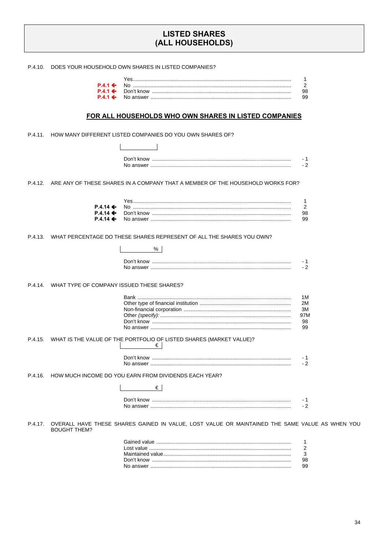## **LISTED SHARES** (ALL HOUSEHOLDS)

P.4.10. DOES YOUR HOUSEHOLD OWN SHARES IN LISTED COMPANIES?

|  | 98. |
|--|-----|
|  |     |

#### FOR ALL HOUSEHOLDS WHO OWN SHARES IN LISTED COMPANIES

P.4.11. HOW MANY DIFFERENT LISTED COMPANIES DO YOU OWN SHARES OF?

 $\mathbb{R}^n$  and  $\mathbb{R}^n$ 

| Don't know | - |
|------------|---|
| No answei  |   |

P.4.12. ARE ANY OF THESE SHARES IN A COMPANY THAT A MEMBER OF THE HOUSEHOLD WORKS FOR?

| YAS                                                                                                                                                                          |     |
|------------------------------------------------------------------------------------------------------------------------------------------------------------------------------|-----|
| $P.4.14 \leftarrow$ No $\ldots$ No $\ldots$ No $\ldots$ $\ldots$ $\ldots$ $\ldots$ $\ldots$ $\ldots$ $\ldots$ $\ldots$ $\ldots$ $\ldots$ $\ldots$ $\ldots$ $\ldots$ $\ldots$ |     |
|                                                                                                                                                                              | 98. |
|                                                                                                                                                                              |     |

P.4.13. WHAT PERCENTAGE DO THESE SHARES REPRESENT OF ALL THE SHARES YOU OWN?

| Don't know |  |
|------------|--|

P.4.14. WHAT TYPE OF COMPANY ISSUED THESE SHARES?

P.4.15. WHAT IS THE VALUE OF THE PORTFOLIO OF LISTED SHARES (MARKET VALUE)?  $\begin{array}{ccc} \vert & \vert & \vert & \vert \end{array}$ 

| Don't know | - |
|------------|---|
| No answer  |   |

P.4.16. HOW MUCH INCOME DO YOU EARN FROM DIVIDENDS EACH YEAR?

### $\qquad \qquad \in$

| <b>KNOW</b> |  |
|-------------|--|
| answer      |  |

P.4.17. OVERALL HAVE THESE SHARES GAINED IN VALUE, LOST VALUE OR MAINTAINED THE SAME VALUE AS WHEN YOU **BOUGHT THEM?** 

| 98. |
|-----|
| 99. |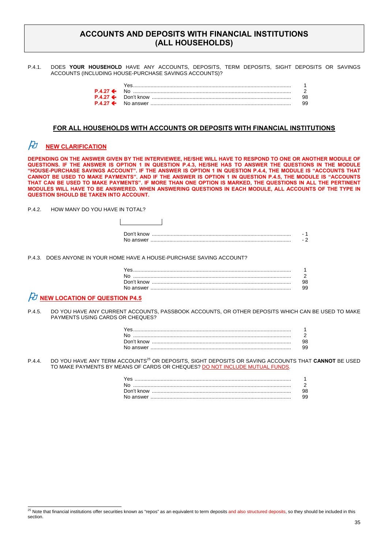## **ACCOUNTS AND DEPOSITS WITH FINANCIAL INSTITUTIONS (ALL HOUSEHOLDS)**

P.4.1. DOES **YOUR HOUSEHOLD** HAVE ANY ACCOUNTS, DEPOSITS, TERM DEPOSITS, SIGHT DEPOSITS OR SAVINGS ACCOUNTS (INCLUDING HOUSE-PURCHASE SAVINGS ACCOUNTS)?

#### **FOR ALL HOUSEHOLDS WITH ACCOUNTS OR DEPOSITS WITH FINANCIAL INSTITUTIONS**

# $\cancel{P}$  NEW CLARIFICATION

**DEPENDING ON THE ANSWER GIVEN BY THE INTERVIEWEE, HE/SHE WILL HAVE TO RESPOND TO ONE OR ANOTHER MODULE OF QUESTIONS. IF THE ANSWER IS OPTION 1 IN QUESTION P.4.3, HE/SHE HAS TO ANSWER THE QUESTIONS IN THE MODULE "HOUSE-PURCHASE SAVINGS ACCOUNT". IF THE ANSWER IS OPTION 1 IN QUESTION P.4.4, THE MODULE IS "ACCOUNTS THAT CANNOT BE USED TO MAKE PAYMENTS". AND IF THE ANSWER IS OPTION 1 IN QUESTION P.4.5, THE MODULE IS "ACCOUNTS THAT CAN BE USED TO MAKE PAYMENTS". IF MORE THAN ONE OPTION IS MARKED, THE QUESTIONS IN ALL THE PERTINENT MODULES WILL HAVE TO BE ANSWERED. WHEN ANSWERING QUESTIONS IN EACH MODULE, ALL ACCOUNTS OF THE TYPE IN QUESTION SHOULD BE TAKEN INTO ACCOUNT.** 

P.4.2. HOW MANY DO YOU HAVE IN TOTAL?

| Don't know |  |
|------------|--|
|            |  |

P.4.3. DOES ANYONE IN YOUR HOME HAVE A HOUSE-PURCHASE SAVING ACCOUNT?

 $\mathbf{I}$ 

| No. |  |
|-----|--|
|     |  |
|     |  |
|     |  |

## *FU* NEW LOCATION OF QUESTION P4.5

P.4.5. DO YOU HAVE ANY CURRENT ACCOUNTS, PASSBOOK ACCOUNTS, OR OTHER DEPOSITS WHICH CAN BE USED TO MAKE PAYMENTS USING CARDS OR CHEQUES?

| No. |  |
|-----|--|
|     |  |
|     |  |

P.4.4. DO YOU HAVE ANY TERM ACCOUNTS<sup>25</sup> OR DEPOSITS, SIGHT DEPOSITS OR SAVING ACCOUNTS THAT **CANNOT** BE USED TO MAKE PAYMENTS BY MEANS OF CARDS OR CHEQUES? DO NOT INCLUDE MUTUAL FUNDS.

| N٥ |  |
|----|--|
|    |  |
|    |  |

 $^{25}$  Note that financial institutions offer securities known as "repos" as an equivalent to term deposits and also structured deposits, so they should be included in this section.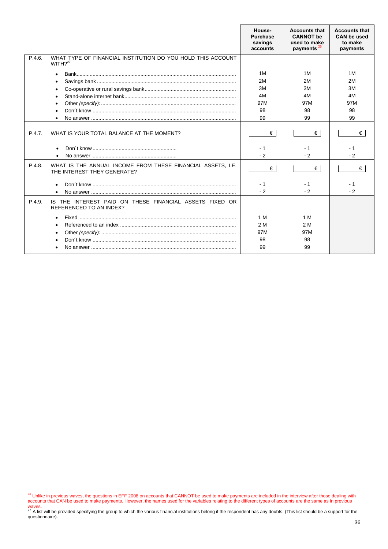|        |                                                                                            | House-<br><b>Purchase</b><br>savings<br>accounts | <b>Accounts that</b><br><b>CANNOT</b> be<br>used to make<br>payments <sup>26</sup> | <b>Accounts that</b><br><b>CAN be used</b><br>to make<br>payments |
|--------|--------------------------------------------------------------------------------------------|--------------------------------------------------|------------------------------------------------------------------------------------|-------------------------------------------------------------------|
| P.4.6. | WHAT TYPE OF FINANCIAL INSTITUTION DO YOU HOLD THIS ACCOUNT<br>WITH $2^{27}$               |                                                  |                                                                                    |                                                                   |
|        |                                                                                            | 1M<br>2M                                         | 1M<br>2M                                                                           | 1M<br>2M                                                          |
|        |                                                                                            | 3M                                               | 3M                                                                                 | 3M                                                                |
|        |                                                                                            | 4M                                               | 4M                                                                                 | 4M                                                                |
|        |                                                                                            | 97M                                              | 97M                                                                                | 97M                                                               |
|        |                                                                                            | 98<br>99                                         | 98                                                                                 | 98                                                                |
|        |                                                                                            |                                                  | 99                                                                                 | 99                                                                |
| P.4.7. | WHAT IS YOUR TOTAL BALANCE AT THE MOMENT?                                                  | €                                                | €                                                                                  | €                                                                 |
|        | $\bullet$                                                                                  | - 1<br>$-2$                                      | - 1<br>$-2$                                                                        | - 1<br>$-2$                                                       |
| P.4.8. | WHAT IS THE ANNUAL INCOME FROM THESE FINANCIAL ASSETS. I.E.<br>THE INTEREST THEY GENERATE? | €                                                | €                                                                                  | €                                                                 |
|        |                                                                                            | - 1                                              | - 1                                                                                | - 1                                                               |
|        |                                                                                            | $-2$                                             | $-2$                                                                               | $-2$                                                              |
| P.4.9. | IS THE INTEREST PAID ON THESE FINANCIAL ASSETS FIXED OR<br><b>REFERENCED TO AN INDEX?</b>  |                                                  |                                                                                    |                                                                   |
|        |                                                                                            | 1 M                                              | 1 M                                                                                |                                                                   |
|        |                                                                                            | 2 M                                              | 2 M                                                                                |                                                                   |
|        |                                                                                            | 97M                                              | 97M                                                                                |                                                                   |
|        |                                                                                            | 98                                               | 98                                                                                 |                                                                   |
|        |                                                                                            | 99                                               | 99                                                                                 |                                                                   |

<sup>&</sup>lt;sup>26</sup> Unlike in previous waves, the questions in EFF 2008 on accounts that CANNOT be used to make payments are included in the interview after those dealing with accounts that CAN be used to make payments. However, the names used for the variables relating to the different types of accounts are the same as in previous

waves.<br><sup>27</sup> A list will be provided specifying the group to which the various financial institutions belong if the respondent has any doubts. (This list should be a support for the questionnaire).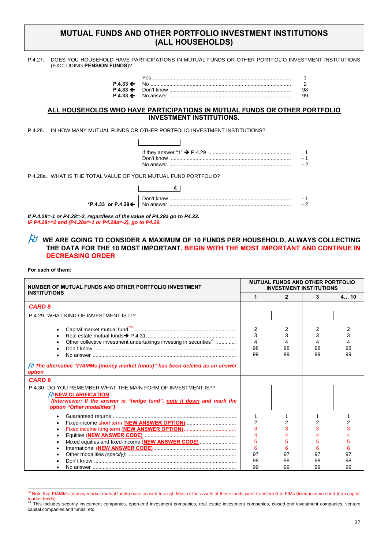### **MUTUAL FUNDS AND OTHER PORTFOLIO INVESTMENT INSTITUTIONS (ALL HOUSEHOLDS)**

P.4.27. DOES YOU HOUSEHOLD HAVE PARTICIPATIONS IN MUTUAL FUNDS OR OTHER PORTFOLIO INVESTMENT INSTITUTIONS (EXCLUDING **PENSION FUNDS**)?

### **ALL HOUSEHOLDS WHO HAVE PARTICIPATIONS IN MUTUAL FUNDS OR OTHER PORTFOLIO INVESTMENT INSTITUTIONS.**

P.4.28. IN HOW MANY MUTUAL FUNDS OR OTHER PORTFOLIO INVESTMENT INSTITUTIONS?

| P.4.28a. WHAT IS THE TOTAL VALUE OF YOUR MUTUAL FUND PORTFOLIO? |            |  |
|-----------------------------------------------------------------|------------|--|
|                                                                 |            |  |
|                                                                 | Don't know |  |

**\*P.4.33 or P.4.29** No answer .................................................................................... - 2

*If P.4.28=-1 or P4.28=-2, regardless of the value of P4.28a go to P4.33. IF P4.28>=2 and (P4.28a=-1 or P4.28a=-2), go to P4.29.* 

### $\beta$  we are going to consider a maximum of 10 FUNDS PER HOUSEHOLD, ALWAYS COLLECTING **THE DATA FOR THE 10 MOST IMPORTANT. BEGIN WITH THE MOST IMPORTANT AND CONTINUE IN DECREASING ORDER**

**For each of them:** 

| NUMBER OF MUTUAL FUNDS AND OTHER PORTFOLIO INVESTMENT                                                                                                                                          |                         | <b>MUTUAL FUNDS AND OTHER PORTFOLIO</b><br><b>INVESTMENT INSTITUTIONS</b> |                    |          |
|------------------------------------------------------------------------------------------------------------------------------------------------------------------------------------------------|-------------------------|---------------------------------------------------------------------------|--------------------|----------|
| <b>INSTITUTIONS</b>                                                                                                                                                                            |                         | 2                                                                         | 3                  | 410      |
| <b>CARD 8</b>                                                                                                                                                                                  |                         |                                                                           |                    |          |
| P.4.29. WHAT KIND OF INVESTMENT IS IT?                                                                                                                                                         |                         |                                                                           |                    |          |
| Other collective investment undertakings investing in securities <sup>29</sup>                                                                                                                 | 2<br>3<br>4<br>98<br>99 | 2<br>3<br>98<br>99                                                        | 2<br>3<br>98<br>99 | 98<br>99 |
| $\beta$ The alternative "FIAMMs (money market funds)" has been deleted as an answer<br>option                                                                                                  |                         |                                                                           |                    |          |
| <b>CARD 9</b>                                                                                                                                                                                  |                         |                                                                           |                    |          |
| P.4.30 DO YOU REMEMBER WHAT THE MAIN FORM OF INVESTMENT IS??<br>$\#$ NEW CLARIFICATION<br>(Interviewer: If the answer is "hedge fund", note it down and mark the<br>option "Other modalities") |                         |                                                                           |                    |          |
|                                                                                                                                                                                                |                         |                                                                           |                    |          |
|                                                                                                                                                                                                | $\overline{2}$          | $\overline{2}$                                                            | $\overline{2}$     |          |
|                                                                                                                                                                                                | 3                       |                                                                           | 3                  |          |
|                                                                                                                                                                                                | 4                       |                                                                           |                    |          |
| Mixed equities and fixed-income (NEW ANSWER CODE)                                                                                                                                              | 5                       |                                                                           | 5                  |          |
|                                                                                                                                                                                                | 6                       | 6                                                                         | 6                  |          |
|                                                                                                                                                                                                | 97                      | 97                                                                        | 97                 | 97       |
|                                                                                                                                                                                                | 98<br>99                | 98<br>99                                                                  | 98<br>99           | 98<br>99 |
|                                                                                                                                                                                                |                         |                                                                           |                    |          |

<sup>&</sup>lt;sup>28</sup> Note that FIAMMs (money market mutual funds) have ceased to exist. Most of the assets of these funds were transferred to FIMs (fixed-income short-term capital market funds).<br><sup>29</sup> This includes security investment companies, open-end investment companies, real estate investment sompacies, venture endenterent companies, venture

capital companies and funds, etc.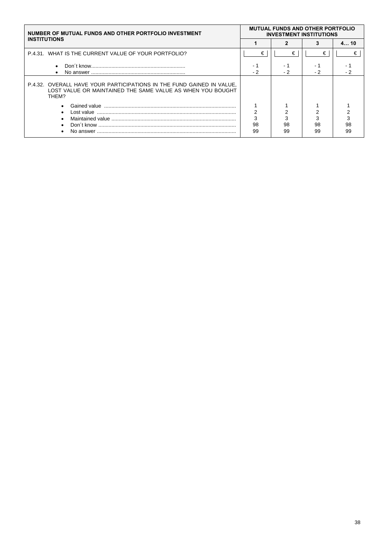| NUMBER OF MUTUAL FUNDS AND OTHER PORTFOLIO INVESTMENT                                                                                        |    | <b>MUTUAL FUNDS AND OTHER PORTFOLIO</b><br><b>INVESTMENT INSTITUTIONS</b> |     |     |
|----------------------------------------------------------------------------------------------------------------------------------------------|----|---------------------------------------------------------------------------|-----|-----|
| <b>INSTITUTIONS</b>                                                                                                                          |    |                                                                           |     | 410 |
| P.4.31. WHAT IS THE CURRENT VALUE OF YOUR PORTFOLIO?                                                                                         | €  | €                                                                         | €   | €   |
| $\bullet$                                                                                                                                    |    |                                                                           |     |     |
| $\bullet$                                                                                                                                    |    | - 2                                                                       | - 2 |     |
| P.4.32. OVERALL HAVE YOUR PARTICIPATIONS IN THE FUND GAINED IN VALUE,<br>LOST VALUE OR MAINTAINED THE SAME VALUE AS WHEN YOU BOUGHT<br>THEM? |    |                                                                           |     |     |
|                                                                                                                                              |    |                                                                           |     |     |
| $\bullet$                                                                                                                                    |    |                                                                           |     |     |
| ٠                                                                                                                                            | 3  |                                                                           |     |     |
|                                                                                                                                              | 98 | 98                                                                        | 98  | 98  |
|                                                                                                                                              | 99 | 99                                                                        | 99  | 99  |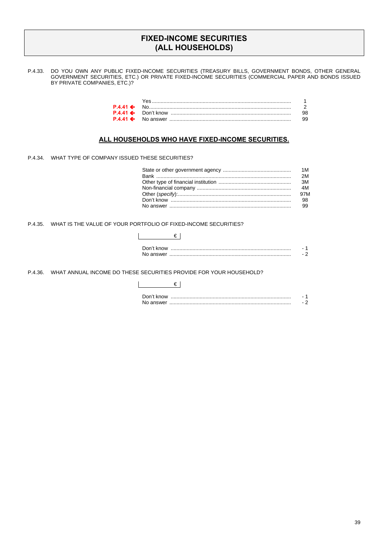### **FIXED-INCOME SECURITIES (ALL HOUSEHOLDS)**

P.4.33. DO YOU OWN ANY PUBLIC FIXED-INCOME SECURITIES (TREASURY BILLS, GOVERNMENT BONDS, OTHER GENERAL GOVERNMENT SECURITIES, ETC.) OR PRIVATE FIXED-INCOME SECURITIES (COMMERCIAL PAPER AND BONDS ISSUED BY PRIVATE COMPANIES, ETC.)?

### **ALL HOUSEHOLDS WHO HAVE FIXED-INCOME SECURITIES.**

€

P.4.34. WHAT TYPE OF COMPANY ISSUED THESE SECURITIES?

| 2M  |
|-----|
| 3M  |
|     |
| 97M |
| 98  |
|     |

P.4.35. WHAT IS THE VALUE OF YOUR PORTFOLIO OF FIXED-INCOME SECURITIES?

| Don't know |  |
|------------|--|
|            |  |

P.4.36. WHAT ANNUAL INCOME DO THESE SECURITIES PROVIDE FOR YOUR HOUSEHOLD?

| Don't know |  |
|------------|--|
|            |  |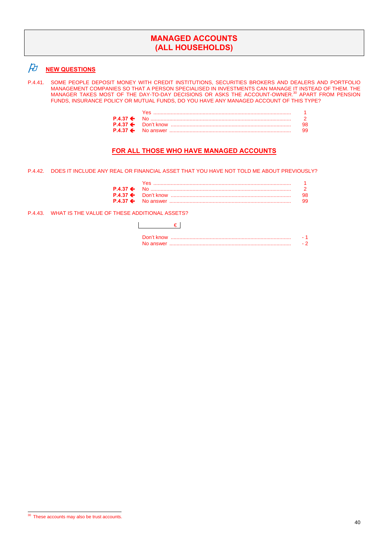## **MANAGED ACCOUNTS (ALL HOUSEHOLDS)**

# *A* **<u>NEW QUESTIONS</u>**

P.4.41. SOME PEOPLE DEPOSIT MONEY WITH CREDIT INSTITUTIONS, SECURITIES BROKERS AND DEALERS AND PORTFOLIO MANAGEMENT COMPANIES SO THAT A PERSON SPECIALISED IN INVESTMENTS CAN MANAGE IT INSTEAD OF THEM. THE<br>MANAGER TAKES MOST OF THE DAY-TO-DAY DECISIONS OR ASKS THE ACCOUNT-OWNER.<sup>30</sup> APART FROM PENSION FUNDS, INSURANCE POLICY OR MUTUAL FUNDS, DO YOU HAVE ANY MANAGED ACCOUNT OF THIS TYPE?

|  | 98. |
|--|-----|
|  | 99. |

### **FOR ALL THOSE WHO HAVE MANAGED ACCOUNTS**

P.4.42. DOES IT INCLUDE ANY REAL OR FINANCIAL ASSET THAT YOU HAVE NOT TOLD ME ABOUT PREVIOUSLY?

| <u>Yes ……………………………………………………………………………</u> |  |
|------------------------------------------|--|
|                                          |  |
|                                          |  |
|                                          |  |

P.4.43. WHAT IS THE VALUE OF THESE ADDITIONAL ASSETS?

### $\epsilon$

<sup>&</sup>lt;sup>30</sup> These accounts may also be trust accounts.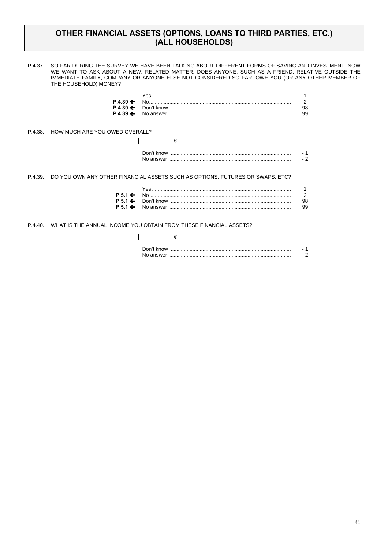## **OTHER FINANCIAL ASSETS (OPTIONS, LOANS TO THIRD PARTIES, ETC.) (ALL HOUSEHOLDS)**

P.4.37. SO FAR DURING THE SURVEY WE HAVE BEEN TALKING ABOUT DIFFERENT FORMS OF SAVING AND INVESTMENT. NOW WE WANT TO ASK ABOUT A NEW, RELATED MATTER, DOES ANYONE, SUCH AS A FRIEND, RELATIVE OUTSIDE THE IMMEDIATE FAMILY, COMPANY OR ANYONE ELSE NOT CONSIDERED SO FAR, OWE YOU (OR ANY OTHER MEMBER OF THE HOUSEHOLD) MONEY?

P.4.38. HOW MUCH ARE YOU OWED OVERALL?

| Don't know |     |
|------------|-----|
| No answer  | . . |

P.4.39. DO YOU OWN ANY OTHER FINANCIAL ASSETS SUCH AS OPTIONS, FUTURES OR SWAPS, ETC?

| $P.51 \leftarrow$ |  |
|-------------------|--|
|                   |  |
|                   |  |

P.4.40. WHAT IS THE ANNUAL INCOME YOU OBTAIN FROM THESE FINANCIAL ASSETS?

| Don't know |  |
|------------|--|
| No answer  |  |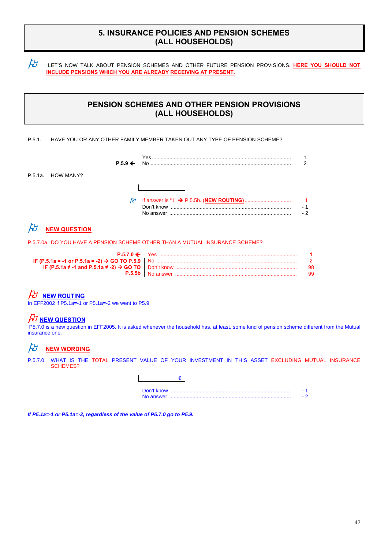## **5. INSURANCE POLICIES AND PENSION SCHEMES (ALL HOUSEHOLDS)**

*AJ* LET'S NOW TALK ABOUT PENSION SCHEMES AND OTHER FUTURE PENSION PROVISIONS. HERE YOU SHOULD NOT **INCLUDE PENSIONS WHICH YOU ARE ALREADY RECEIVING AT PRESENT.**

## **PENSION SCHEMES AND OTHER PENSION PROVISIONS (ALL HOUSEHOLDS)**

#### P.5.1. HAVE YOU OR ANY OTHER FAMILY MEMBER TAKEN OUT ANY TYPE OF PENSION SCHEME?

|                   | $P.5.9 \leftarrow$ | Yes<br>No. | ◠    |
|-------------------|--------------------|------------|------|
| P.5.1a. HOW MANY? |                    |            |      |
|                   |                    |            |      |
|                   | $\mathcal{B}$      |            |      |
|                   |                    |            | $-2$ |

## $H$  **NEW QUESTION**

P.5.7.0a. DO YOU HAVE A PENSION SCHEME OTHER THAN A MUTUAL INSURANCE SCHEME?

|  | 98. |
|--|-----|
|  | 99. |

# $\not\!\!\! D$  **NEW ROUTING**

In EFF2002 if P5.1a=-1 or P5.1a=-2 we went to P5.9

## **NEW QUESTION**

 P5.7.0 is a new question in EFF2005. It is asked whenever the household has, at least, some kind of pension scheme different from the Mutual insurance one.

## $\cancel{D}$  **NEW WORDING**

P.5.7.0. WHAT IS THE TOTAL PRESENT VALUE OF YOUR INVESTMENT IN THIS ASSET EXCLUDING MUTUAL INSURANCE SCHEMES?

| No answer |  |
|-----------|--|

*If P5.1a=-1 or P5.1a=-2, regardless of the value of P5.7.0 go to P5.9.*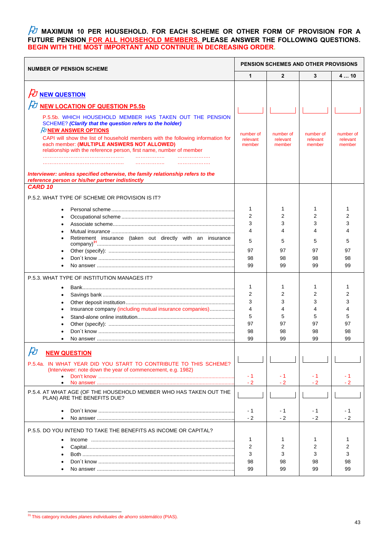### **M** MAXIMUM 10 PER HOUSEHOLD. FOR EACH SCHEME OR OTHER FORM OF PROVISION FOR A **FUTURE PENSION FOR ALL HOUSEHOLD MEMBERS. PLEASE ANSWER THE FOLLOWING QUESTIONS. BEGIN WITH THE MOST IMPORTANT AND CONTINUE IN DECREASING ORDER.**

| <b>NUMBER OF PENSION SCHEME</b>                                                                                                                                                                                                                                                                                                                                           |                                         |                                              | <b>PENSION SCHEMES AND OTHER PROVISIONS</b> |                                    |
|---------------------------------------------------------------------------------------------------------------------------------------------------------------------------------------------------------------------------------------------------------------------------------------------------------------------------------------------------------------------------|-----------------------------------------|----------------------------------------------|---------------------------------------------|------------------------------------|
|                                                                                                                                                                                                                                                                                                                                                                           | $\mathbf{1}$                            | $\mathbf{2}$                                 | 3                                           | 410                                |
| $H$ NEW QUESTION<br><b>NEW LOCATION OF QUESTION P5.5b</b>                                                                                                                                                                                                                                                                                                                 |                                         |                                              |                                             |                                    |
| P.5.5b. WHICH HOUSEHOLD MEMBER HAS TAKEN OUT THE PENSION<br>SCHEME? (Clarify that the question refers to the holder)<br><b><i>PUNEW ANSWER OPTIONS</i></b><br>CAPI will show the list of household members with the following information for<br>each member: (MULTIPLE ANSWERS NOT ALLOWED)<br>relationship with the reference person, first name, number of member<br>. |                                         | number of<br>relevant<br>member              | number of<br>relevant<br>member             | number of<br>relevant<br>member    |
| Interviewer: unless specified otherwise, the family relationship refers to the<br>reference person or his/her partner indistinctly<br><b>CARD 10</b>                                                                                                                                                                                                                      |                                         |                                              |                                             |                                    |
| P.5.2. WHAT TYPE OF SCHEME OR PROVISION IS IT?<br>Retirement insurance (taken out directly with an insurance                                                                                                                                                                                                                                                              | 1<br>2<br>3<br>4<br>5<br>97<br>98<br>99 | 1<br>2<br>3<br>4<br>5<br>97<br>98<br>99      | 1<br>2<br>3<br>4<br>5<br>97<br>98<br>99     | 1<br>2<br>3<br>5<br>97<br>98<br>99 |
| P.5.3. WHAT TYPE OF INSTITUTION MANAGES IT?<br>Insurance company (including mutual insurance companies)                                                                                                                                                                                                                                                                   | 1<br>2<br>3<br>4<br>5<br>97<br>98<br>99 | 1<br>2<br>3<br>4<br>5<br>97<br>98<br>99      | 1<br>2<br>3<br>4<br>5<br>97<br>98<br>99     | 1<br>2<br>3<br>5<br>97<br>98<br>99 |
| n<br>H<br><b>NEW QUESTION</b><br>P.5.4a. IN WHAT YEAR DID YOU START TO CONTRIBUTE TO THIS SCHEME?<br>(Interviewer: note down the year of commencement, e.g. 1982)<br>$\bullet$<br>$\bullet$                                                                                                                                                                               | - 1<br>$-2$                             | - 1<br>$-2$                                  | - 1<br>$-2$                                 | - 1<br>$-2$                        |
| P.5.4. AT WHAT AGE (OF THE HOUSEHOLD MEMBER WHO HAS TAKEN OUT THE<br>PLAN) ARE THE BENEFITS DUE?                                                                                                                                                                                                                                                                          | - 1                                     | - 1                                          | - 1                                         | - 1                                |
| $\bullet$<br>P.5.5. DO YOU INTEND TO TAKE THE BENEFITS AS INCOME OR CAPITAL?                                                                                                                                                                                                                                                                                              | $-2$<br>1<br>2<br>3<br>98<br>99         | $-2$<br>1<br>$\overline{2}$<br>3<br>98<br>99 | - 2<br>1<br>2<br>3<br>98<br>99              | - 2<br>1<br>2<br>3<br>98<br>99     |

 31 This category includes *planes individuales de ahorro sistemático* (PIAS).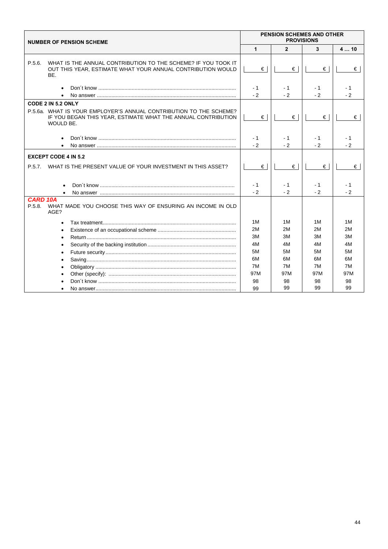| <b>PENSION SCHEMES AND OTHER</b><br><b>PROVISIONS</b><br><b>NUMBER OF PENSION SCHEME</b>                                                         |             |                |             |              |
|--------------------------------------------------------------------------------------------------------------------------------------------------|-------------|----------------|-------------|--------------|
|                                                                                                                                                  | 1           | $\overline{2}$ | 3           | 410          |
| P.5.6.<br>WHAT IS THE ANNUAL CONTRIBUTION TO THE SCHEME? IF YOU TOOK IT<br>OUT THIS YEAR, ESTIMATE WHAT YOUR ANNUAL CONTRIBUTION WOULD<br>BE.    | €           | €              | €           | €            |
| $\bullet$                                                                                                                                        | - 1<br>$-2$ | - 1<br>$-2$    | - 1<br>$-2$ | $-1$<br>$-2$ |
| CODE 2 IN 5.2 ONLY                                                                                                                               |             |                |             |              |
| P.5.6a. WHAT IS YOUR EMPLOYER'S ANNUAL CONTRIBUTION TO THE SCHEME?<br>IF YOU BEGAN THIS YEAR, ESTIMATE WHAT THE ANNUAL CONTRIBUTION<br>WOULD BE. | $\epsilon$  | €              | €           | €            |
|                                                                                                                                                  | - 1<br>$-2$ | - 1<br>$-2$    | - 1<br>$-2$ | - 1<br>$-2$  |
| <b>EXCEPT CODE 4 IN 5.2</b>                                                                                                                      |             |                |             |              |
| WHAT IS THE PRESENT VALUE OF YOUR INVESTMENT IN THIS ASSET?<br>P.5.7.                                                                            | €           | €              | €           | €            |
|                                                                                                                                                  | - 1<br>$-2$ | - 1<br>$-2$    | - 1<br>$-2$ | - 1<br>$-2$  |
| <b>CARD 10A</b><br>WHAT MADE YOU CHOOSE THIS WAY OF ENSURING AN INCOME IN OLD<br>P.5.8.<br>AGE?                                                  |             |                |             |              |
| $\bullet$                                                                                                                                        | 1M          | 1M             | 1M          | 1M           |
|                                                                                                                                                  | 2M          | 2M             | 2M          | 2M           |
| $\bullet$                                                                                                                                        | 3M          | 3M             | 3M          | 3M           |
| $\bullet$                                                                                                                                        | 4M          | 4M             | 4M          | 4M           |
| $\bullet$                                                                                                                                        | 5M          | 5M             | 5M          | 5M           |
|                                                                                                                                                  | 6M          | 6M             | 6М          | 6M           |
|                                                                                                                                                  | 7M          | 7M             | 7M          | 7M           |
|                                                                                                                                                  | 97M         | 97M            | 97M         | 97M          |
|                                                                                                                                                  | 98          | 98             | 98          | 98           |
|                                                                                                                                                  | 99          | 99             | 99          | 99           |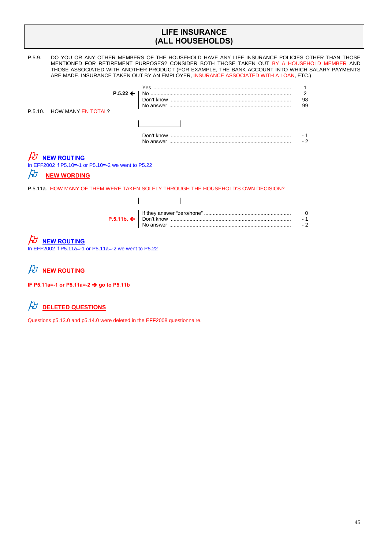## **LIFE INSURANCE (ALL HOUSEHOLDS)**

P.5.9. DO YOU OR ANY OTHER MEMBERS OF THE HOUSEHOLD HAVE ANY LIFE INSURANCE POLICIES OTHER THAN THOSE MENTIONED FOR RETIREMENT PURPOSES? CONSIDER BOTH THOSE TAKEN OUT BY A HOUSEHOLD MEMBER AND THOSE ASSOCIATED WITH ANOTHER PRODUCT (FOR EXAMPLE, THE BANK ACCOUNT INTO WHICH SALARY PAYMENTS ARE MADE, INSURANCE TAKEN OUT BY AN EMPLOYER, INSURANCE ASSOCIATED WITH A LOAN, ETC.) Yes ............................................................................................... 1 **P.5.22**  No ................................................................................................. 2

| P.5.10. HOW MANY EN TOTAL? |                             | 98<br>99 |
|----------------------------|-----------------------------|----------|
|                            |                             |          |
|                            | $\sim$ $\sim$ $\sim$ $\sim$ |          |

| Don't know |  |
|------------|--|
| No answer  |  |

# **NEW ROUTING**

In EFF2002 if P5.10=-1 or P5.10=-2 we went to P5.22

### $\cancel{E}$  NEW WORDING

P.5.11a. HOW MANY OF THEM WERE TAKEN SOLELY THROUGH THE HOUSEHOLD'S OWN DECISION?

 $\overline{\phantom{a}}$ 

 $\overline{\phantom{a}}$ 

## $\not\!\!\! D$  **NEW ROUTING**

In EFF2002 if P5.11a=-1 or P5.11a=-2 we went to P5.22

 $\n *D*\n *NEW ROUTING*\n$ 

**IF P5.11a=-1 or P5.11a=-2 go to P5.11b** 

# $\cancel{D}$  DELETED QUESTIONS

Questions p5.13.0 and p5.14.0 were deleted in the EFF2008 questionnaire.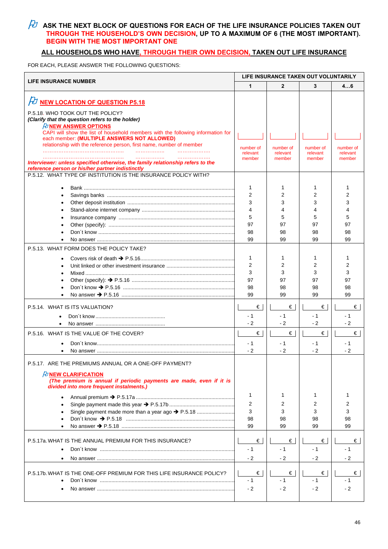## $\overline{\mathcal{H}}$  ask the next block of questions for each of the life insurance policies taken out **THROUGH THE HOUSEHOLD'S OWN DECISION, UP TO A MAXIMUM OF 6 (THE MOST IMPORTANT). BEGIN WITH THE MOST IMPORTANT ONE**

### **ALL HOUSEHOLDS WHO HAVE, THROUGH THEIR OWN DECISION, TAKEN OUT LIFE INSURANCE**

FOR EACH, PLEASE ANSWER THE FOLLOWING QUESTIONS:

| <b>LIFE INSURANCE NUMBER</b>                                                                                          |                     | LIFE INSURANCE TAKEN OUT VOLUNTARILY |                    |                    |  |
|-----------------------------------------------------------------------------------------------------------------------|---------------------|--------------------------------------|--------------------|--------------------|--|
|                                                                                                                       | 1                   | $\overline{2}$                       | 3                  | 46                 |  |
| FU NEW LOCATION OF QUESTION P5.18                                                                                     |                     |                                      |                    |                    |  |
| P.5.18. WHO TOOK OUT THE POLICY?                                                                                      |                     |                                      |                    |                    |  |
| (Clarify that the question refers to the holder)                                                                      |                     |                                      |                    |                    |  |
| <b><i>FUNEW ANSWER OPTIONS</i></b><br>CAPI will show the list of household members with the following information for |                     |                                      |                    |                    |  |
| each member: (MULTIPLE ANSWERS NOT ALLOWED)                                                                           |                     |                                      |                    |                    |  |
| relationship with the reference person, first name, number of member                                                  | number of           | number of                            | number of          | number of          |  |
| .<br>.                                                                                                                | relevant<br>member  | relevant<br>member                   | relevant<br>member | relevant<br>member |  |
| Interviewer: unless specified otherwise, the family relationship refers to the                                        |                     |                                      |                    |                    |  |
| reference person or his/her partner indistinctly<br>P.5.12. WHAT TYPE OF INSTITUTION IS THE INSURANCE POLICY WITH?    |                     |                                      |                    |                    |  |
|                                                                                                                       |                     |                                      |                    |                    |  |
|                                                                                                                       | 1                   | 1                                    | 1                  | 1                  |  |
|                                                                                                                       | $\overline{2}$<br>3 | 2                                    | 2                  | 2<br>3             |  |
|                                                                                                                       | 4                   | 3<br>4                               | 3<br>4             | 4                  |  |
|                                                                                                                       | 5                   | 5                                    | 5                  | 5                  |  |
|                                                                                                                       | 97                  | 97                                   | 97                 | 97                 |  |
|                                                                                                                       | 98                  | 98                                   | 98                 | 98                 |  |
|                                                                                                                       | 99                  | 99                                   | 99                 | 99                 |  |
| P.5.13. WHAT FORM DOES THE POLICY TAKE?                                                                               |                     |                                      |                    |                    |  |
|                                                                                                                       | 1                   | 1                                    | 1                  | 1                  |  |
|                                                                                                                       | $\overline{2}$      | 2                                    | 2                  | 2                  |  |
|                                                                                                                       | 3                   | 3                                    | 3                  | 3                  |  |
|                                                                                                                       | 97                  | 97                                   | 97                 | 97                 |  |
|                                                                                                                       | 98<br>99            | 98<br>99                             | 98<br>99           | 98<br>99           |  |
|                                                                                                                       |                     |                                      |                    |                    |  |
| P.5.14. WHAT IS ITS VALUATION?                                                                                        | €<br>$-1$           | €<br>$-1$                            | €<br>- 1           | €<br>$-1$          |  |
|                                                                                                                       | $-2$                | $-2$                                 | $-2$               | $-2$               |  |
| P.5.16. WHAT IS THE VALUE OF THE COVER?                                                                               | €                   | €                                    | €                  | €                  |  |
|                                                                                                                       | $-1$                | - 1                                  | - 1                | $-1$               |  |
|                                                                                                                       | $-2$                | $-2$                                 | - 2                | $-2$               |  |
| P.5.17. ARE THE PREMIUMS ANNUAL OR A ONE-OFF PAYMENT?                                                                 |                     |                                      |                    |                    |  |
|                                                                                                                       |                     |                                      |                    |                    |  |
| <b><i>FUNEW CLARIFICATION</i></b><br>(The premium is annual if periodic payments are made, even if it is              |                     |                                      |                    |                    |  |
| divided into more frequent instalments.)                                                                              |                     |                                      |                    |                    |  |
| $\bullet$                                                                                                             | 1                   | 1                                    | 1                  | 1                  |  |
|                                                                                                                       | 2                   | 2                                    | 2                  | 2                  |  |
| Single payment made more than a year ago → P.5.18                                                                     | 3<br>98             | 3<br>98                              | 3<br>98            | 3<br>98            |  |
|                                                                                                                       | 99                  | 99                                   | 99                 | 99                 |  |
|                                                                                                                       |                     |                                      |                    |                    |  |
| P.5.17a. WHAT IS THE ANNUAL PREMIUM FOR THIS INSURANCE?                                                               | €                   | $\epsilon$                           | €∣                 | €                  |  |
|                                                                                                                       | $-1$                | - 1                                  | - 1                | $-1$               |  |
|                                                                                                                       | $-2$                | $-2$                                 | $-2$               | $-2$               |  |
|                                                                                                                       |                     |                                      |                    |                    |  |
| P.5.17b. WHAT IS THE ONE-OFF PREMIUM FOR THIS LIFE INSURANCE POLICY?                                                  | €<br>- 1            | €<br>- 1                             | €<br>$-1$          | €<br>- 1           |  |
|                                                                                                                       | $-2$                | $-2$                                 | $-2$               | $-2$               |  |
|                                                                                                                       |                     |                                      |                    |                    |  |
|                                                                                                                       |                     |                                      |                    |                    |  |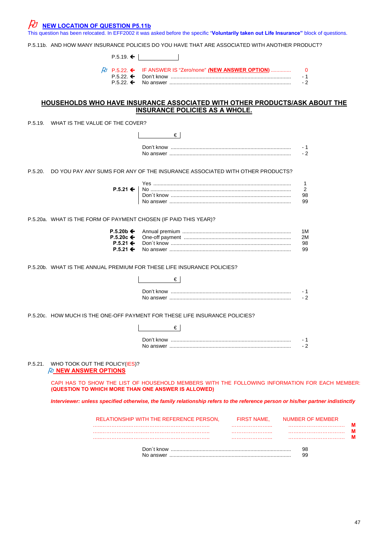$\not\!\!\! D$  <u>NEW LOCATION OF QUESTION P5.11b</u>

This question has been relocated. In EFF2002 it was asked before the specific "**Voluntarily taken out Life Insurance"** block of questions.

P.5.11b. AND HOW MANY INSURANCE POLICIES DO YOU HAVE THAT ARE ASSOCIATED WITH ANOTHER PRODUCT?

 $P.5.19. \leftarrow$ 

|  | $-1$ |
|--|------|
|  | $-2$ |

### **HOUSEHOLDS WHO HAVE INSURANCE ASSOCIATED WITH OTHER PRODUCTS/ASK ABOUT THE INSURANCE POLICIES AS A WHOLE.**

P.5.19. WHAT IS THE VALUE OF THE COVER?

| P.5.19. | WHAT IS THE VALUE OF THE COVER?                                                                                                                       |                                         |                    |                         |   |
|---------|-------------------------------------------------------------------------------------------------------------------------------------------------------|-----------------------------------------|--------------------|-------------------------|---|
|         |                                                                                                                                                       | €                                       |                    |                         |   |
|         |                                                                                                                                                       |                                         |                    | - 1                     |   |
|         |                                                                                                                                                       |                                         |                    | $-2$                    |   |
| P.5.20. | DO YOU PAY ANY SUMS FOR ANY OF THE INSURANCE ASSOCIATED WITH OTHER PRODUCTS?                                                                          |                                         |                    |                         |   |
|         |                                                                                                                                                       |                                         |                    | 1                       |   |
|         | $P.5.21 \leftarrow$                                                                                                                                   |                                         |                    | 2                       |   |
|         |                                                                                                                                                       |                                         |                    | 98<br>99                |   |
|         | P.5.20a. WHAT IS THE FORM OF PAYMENT CHOSEN (IF PAID THIS YEAR)?                                                                                      |                                         |                    |                         |   |
|         | $P.5.20b \leftarrow$                                                                                                                                  |                                         |                    | 1M                      |   |
|         | P.5.20 $c$ $\leftarrow$                                                                                                                               |                                         |                    | 2M                      |   |
|         | $P.5.21$ ←<br>$P.5.21 \leftarrow$                                                                                                                     |                                         |                    | 98<br>99                |   |
|         |                                                                                                                                                       |                                         |                    |                         |   |
|         | P.5.20b. WHAT IS THE ANNUAL PREMIUM FOR THESE LIFE INSURANCE POLICIES?                                                                                |                                         |                    |                         |   |
|         |                                                                                                                                                       | €                                       |                    |                         |   |
|         |                                                                                                                                                       |                                         |                    | - 1                     |   |
|         |                                                                                                                                                       |                                         |                    | $-2$                    |   |
|         | P.5.20c. HOW MUCH IS THE ONE-OFF PAYMENT FOR THESE LIFE INSURANCE POLICIES?                                                                           |                                         |                    |                         |   |
|         |                                                                                                                                                       | €                                       |                    |                         |   |
|         |                                                                                                                                                       |                                         |                    | $-1$                    |   |
|         |                                                                                                                                                       |                                         |                    | $-2$                    |   |
| P.5.21. | WHO TOOK OUT THE POLICY(IES)?<br>$\beta$ NEW ANSWER OPTIONS                                                                                           |                                         |                    |                         |   |
|         | CAPI HAS TO SHOW THE LIST OF HOUSEHOLD MEMBERS WITH THE FOLLOWING INFORMATION FOR EACH MEMBER:<br>(QUESTION TO WHICH MORE THAN ONE ANSWER IS ALLOWED) |                                         |                    |                         |   |
|         | Interviewer: unless specified otherwise, the family relationship refers to the reference person or his/her partner indistinctly                       |                                         |                    |                         |   |
|         |                                                                                                                                                       | RELATIONSHIP WITH THE REFERENCE PERSON. | <b>FIRST NAME,</b> | <b>NUMBER OF MEMBER</b> |   |
|         |                                                                                                                                                       |                                         |                    |                         | м |
|         |                                                                                                                                                       |                                         |                    |                         | м |
|         |                                                                                                                                                       |                                         |                    |                         |   |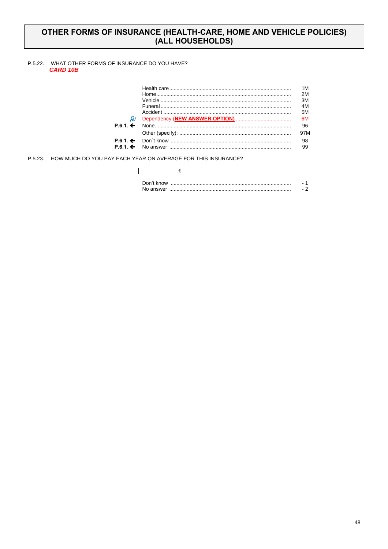## OTHER FORMS OF INSURANCE (HEALTH-CARE, HOME AND VEHICLE POLICIES) (ALL HOUSEHOLDS)

#### P.5.22. WHAT OTHER FORMS OF INSURANCE DO YOU HAVE? **CARD 10B**

| Þн                       |  |
|--------------------------|--|
| $P.6.1. \Leftrightarrow$ |  |
|                          |  |
|                          |  |
|                          |  |

P.5.23. HOW MUCH DO YOU PAY EACH YEAR ON AVERAGE FOR THIS INSURANCE?

| Don't know |  |
|------------|--|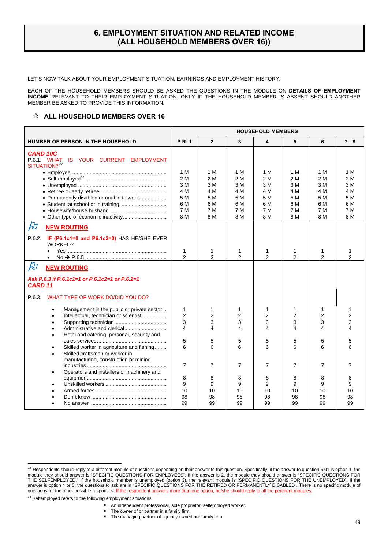### **6. EMPLOYMENT SITUATION AND RELATED INCOME (ALL HOUSEHOLD MEMBERS OVER 16))**

LET'S NOW TALK ABOUT YOUR EMPLOYMENT SITUATION, EARNINGS AND EMPLOYMENT HISTORY.

EACH OF THE HOUSEHOLD MEMBERS SHOULD BE ASKED THE QUESTIONS IN THE MODULE ON **DETAILS OF EMPLOYMENT INCOME** RELEVANT TO THEIR EMPLOYMENT SITUATION. ONLY IF THE HOUSEHOLD MEMBER IS ABSENT SHOULD ANOTHER MEMBER BE ASKED TO PROVIDE THIS INFORMATION.

#### **A ALL HOUSEHOLD MEMBERS OVER 16**

|                                                                        | <b>HOUSEHOLD MEMBERS</b> |                         |                |                |                |                         |                         |
|------------------------------------------------------------------------|--------------------------|-------------------------|----------------|----------------|----------------|-------------------------|-------------------------|
| <b>NUMBER OF PERSON IN THE HOUSEHOLD</b>                               | <b>P.R. 1</b>            | $\overline{2}$          | 3              | 4              | 5              | 6                       | 79                      |
| <b>CARD 10C</b>                                                        |                          |                         |                |                |                |                         |                         |
| P.6.1. WHAT<br>IS YOUR CURRENT EMPLOYMENT<br>SITUATION? <sup>32</sup>  |                          |                         |                |                |                |                         |                         |
|                                                                        | 1 M                      | 1 M                     | 1 M            | 1 M            | 1 M            | 1 M                     | 1 M                     |
|                                                                        | 2 M                      | 2 M                     | 2 M            | 2 M            | 2 M            | 2 M                     | 2 M                     |
|                                                                        | 3 M                      | 3 M                     | 3 M            | 3 M            | 3 M            | 3 M                     | 3 M                     |
| • Permanently disabled or unable to work                               | 4 M<br>5 M               | 4 M<br>5 M              | 4 M<br>5 M     | 4 M<br>5 M     | 4 M<br>5 M     | 4 M<br>5 M              | 4 M<br>5 M              |
|                                                                        | 6 M                      | 6 M                     | 6 M            | 6 M            | 6 M            | 6 M                     | 6 M                     |
|                                                                        | 7 M                      | 7 M                     | 7 M            | 7 M            | 7 M            | 7 M                     | 7 M                     |
|                                                                        | 8 M                      | 8 M                     | 8 M            | 8 M            | 8 M            | 8 M                     | 8 M                     |
| $\beta t$<br><b>NEW ROUTING</b>                                        |                          |                         |                |                |                |                         |                         |
| IF (P6.1c1=0 and P6.1c2=0) HAS HE/SHE EVER<br>P.6.2.<br><b>WORKED?</b> |                          |                         |                |                |                |                         |                         |
| $\bullet$                                                              | 1                        | 1                       | 1              | 1              | 1              | 1                       | 1                       |
|                                                                        | $\overline{2}$           | $\overline{2}$          | 2              | $\overline{2}$ | 2              | $\overline{2}$          | $\overline{2}$          |
| $\cancel{E}$<br><b>NEW ROUTING</b>                                     |                          |                         |                |                |                |                         |                         |
| Ask P.6.3 if P.6.1c1=1 or P.6.1c2=1 or P.6.2=1<br>CARD <sub>11</sub>   |                          |                         |                |                |                |                         |                         |
| WHAT TYPE OF WORK DO/DID YOU DO?<br>P.6.3.                             |                          |                         |                |                |                |                         |                         |
| Management in the public or private sector<br>$\bullet$                | 1                        | 1                       | 1              | 1              | 1              | 1                       | 1                       |
| Intellectual, technician or scientist<br>$\bullet$                     | $\overline{2}$           | $\overline{2}$          | 2              | 2              | 2              | 2                       | 2                       |
| $\bullet$                                                              | 3                        | 3                       | 3              | 3              | 3              | 3                       | 3                       |
|                                                                        | $\overline{\mathbf{4}}$  | $\overline{\mathbf{4}}$ | 4              | 4              | 4              | $\overline{\mathbf{4}}$ | $\overline{\mathbf{A}}$ |
| Hotel and catering, personal, security and                             | 5                        | 5                       | 5              | 5              | 5              | 5                       | 5                       |
| Skilled worker in agriculture and fishing<br>٠                         | 6                        | 6                       | 6              | 6              | 6              | 6                       |                         |
| Skilled craftsman or worker in<br>$\bullet$                            |                          |                         |                |                |                |                         |                         |
| manufacturing, construction or mining                                  |                          |                         |                |                |                |                         |                         |
|                                                                        | $\overline{7}$           | $\overline{7}$          | $\overline{7}$ | 7              | $\overline{7}$ | 7                       | 7                       |
| Operators and installers of machinery and<br>$\bullet$                 |                          |                         |                |                |                |                         |                         |
|                                                                        | 8                        | 8                       | 8              | 8              | 8              | 8                       | 8                       |
| $\bullet$                                                              | 9<br>10                  | 9<br>10                 | 9<br>10        | 9<br>10        | 9<br>10        | 9<br>10                 | 9<br>10                 |
|                                                                        | 98                       | 98                      | 98             | 98             | 98             | 98                      | 98                      |
|                                                                        | 99                       | 99                      | 99             | 99             | 99             | 99                      | 99                      |
|                                                                        |                          |                         |                |                |                |                         |                         |

 $\overline{a}$ 

**The managing partner of a jointly owned nonfamily firm.** 

 $32$  Respondents should reply to a different module of questions depending on their answer to this question. Specifically, if the answer to question 6.01 is option 1, the module they should answer is "SPECIFIC QUESTIONS FOR EMPLOYEES". If the answer is 2, the module they should answer is "SPECIFIC QUESTIONS FOR THE SELFEMPLOYED." If the household member is unemployed (option 3), the relevant module is "SPECIFIC QUESTIONS FOR THE UNEMPLOYED". If the answer is option 4 or 5, the questions to ask are in "SPECIFIC QUESTIONS FOR THE RETIRED OR PERMANENTLY DISABLED". There is no specific module of questions for the other possible responses. If the respondent answers more than one option, he/she should reply to all the pertinent modules.

<sup>&</sup>lt;sup>33</sup> Selfemployed refers to the following employment situations:

An independent professional, sole proprietor, selfemployed worker.

The owner of or partner in a family firm.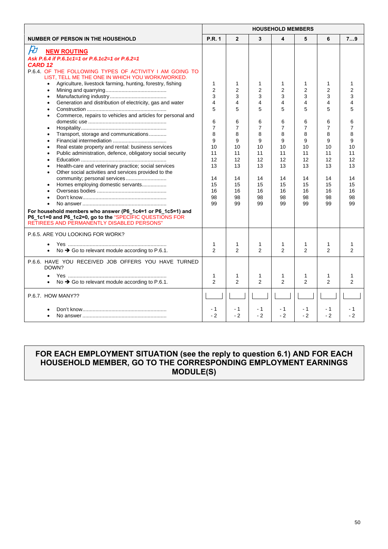|                                                                                                                                                                                                                                                                                                                                                                                                                     | <b>HOUSEHOLD MEMBERS</b>                                                                   |                                                                               |                                                                              |                                                                                 |                                                                                 |                                                                    |                                                                                 |
|---------------------------------------------------------------------------------------------------------------------------------------------------------------------------------------------------------------------------------------------------------------------------------------------------------------------------------------------------------------------------------------------------------------------|--------------------------------------------------------------------------------------------|-------------------------------------------------------------------------------|------------------------------------------------------------------------------|---------------------------------------------------------------------------------|---------------------------------------------------------------------------------|--------------------------------------------------------------------|---------------------------------------------------------------------------------|
| <b>NUMBER OF PERSON IN THE HOUSEHOLD</b>                                                                                                                                                                                                                                                                                                                                                                            | <b>P.R. 1</b>                                                                              | $\overline{2}$                                                                | 3                                                                            | 4                                                                               | 5                                                                               | 6                                                                  | 79                                                                              |
| $\cancel{E}$<br><b>NEW ROUTING</b><br>Ask P.6.4 if P.6.1c1=1 or P.6.1c2=1 or P.6.2=1<br><b>CARD 12</b><br>P.6.4. OF THE FOLLOWING TYPES OF ACTIVITY I AM GOING TO                                                                                                                                                                                                                                                   |                                                                                            |                                                                               |                                                                              |                                                                                 |                                                                                 |                                                                    |                                                                                 |
| LIST, TELL ME THE ONE IN WHICH YOU WORK/WORKED.<br>Agriculture, livestock farming, hunting, forestry, fishing<br>$\bullet$<br>Generation and distribution of electricity, gas and water<br>Commerce, repairs to vehicles and articles for personal and<br>Transport, storage and communications<br>Real estate property and rental: business services<br>Public administration, defence, obligatory social security | $\mathbf{1}$<br>$\overline{2}$<br>3<br>4<br>5<br>6<br>$\overline{7}$<br>8<br>9<br>10<br>11 | $\mathbf{1}$<br>2<br>3<br>4<br>5<br>6<br>$\overline{7}$<br>8<br>9<br>10<br>11 | $\mathbf 1$<br>2<br>3<br>4<br>5<br>6<br>$\overline{7}$<br>8<br>9<br>10<br>11 | 1<br>$\overline{2}$<br>3<br>4<br>5<br>6<br>$\overline{7}$<br>8<br>9<br>10<br>11 | 1<br>$\overline{2}$<br>3<br>4<br>5<br>6<br>$\overline{7}$<br>8<br>9<br>10<br>11 | 1<br>2<br>3<br>4<br>5<br>6<br>$\overline{7}$<br>8<br>9<br>10<br>11 | 1<br>$\overline{2}$<br>3<br>4<br>5<br>6<br>$\overline{7}$<br>8<br>9<br>10<br>11 |
| Health-care and veterinary practice; social services<br>Other social activities and services provided to the<br>community; personal services<br>Homes employing domestic servants<br>For household members who answer (P6 1c4=1 or P6 1c5=1) and<br>P6_1c1=0 and P6_1c2=0, go to the "SPECIFIC QUESTIONS FOR<br>RETIREES AND PERMANENTLY DISABLED PERSONS"                                                          | 12<br>13<br>14<br>15<br>16<br>98<br>99                                                     | 12<br>13<br>14<br>15<br>16<br>98<br>99                                        | 12<br>13<br>14<br>15<br>16<br>98<br>99                                       | 12<br>13<br>14<br>15<br>16<br>98<br>99                                          | 12<br>13<br>14<br>15<br>16<br>98<br>99                                          | 12<br>13<br>14<br>15<br>16<br>98<br>99                             | 12<br>13<br>14<br>15<br>16<br>98<br>99                                          |
| P.6.5. ARE YOU LOOKING FOR WORK?<br>No $\rightarrow$ Go to relevant module according to P.6.1.                                                                                                                                                                                                                                                                                                                      | $\mathbf{1}$<br>$\mathfrak{p}$                                                             | 1<br>$\mathcal{P}$                                                            | 1<br>$\mathcal{P}$                                                           | 1<br>$\mathcal{P}$                                                              | 1<br>$\mathfrak{p}$                                                             | 1<br>$\mathfrak{p}$                                                | $\mathfrak{p}$                                                                  |
| P.6.6. HAVE YOU RECEIVED JOB OFFERS YOU HAVE TURNED<br>DOWN?<br>No $\rightarrow$ Go to relevant module according to P.6.1.                                                                                                                                                                                                                                                                                          | 1<br>$\mathfrak{p}$                                                                        | 1<br>$\mathcal{P}$                                                            | 1<br>$\mathfrak{p}$                                                          | 1<br>$\mathcal{P}$                                                              | 1<br>$\overline{2}$                                                             | 1<br>$\mathfrak{p}$                                                | 1<br>$\mathfrak{p}$                                                             |
| P.6.7. HOW MANY??                                                                                                                                                                                                                                                                                                                                                                                                   | $-1$<br>$-2$                                                                               | - 1<br>$-2$                                                                   | - 1<br>$-2$                                                                  | - 1<br>$-2$                                                                     | - 1<br>$-2$                                                                     | $-1$<br>$-2$                                                       | - 1<br>$-2$                                                                     |

## **FOR EACH EMPLOYMENT SITUATION (see the reply to question 6.1) AND FOR EACH HOUSEHOLD MEMBER, GO TO THE CORRESPONDING EMPLOYMENT EARNINGS MODULE(S)**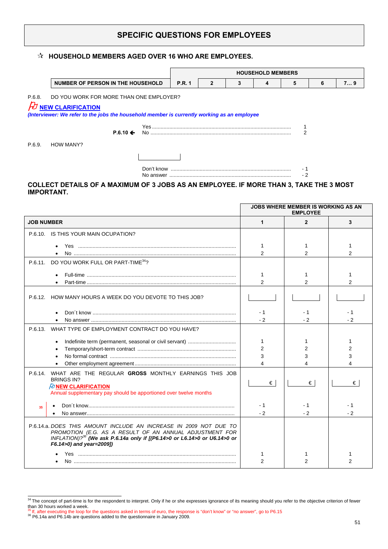## **SPECIFIC QUESTIONS FOR EMPLOYEES**

### **HOUSEHOLD MEMBERS AGED OVER 16 WHO ARE EMPLOYEES.**

|        |                                                                                                                                                                     |                     | <b>HOUSEHOLD MEMBERS</b> |   |  |  |     |   |    |  |
|--------|---------------------------------------------------------------------------------------------------------------------------------------------------------------------|---------------------|--------------------------|---|--|--|-----|---|----|--|
|        | NUMBER OF PERSON IN THE HOUSEHOLD                                                                                                                                   |                     | <b>P.R. 1</b>            | 2 |  |  | 5   | 6 | 79 |  |
| P.6.8. | DO YOU WORK FOR MORE THAN ONE EMPLOYER?<br>$\n  D$ NEW CLARIFICATION<br>(Interviewer: We refer to the jobs the household member is currently working as an employee |                     |                          |   |  |  |     |   |    |  |
|        |                                                                                                                                                                     | $P.6.10 \leftarrow$ |                          |   |  |  |     |   |    |  |
| P.6.9. | <b>HOW MANY?</b>                                                                                                                                                    |                     |                          |   |  |  |     |   |    |  |
|        |                                                                                                                                                                     |                     |                          |   |  |  |     |   |    |  |
|        |                                                                                                                                                                     |                     |                          |   |  |  | - 2 |   |    |  |

### **COLLECT DETAILS OF A MAXIMUM OF 3 JOBS AS AN EMPLOYEE. IF MORE THAN 3, TAKE THE 3 MOST IMPORTANT.**

|                                                                                                                                                                                                                                                  |                | <b>JOBS WHERE MEMBER IS WORKING AS AN</b><br><b>EMPLOYEE</b> |               |
|--------------------------------------------------------------------------------------------------------------------------------------------------------------------------------------------------------------------------------------------------|----------------|--------------------------------------------------------------|---------------|
| <b>JOB NUMBER</b>                                                                                                                                                                                                                                | 1              | $\mathbf{2}$                                                 | 3             |
| P.6.10. IS THIS YOUR MAIN OCUPATION?                                                                                                                                                                                                             |                |                                                              |               |
|                                                                                                                                                                                                                                                  | 1              |                                                              |               |
|                                                                                                                                                                                                                                                  | $\mathfrak{p}$ | $\mathfrak{p}$                                               | $\mathcal{P}$ |
| DO YOU WORK FULL OR PART-TIME <sup>34</sup> ?<br>P.6.11.                                                                                                                                                                                         |                |                                                              |               |
|                                                                                                                                                                                                                                                  | 1              |                                                              |               |
|                                                                                                                                                                                                                                                  | $\overline{2}$ | $\overline{2}$                                               |               |
| P.6.12.<br>HOW MANY HOURS A WEEK DO YOU DEVOTE TO THIS JOB?                                                                                                                                                                                      |                |                                                              |               |
|                                                                                                                                                                                                                                                  | - 1            | - 1                                                          | - 1           |
|                                                                                                                                                                                                                                                  | $-2$           | $-2$                                                         | - 2           |
| WHAT TYPE OF EMPLOYMENT CONTRACT DO YOU HAVE?<br>P.6.13.                                                                                                                                                                                         |                |                                                              |               |
|                                                                                                                                                                                                                                                  | 1              |                                                              |               |
|                                                                                                                                                                                                                                                  | $\overline{2}$ | 2                                                            | 2             |
|                                                                                                                                                                                                                                                  | 3              | 3                                                            |               |
|                                                                                                                                                                                                                                                  | 4              |                                                              |               |
| P.6.14. WHAT ARE THE REGULAR GROSS MONTHLY EARNINGS THIS JOB<br><b>BRINGS IN?</b>                                                                                                                                                                |                |                                                              |               |
| <b><i>PU</i></b> NEW CLARIFICATION                                                                                                                                                                                                               | €              | €                                                            | €             |
| Annual supplementary pay should be apportioned over twelve months                                                                                                                                                                                |                |                                                              |               |
| 35                                                                                                                                                                                                                                               | - 1            | - 1                                                          | - 1           |
|                                                                                                                                                                                                                                                  | $-2$           | $-2$                                                         | $-2$          |
| P.6.14.a. DOES THIS AMOUNT INCLUDE AN INCREASE IN 2009 NOT DUE TO<br>PROMOTION (E.G. AS A RESULT OF AN ANNUAL ADJUSTMENT FOR<br>INFLATION)? <sup>36</sup> (We ask P.6.14a only if [(P6.14>0 or L6.14>0 or U6.14>0 or<br>F6.14>0) and year=2009]) |                |                                                              |               |
|                                                                                                                                                                                                                                                  | 1              |                                                              |               |
|                                                                                                                                                                                                                                                  | $\mathfrak{p}$ | 2                                                            | 2             |

 $\frac{34}{10}$  The concept of part-time is for the respondent to interpret. Only if he or she expresses ignorance of its meaning should you refer to the objective criterion of fewer than 30 hours worked a week.

<sup>35</sup> If, after executing the loop for the questions asked in terms of euro, the response is "don't know" or "no answer", go to P6.15 36 P6.14a and P6.14b are questions added to the questionnaire in January 2009*.*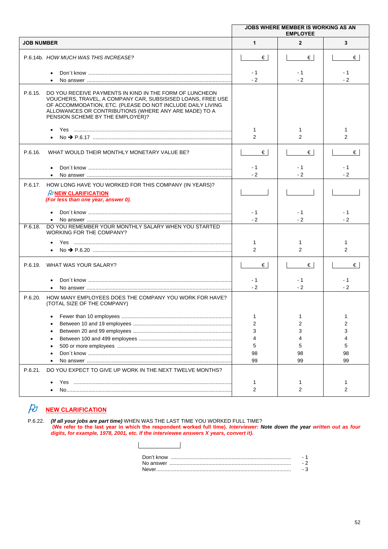|                                                                                                                                                                                                                                                                                              | <b>JOBS WHERE MEMBER IS WORKING AS AN</b><br><b>EMPLOYEE</b> |                    |                              |  |  |
|----------------------------------------------------------------------------------------------------------------------------------------------------------------------------------------------------------------------------------------------------------------------------------------------|--------------------------------------------------------------|--------------------|------------------------------|--|--|
| <b>JOB NUMBER</b>                                                                                                                                                                                                                                                                            | $\mathbf{1}$                                                 | $\overline{2}$     | 3                            |  |  |
| P.6.14b. HOW MUCH WAS THIS INCREASE?                                                                                                                                                                                                                                                         | €                                                            | €                  | €                            |  |  |
| $\bullet$                                                                                                                                                                                                                                                                                    | - 1<br>$-2$                                                  | $-1$<br>$-2$       | - 1<br>$-2$                  |  |  |
| DO YOU RECEIVE PAYMENTS IN KIND IN THE FORM OF LUNCHEON<br>P.6.15.<br>VOUCHERS, TRAVEL, A COMPANY CAR, SUBSISISED LOANS, FREE USE<br>OF ACCOMMODATION, ETC. (PLEASE DO NOT INCLUDE DAILY LIVING<br>ALLOWANCES OR CONTRIBUTIONS (WHERE ANY ARE MADE) TO A<br>PENSION SCHEME BY THE EMPLOYER)? |                                                              |                    |                              |  |  |
|                                                                                                                                                                                                                                                                                              | 1<br>2                                                       | 1<br>2             | 1<br>$\overline{2}$          |  |  |
| P.6.16.<br>WHAT WOULD THEIR MONTHLY MONETARY VALUE BE?                                                                                                                                                                                                                                       | $\epsilon$                                                   | €                  | €                            |  |  |
|                                                                                                                                                                                                                                                                                              | - 1<br>$-2$                                                  | - 1<br>$-2$        | - 1<br>$-2$                  |  |  |
| HOW LONG HAVE YOU WORKED FOR THIS COMPANY (IN YEARS)?<br>P.6.17.<br>$\beta$ NEW CLARIFICATION<br>(For less than one year, answer 0).                                                                                                                                                         |                                                              |                    |                              |  |  |
|                                                                                                                                                                                                                                                                                              | - 1<br>$-2$                                                  | - 1<br>$-2$        | - 1<br>$-2$                  |  |  |
| DO YOU REMEMBER YOUR MONTHLY SALARY WHEN YOU STARTED<br>P.6.18.<br>WORKING FOR THE COMPANY?                                                                                                                                                                                                  |                                                              |                    |                              |  |  |
|                                                                                                                                                                                                                                                                                              | 1<br>2                                                       | 2                  | 1<br>2                       |  |  |
| WHAT WAS YOUR SALARY?<br>P.6.19.                                                                                                                                                                                                                                                             | €                                                            | €                  | €                            |  |  |
|                                                                                                                                                                                                                                                                                              | - 1<br>$-2$                                                  | - 1<br>$-2$        | - 1<br>$-2$                  |  |  |
| HOW MANY EMPLOYEES DOES THE COMPANY YOU WORK FOR HAVE?<br>P.6.20.<br>(TOTAL SIZE OF THE COMPANY)                                                                                                                                                                                             |                                                              |                    |                              |  |  |
|                                                                                                                                                                                                                                                                                              | 1<br>$\overline{2}$<br>3<br>4<br>5<br>98<br>99               | 2<br>5<br>98<br>99 | 1<br>2<br>3<br>5<br>98<br>99 |  |  |
| DO YOU EXPECT TO GIVE UP WORK IN THE NEXT TWELVE MONTHS?<br>P.6.21.                                                                                                                                                                                                                          | 1                                                            |                    | 1                            |  |  |
|                                                                                                                                                                                                                                                                                              | 2                                                            | 2                  | 2                            |  |  |

# **NEW CLARIFICATION**

P.6.22. *(If all your jobs are part time)* WHEN WAS THE LAST TIME YOU WORKED FULL TIME? **(We refer to the last year in which the respondent worked full time).** *Interviewer: Note down the year written out as four digits, for example, 1978, 2001, etc. If the interviewee answers X years, convert it).*

| Never |  |
|-------|--|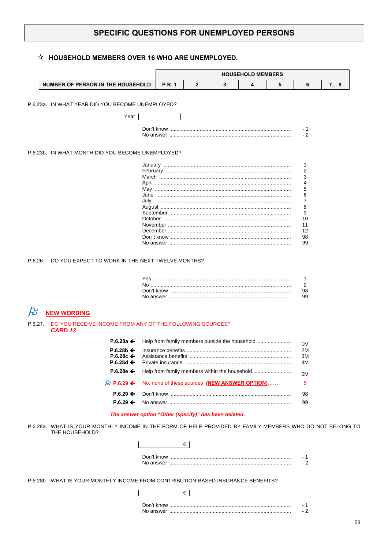## SPECIFIC QUESTIONS FOR UNEMPLOYED PERSONS

### $\hat{\mathbb{X}}$  HOUSEHOLD MEMBERS OVER 16 WHO ARE UNEMPLOYED.

|                                                                                                                            |               |              |   | <b>HOUSEHOLD MEMBERS</b>                      |   |                    |      |
|----------------------------------------------------------------------------------------------------------------------------|---------------|--------------|---|-----------------------------------------------|---|--------------------|------|
| NUMBER OF PERSON IN THE HOUSEHOLD                                                                                          | <b>P.R. 1</b> | $\mathbf{2}$ | 3 | 4                                             | 5 | 6                  | 7. 9 |
| P.6.23a. IN WHAT YEAR DID YOU BECOME UNEMPLOYED?                                                                           |               |              |   |                                               |   |                    |      |
| Year                                                                                                                       |               |              |   |                                               |   |                    |      |
|                                                                                                                            |               |              |   |                                               |   |                    |      |
|                                                                                                                            |               |              |   |                                               |   | - 1<br>$-2$        |      |
|                                                                                                                            |               |              |   |                                               |   |                    |      |
| P.6.23b. IN WHAT MONTH DID YOU BECOME UNEMPLOYED?                                                                          |               |              |   |                                               |   |                    |      |
|                                                                                                                            |               |              |   |                                               |   | 1<br>2             |      |
|                                                                                                                            |               |              |   |                                               |   | 3                  |      |
|                                                                                                                            |               |              |   |                                               |   | 4                  |      |
|                                                                                                                            |               |              |   |                                               |   | 5<br>6             |      |
|                                                                                                                            |               |              |   |                                               |   | $\overline{7}$     |      |
|                                                                                                                            |               |              |   |                                               |   | 8                  |      |
|                                                                                                                            |               |              |   |                                               |   | 9                  |      |
|                                                                                                                            |               |              |   |                                               |   | 10                 |      |
|                                                                                                                            |               |              |   |                                               |   | 11<br>12           |      |
|                                                                                                                            |               |              |   |                                               |   | 98                 |      |
|                                                                                                                            |               |              |   |                                               |   | 99                 |      |
|                                                                                                                            |               |              |   |                                               |   | 1<br>2<br>98<br>99 |      |
| <b>NEW WORDING</b>                                                                                                         |               |              |   |                                               |   |                    |      |
| DO YOU RECEIVE INCOME FROM ANY OF THE FOLLOWING SOURCES?<br>P.6.27.<br><b>CARD 13</b>                                      |               |              |   |                                               |   |                    |      |
| P.6.28a $\leftarrow$                                                                                                       |               |              |   |                                               |   | 1M                 |      |
| $P.6.28b \leftarrow$                                                                                                       |               |              |   |                                               |   | 2M                 |      |
| P.6.28c $\leftarrow$                                                                                                       |               |              |   |                                               |   | ЗM                 |      |
| P.6.28d $\leftarrow$                                                                                                       |               |              |   |                                               |   | 4M                 |      |
| $P.6.28e \leftarrow$                                                                                                       |               |              |   |                                               |   | 5M                 |      |
| $\beta$ P.6.29 ←                                                                                                           |               |              |   | No, none of these sources (NEW ANSWER OPTION) |   | 6                  |      |
| $P.6.29 \Leftrightarrow$                                                                                                   |               |              |   |                                               |   | 98                 |      |
| $P.6.29 \Leftrightarrow$                                                                                                   |               |              |   |                                               |   | 99                 |      |
| The answer option "Other (specify)" has been deleted.                                                                      |               |              |   |                                               |   |                    |      |
| P.6.28a. WHAT IS YOUR MONTHLY INCOME IN THE FORM OF HELP PROVIDED BY FAMILY MEMBERS WHO DO NOT BELONG TO<br>THE HOUSEHOLD? |               |              |   |                                               |   |                    |      |

P.6.28b. WHAT IS YOUR MONTHLY INCOME FROM CONTRIBUTION-BASED INSURANCE BENEFITS?

 $\epsilon$ 

| Don't know     |  |
|----------------|--|
| No answer<br>. |  |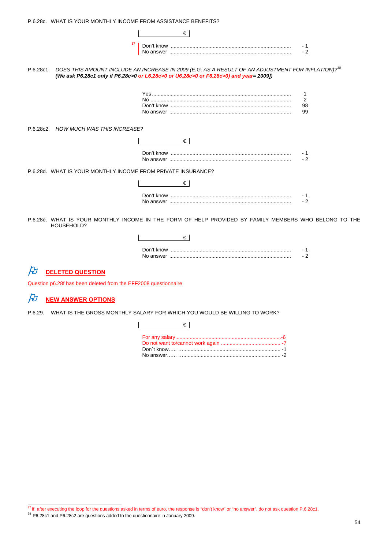|                                                              | €∣                                                                                                                                                                                                                |      |
|--------------------------------------------------------------|-------------------------------------------------------------------------------------------------------------------------------------------------------------------------------------------------------------------|------|
| 37                                                           |                                                                                                                                                                                                                   | - 1  |
|                                                              |                                                                                                                                                                                                                   | $-2$ |
|                                                              | P.6.28c1. DOES THIS AMOUNT INCLUDE AN INCREASE IN 2009 (E.G. AS A RESULT OF AN ADJUSTMENT FOR INFLATION)? <sup>38</sup><br>(We ask P6.28c1 only if P6.28c>0 or L6.28c>0 or U6.28c>0 or F6.28c>0) and year= 2009]) |      |
|                                                              |                                                                                                                                                                                                                   |      |
|                                                              |                                                                                                                                                                                                                   | 2    |
|                                                              |                                                                                                                                                                                                                   | 98   |
|                                                              |                                                                                                                                                                                                                   | 99   |
| P.6.28c2. HOW MUCH WAS THIS INCREASE?                        |                                                                                                                                                                                                                   |      |
|                                                              | €                                                                                                                                                                                                                 |      |
|                                                              |                                                                                                                                                                                                                   |      |
|                                                              |                                                                                                                                                                                                                   | $-2$ |
| P.6.28d. WHAT IS YOUR MONTHLY INCOME FROM PRIVATE INSURANCE? |                                                                                                                                                                                                                   |      |
|                                                              | €                                                                                                                                                                                                                 |      |
|                                                              |                                                                                                                                                                                                                   |      |
|                                                              |                                                                                                                                                                                                                   | $-2$ |
| HOUSEHOLD?                                                   | P.6.28e. WHAT IS YOUR MONTHLY INCOME IN THE FORM OF HELP PROVIDED BY FAMILY MEMBERS WHO BELONG TO THE                                                                                                             |      |
|                                                              | €                                                                                                                                                                                                                 |      |

| Don't know |  |
|------------|--|
| No answer  |  |

# *<u>DELETED QUESTION</u>*

Question p6.28f has been deleted from the EFF2008 questionnaire

# *A* <u>NEW ANSWER OPTIONS</u>

P.6.29. WHAT IS THE GROSS MONTHLY SALARY FOR WHICH YOU WOULD BE WILLING TO WORK?

| $\mathbb{R}^n$ . The set of $\mathbb{R}^n$ |  |
|--------------------------------------------|--|
|                                            |  |

<sup>&</sup>lt;sup>37</sup> If, after executing the loop for the questions asked in terms of euro, the response is "don't know" or "no answer", do not ask question P.6.28c1.

 $38$  P6.28c1 and P6.28c2 are questions added to the questionnaire in January 2009.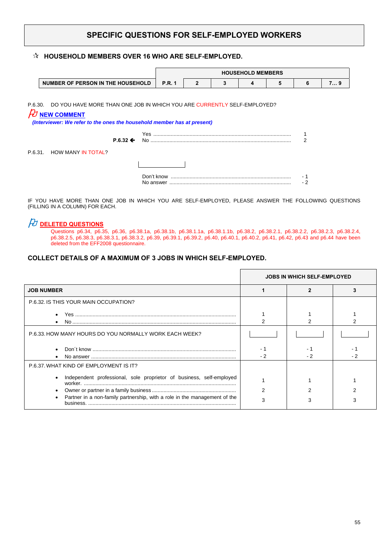## **SPECIFIC QUESTIONS FOR SELF-EMPLOYED WORKERS**

#### **HOUSEHOLD MEMBERS OVER 16 WHO ARE SELF-EMPLOYED.**

|                                                                                 |                     |               |              |   | <b>HOUSEHOLD MEMBERS</b> |   |   |    |
|---------------------------------------------------------------------------------|---------------------|---------------|--------------|---|--------------------------|---|---|----|
| NUMBER OF PERSON IN THE HOUSEHOLD                                               |                     | <b>P.R. 1</b> | $\mathbf{2}$ | 3 | 4                        | 5 | 6 | 79 |
|                                                                                 |                     |               |              |   |                          |   |   |    |
| P.6.30. DO YOU HAVE MORE THAN ONE JOB IN WHICH YOU ARE CURRENTLY SELF-EMPLOYED? |                     |               |              |   |                          |   |   |    |
| <b>NEW COMMENT</b>                                                              |                     |               |              |   |                          |   |   |    |
| (Interviewer: We refer to the ones the household member has at present)         |                     |               |              |   |                          |   |   |    |
|                                                                                 |                     |               |              |   |                          |   |   |    |
|                                                                                 | $P.6.32 \leftarrow$ |               |              |   |                          |   |   |    |
| P.6.31. HOW MANY IN TOTAL?                                                      |                     |               |              |   |                          |   |   |    |
|                                                                                 |                     |               |              |   |                          |   |   |    |
|                                                                                 |                     |               |              |   |                          |   |   |    |
|                                                                                 |                     |               |              |   |                          |   |   |    |

IF YOU HAVE MORE THAN ONE JOB IN WHICH YOU ARE SELF-EMPLOYED, PLEASE ANSWER THE FOLLOWING QUESTIONS (FILLING IN A COLUMN) FOR EACH.

## *O* DELETED QUESTIONS

 Questions p6.34, p6.35, p6.36, p6.38.1a, p6.38.1b, p6.38.1.1a, p6.38.1.1b, p6.38.2, p6.38.2.1, p6.38.2.2, p6.38.2.3, p6.38.2.4, p6.38.2.5, p6.38.3, p6.38.3.1, p6.38.3.2, p6.39, p6.39.1, p6.39.2, p6.40, p6.40.1, p6.40.2, p6.41, p6.42, p6.43 and p6.44 have been deleted from the EFF2008 questionnaire.

### **COLLECT DETAILS OF A MAXIMUM OF 3 JOBS IN WHICH SELF-EMPLOYED.**

|                                                                           | <b>JOBS IN WHICH SELF-EMPLOYED</b> |  |  |
|---------------------------------------------------------------------------|------------------------------------|--|--|
| <b>JOB NUMBER</b>                                                         |                                    |  |  |
| P.6.32. IS THIS YOUR MAIN OCCUPATION?                                     |                                    |  |  |
|                                                                           |                                    |  |  |
| P.6.33. HOW MANY HOURS DO YOU NORMALLY WORK EACH WEEK?                    |                                    |  |  |
|                                                                           |                                    |  |  |
| P.6.37. WHAT KIND OF EMPLOYMENT IS IT?                                    |                                    |  |  |
| Independent professional, sole proprietor of business, self-employed      |                                    |  |  |
|                                                                           |                                    |  |  |
| Partner in a non-family partnership, with a role in the management of the |                                    |  |  |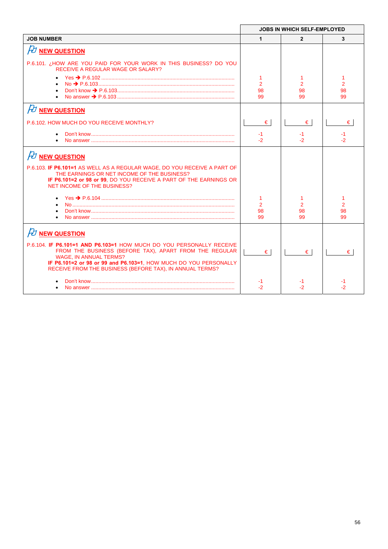|                                                                                                                                                                                                                             | <b>JOBS IN WHICH SELF-EMPLOYED</b> |                |                      |
|-----------------------------------------------------------------------------------------------------------------------------------------------------------------------------------------------------------------------------|------------------------------------|----------------|----------------------|
| <b>JOB NUMBER</b>                                                                                                                                                                                                           | $\mathbf{1}$                       | $\overline{2}$ | 3                    |
| <b><i>FU</i></b> NEW QUESTION                                                                                                                                                                                               |                                    |                |                      |
| P.6.101. ¿HOW ARE YOU PAID FOR YOUR WORK IN THIS BUSINESS? DO YOU<br><b>RECEIVE A REGULAR WAGE OR SALARY?</b>                                                                                                               |                                    |                |                      |
|                                                                                                                                                                                                                             |                                    |                |                      |
| $\bullet$                                                                                                                                                                                                                   | $\overline{2}$<br>98               | 2<br>98        | $\overline{2}$<br>98 |
|                                                                                                                                                                                                                             | 99                                 | 99             | 99                   |
| $H$ NEW QUESTION                                                                                                                                                                                                            |                                    |                |                      |
| P.6.102. HOW MUCH DO YOU RECEIVE MONTHLY?                                                                                                                                                                                   | $\epsilon$                         | €              | €                    |
| $\bullet$                                                                                                                                                                                                                   | $-1$                               | -1             | -1                   |
|                                                                                                                                                                                                                             | $-2$                               | -2             | -2                   |
| $H$ NEW QUESTION                                                                                                                                                                                                            |                                    |                |                      |
| P.6.103. IF P6.101=1 AS WELL AS A REGULAR WAGE, DO YOU RECEIVE A PART OF<br>THE EARNINGS OR NET INCOME OF THE BUSINESS?<br>IF P6.101=2 or 98 or 99, DO YOU RECEIVE A PART OF THE EARNINGS OR<br>NET INCOME OF THE BUSINESS? |                                    |                |                      |
|                                                                                                                                                                                                                             |                                    |                |                      |
|                                                                                                                                                                                                                             | $\overline{2}$                     | $\overline{2}$ | $\overline{2}$       |
| $\bullet$                                                                                                                                                                                                                   | 98<br>99                           | 98<br>99       | 98<br>99             |
| $\cancel{P}$ NEW QUESTION                                                                                                                                                                                                   |                                    |                |                      |
| P.6.104. IF P6.101=1 AND P6.103=1 HOW MUCH DO YOU PERSONALLY RECEIVE                                                                                                                                                        |                                    |                |                      |
| FROM THE BUSINESS (BEFORE TAX), APART FROM THE REGULAR                                                                                                                                                                      | €                                  | €              | €                    |
| <b>WAGE. IN ANNUAL TERMS?</b><br>IF P6.101=2 or 98 or 99 and P6.103=1, HOW MUCH DO YOU PERSONALLY<br>RECEIVE FROM THE BUSINESS (BEFORE TAX), IN ANNUAL TERMS?                                                               |                                    |                |                      |
|                                                                                                                                                                                                                             |                                    |                |                      |
|                                                                                                                                                                                                                             | -2                                 | -2             |                      |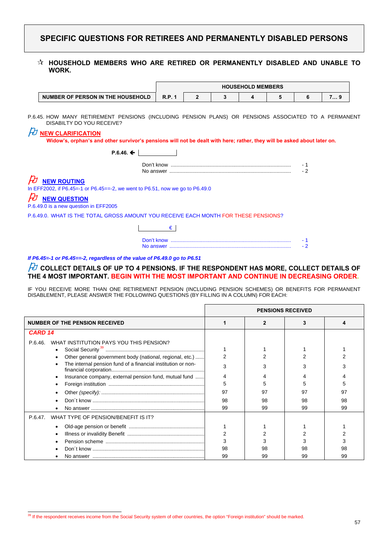## **SPECIFIC QUESTIONS FOR RETIREES AND PERMANENTLY DISABLED PERSONS**

#### **HOUSEHOLD MEMBERS WHO ARE RETIRED OR PERMANENTLY DISABLED AND UNABLE TO WORK.**

|                                   | <b>HOUSEHOLD MEMBERS</b> |  |  |  |  |  |   |
|-----------------------------------|--------------------------|--|--|--|--|--|---|
| NUMBER OF PERSON IN THE HOUSEHOLD | R.P.                     |  |  |  |  |  | . |

P.6.45. HOW MANY RETIREMENT PENSIONS (INCLUDING PENSION PLANS) OR PENSIONS ASSOCIATED TO A PERMANENT DISABILTY DO YOU RECEIVE?

### **NEW CLARIFICATION**

 **Widow's, orphan's and other survivor's pensions will not be dealt with here; rather, they will be asked about later on.** 

| $P.6.46 \div$                                                                |     |
|------------------------------------------------------------------------------|-----|
|                                                                              |     |
|                                                                              | - 2 |
| $\cancel{E}$ NEW ROUTING                                                     |     |
| In EFF2002, if P6.45=-1 or P6.45==-2, we went to P6.51, now we go to P6.49.0 |     |
| $\n  D$ New QUESTION                                                         |     |
| P.6.49.0 is a new question in EFF2005                                        |     |

P.6.49.0. WHAT IS THE TOTAL GROSS AMOUNT YOU RECEIVE EACH MONTH FOR THESE PENSIONS?

€

*If P6.45=-1 or P6.45==-2, regardless of the value of P6.49.0 go to P6.51* 

### $\beta$  collect details of up to 4 pensions. If the respondent has more, collect details of **THE 4 MOST IMPORTANT. BEGIN WITH THE MOST IMPORTANT AND CONTINUE IN DECREASING ORDER.**

IF YOU RECEIVE MORE THAN ONE RETIREMENT PENSION (INCLUDING PENSION SCHEMES) OR BENEFITS FOR PERMANENT DISABLEMENT, PLEASE ANSWER THE FOLLOWING QUESTIONS (BY FILLING IN A COLUMN) FOR EACH:

|                                                              |    | <b>PENSIONS RECEIVED</b> |    |    |
|--------------------------------------------------------------|----|--------------------------|----|----|
| <b>NUMBER OF THE PENSION RECEIVED</b>                        |    |                          |    |    |
| CARD <sub>14</sub>                                           |    |                          |    |    |
| WHAT INSTITUTION PAYS YOU THIS PENSION?<br>P.6.46.           |    |                          |    |    |
| Other general government body (national, regional, etc.)     | 2  |                          |    |    |
| The internal pension fund of a financial institution or non- | 3  |                          |    |    |
| Insurance company, external pension fund, mutual fund        |    |                          |    |    |
|                                                              | 5  |                          |    |    |
|                                                              | 97 | 97                       | 97 | 97 |
|                                                              | 98 | 98                       | 98 | 98 |
|                                                              | 99 | 99                       | 99 | 99 |
| WHAT TYPE OF PENSION/BENEFIT IS IT?<br>P.6.47.               |    |                          |    |    |
|                                                              |    |                          |    |    |
|                                                              | 2  |                          |    |    |
|                                                              | 3  |                          |    |    |
|                                                              | 98 |                          |    |    |
|                                                              | 99 | 99                       |    | 99 |

<sup>&</sup>lt;sup>39</sup> If the respondent receives income from the Social Security system of other countries, the option "Foreign institution" should be marked.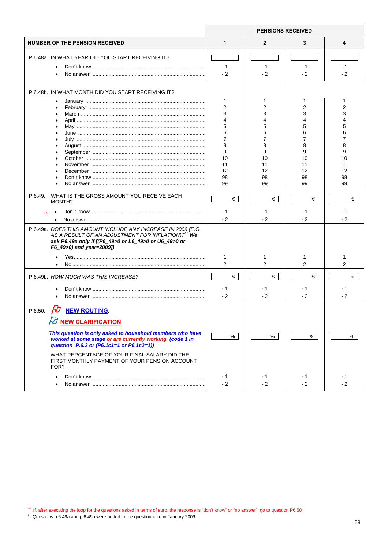|                                                                                                                                                                                                                                                                                                                                          | <b>PENSIONS RECEIVED</b>                                                |                                                                         |                                                     |                                                    |
|------------------------------------------------------------------------------------------------------------------------------------------------------------------------------------------------------------------------------------------------------------------------------------------------------------------------------------------|-------------------------------------------------------------------------|-------------------------------------------------------------------------|-----------------------------------------------------|----------------------------------------------------|
| <b>NUMBER OF THE PENSION RECEIVED</b>                                                                                                                                                                                                                                                                                                    | 1                                                                       | 2                                                                       | 3                                                   | 4                                                  |
| P.6.48a. IN WHAT YEAR DID YOU START RECEIVING IT?<br>$\bullet$<br>$\bullet$                                                                                                                                                                                                                                                              | $-1$<br>$-2$                                                            | $-1$<br>$-2$                                                            | $-1$<br>$-2$                                        | $-1$<br>$-2$                                       |
| P.6.48b. IN WHAT MONTH DID YOU START RECEIVING IT?<br>$\bullet$<br>$\bullet$<br>$\bullet$<br>July ……………………………………………………………………………                                                                                                                                                                                                          | 1<br>2<br>3<br>4<br>5<br>6<br>7<br>8<br>9<br>10<br>11<br>12<br>98<br>99 | 1<br>2<br>3<br>4<br>5<br>6<br>7<br>8<br>9<br>10<br>11<br>12<br>98<br>99 | 1<br>2<br>3<br>6<br>8<br>10<br>11<br>12<br>98<br>99 | 2<br>3<br>6<br>7<br>8<br>9<br>10<br>11<br>12<br>98 |
| WHAT IS THE GROSS AMOUNT YOU RECEIVE EACH<br>P.6.49.<br>MONTH?<br>40                                                                                                                                                                                                                                                                     | €<br>- 1<br>$-2$                                                        | €<br>- 1<br>$-2$                                                        | €<br>- 1<br>$-2$                                    | 99<br>€<br>- 1<br>$-2$                             |
| $\bullet$<br>P.6.49a. DOES THIS AMOUNT INCLUDE ANY INCREASE IN 2009 (E.G.<br>AS A RESULT OF AN ADJUSTMENT FOR INFLATION)? <sup>41</sup> We<br>ask P6.49a only if [(P6_49>0 or L6_49>0 or U6_49>0 or<br>F6_49>0) and year=2009])                                                                                                          | 1<br>2                                                                  | 1<br>$\overline{2}$                                                     | 2                                                   | 1<br>2                                             |
| P.6.49b. HOW MUCH WAS THIS INCREASE?                                                                                                                                                                                                                                                                                                     | €<br>- 1<br>$-2$                                                        | €<br>- 1<br>$-2$                                                        | €<br>- 1<br>$-2$                                    | €<br>$-1$<br>$-2$                                  |
| <b>NEW ROUTING</b><br>P.6.50.<br><b>DEW CLARIFICATION</b><br>This question is only asked to household members who have<br>worked at some stage or are currently working (code 1 in<br>question P.6.2 or (P6.1c1=1 or P6.1c2=1))<br>WHAT PERCENTAGE OF YOUR FINAL SALARY DID THE<br>FIRST MONTHLY PAYMENT OF YOUR PENSION ACCOUNT<br>FOR? | %                                                                       | %                                                                       | %                                                   | %                                                  |
| $\bullet$                                                                                                                                                                                                                                                                                                                                | - 1<br>$-2$                                                             | - 1<br>$-2$                                                             | - 1<br>$-2$                                         | - 1<br>$-2$                                        |

 $\overline{a}$ 

 $40\,$  If, after executing the loop for the questions asked in terms of euro, the response is "don't know" or "no answer", go to question P6.50

 $41$  Questions p.6.49a and p.6.49b were added to the questionnaire in January 2009.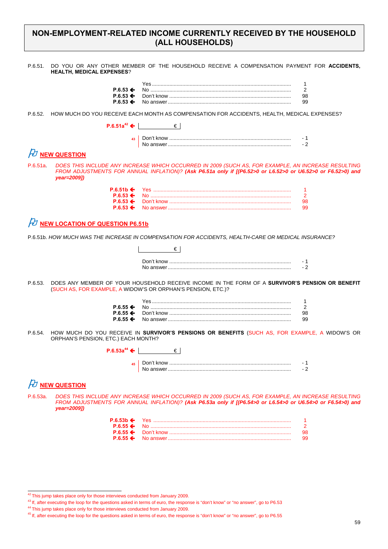### **NON-EMPLOYMENT-RELATED INCOME CURRENTLY RECEIVED BY THE HOUSEHOLD (ALL HOUSEHOLDS)**

P.6.51. DO YOU OR ANY OTHER MEMBER OF THE HOUSEHOLD RECEIVE A COMPENSATION PAYMENT FOR **ACCIDENTS, HEALTH, MEDICAL EXPENSES**?

P.6.52. HOW MUCH DO YOU RECEIVE EACH MONTH AS COMPENSATION FOR ACCIDENTS, HEALTH, MEDICAL EXPENSES?

**P.6.51a**<sup>42</sup> ←  $\left| \right|$  ∈  $\left| \right|$ 

## $\not\!\!\! D$  NEW QUESTION

P.6.51a. *DOES THIS INCLUDE ANY INCREASE WHICH OCCURRED IN 2009 (SUCH AS, FOR EXAMPLE, AN INCREASE RESULTING FROM ADJUSTMENTS FOR ANNUAL INFLATION)? (Ask P6.51a only if [(P6.52>0 or L6.52>0 or U6.52>0 or F6.52>0) and year=2009])*

|  | 98. |
|--|-----|
|  | 99. |

### $H$  NEW LOCATION OF QUESTION P6.51b

P.6.51b. *HOW MUCH WAS THE INCREASE IN COMPENSATION FOR ACCIDENTS, HEALTH-CARE OR MEDICAL INSURANCE?*

P.6.53. DOES ANY MEMBER OF YOUR HOUSEHOLD RECEIVE INCOME IN THE FORM OF A **SURVIVOR'S PENSION OR BENEFIT** (SUCH AS, FOR EXAMPLE, A WIDOW'S OR ORPHAN'S PENSION, ETC.)?

P.6.54. HOW MUCH DO YOU RECEIVE IN **SURVIVOR'S PENSIONS OR BENEFITS** (SUCH AS, FOR EXAMPLE, A WIDOW'S OR ORPHAN'S PENSION, ETC.) EACH MONTH?

| <b>P</b> 6.53a <sup>44</sup> $\leftarrow$ |            |        |
|-------------------------------------------|------------|--------|
| 45                                        | Don't know | -<br>- |

## *A***<sub>D</sub>** NEW QUESTION

P.6.53a. *DOES THIS INCLUDE ANY INCREASE WHICH OCCURRED IN 2009 (SUCH AS, FOR EXAMPLE, AN INCREASE RESULTING FROM ADJUSTMENTS FOR ANNUAL INFLATION)? (Ask P6.53a only if [(P6.54>0 or L6.54>0 or U6.54>0 or F6.54>0) and year=2009])*

|  | 98. |
|--|-----|
|  | 99  |

 $42$  This jump takes place only for those interviews conducted from January 2009.

<sup>&</sup>lt;sup>43</sup> If, after executing the loop for the questions asked in terms of euro, the response is "don't know" or "no answer", go to P6.53

<sup>44</sup> This jump takes place only for those interviews conducted from January 2009.

<sup>&</sup>lt;sup>45</sup> If, after executing the loop for the questions asked in terms of euro, the response is "don't know" or "no answer", go to P6.55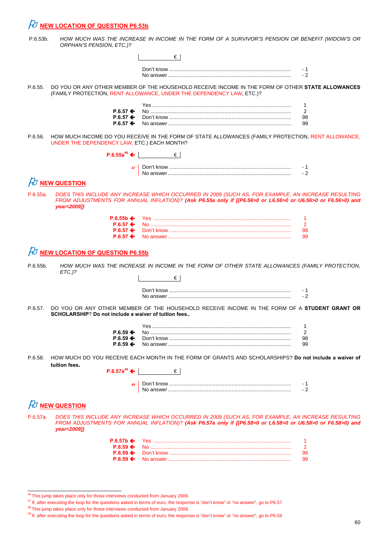## *FU* NEW LOCATION OF QUESTION P6.53b

| P.6.53b. | HOW MUCH WAS THE INCREASE IN INCOME IN THE FORM OF A SURVIVOR'S PENSION OR BENEFIT (WIDOW'S OR |
|----------|------------------------------------------------------------------------------------------------|
|          | ORPHAN'S PENSION, ETC.)?                                                                       |

|                    |                                                       | €∣                                                                                                                                                                                                                |             |
|--------------------|-------------------------------------------------------|-------------------------------------------------------------------------------------------------------------------------------------------------------------------------------------------------------------------|-------------|
|                    |                                                       |                                                                                                                                                                                                                   |             |
|                    |                                                       |                                                                                                                                                                                                                   | - 1<br>$-2$ |
|                    |                                                       |                                                                                                                                                                                                                   |             |
| P.6.55.            |                                                       | DO YOU OR ANY OTHER MEMBER OF THE HOUSEHOLD RECEIVE INCOME IN THE FORM OF OTHER STATE ALLOWANCES<br>(FAMILY PROTECTION, RENT ALLOWANCE, UNDER THE DEPENDENCY LAW, ETC.)?                                          |             |
|                    |                                                       |                                                                                                                                                                                                                   | 1           |
|                    | $P.6.57 \leftarrow$                                   |                                                                                                                                                                                                                   | 2           |
|                    | P.6.57 $\div$<br>P.6.57 $\leftarrow$                  |                                                                                                                                                                                                                   | 98<br>99    |
| P.6.56.            | UNDER THE DEPENDENCY LAW, ETC.) EACH MONTH?           | HOW MUCH INCOME DO YOU RECEIVE IN THE FORM OF STATE ALLOWANCES (FAMILY PROTECTION, RENT ALLOWANCE,                                                                                                                |             |
|                    |                                                       | $P.6.55a^{46}$ $\leftarrow$  <br>$\epsilon$                                                                                                                                                                       |             |
|                    |                                                       |                                                                                                                                                                                                                   |             |
|                    |                                                       |                                                                                                                                                                                                                   | - 1<br>$-2$ |
|                    |                                                       |                                                                                                                                                                                                                   |             |
|                    | $\not\!\! D$ new question                             |                                                                                                                                                                                                                   |             |
| P.6.55a.           | year=2009])                                           | DOES THIS INCLUDE ANY INCREASE WHICH OCCURRED IN 2009 (SUCH AS, FOR EXAMPLE, AN INCREASE RESULTING<br>FROM ADJUSTMENTS FOR ANNUAL INFLATION)? (Ask P6.55a only if [(P6.56>0 or L6.56>0 or U6.56>0 or F6.56>0) and |             |
|                    | $P.6.55b \Leftrightarrow$                             |                                                                                                                                                                                                                   |             |
|                    | $P.6.57 \Leftrightarrow$<br>$P.6.57 \leftarrow$       |                                                                                                                                                                                                                   | 2           |
|                    | $P.6.57 \Leftrightarrow$                              |                                                                                                                                                                                                                   | 98<br>99    |
| P.6.55b.           | $ETC.$ )?                                             | HOW MUCH WAS THE INCREASE IN INCOME IN THE FORM OF OTHER STATE ALLOWANCES (FAMILY PROTECTION,<br>€∣                                                                                                               |             |
|                    |                                                       |                                                                                                                                                                                                                   |             |
|                    |                                                       |                                                                                                                                                                                                                   |             |
|                    |                                                       |                                                                                                                                                                                                                   | - 1         |
|                    | SCHOLARSHIP? Do not include a waiver of tuition fees  | DO YOU OR ANY OTHER MEMBER OF THE HOUSEHOLD RECEIVE INCOME IN THE FORM OF A STUDENT GRANT OR                                                                                                                      | $-2$        |
|                    |                                                       |                                                                                                                                                                                                                   | 1           |
|                    | $P.6.59 \leftarrow$                                   |                                                                                                                                                                                                                   | 2           |
|                    | P.6.59                                                |                                                                                                                                                                                                                   | 98          |
|                    | $P.6.59 \leftarrow$                                   | HOW MUCH DO YOU RECEIVE EACH MONTH IN THE FORM OF GRANTS AND SCHOLARSHIPS? Do not include a waiver of                                                                                                             | 99          |
|                    | tuition fees.                                         |                                                                                                                                                                                                                   |             |
|                    | $P.6.57a^{48}$ $\leftarrow$ 1                         | €                                                                                                                                                                                                                 |             |
| P.6.57.<br>P.6.58. |                                                       |                                                                                                                                                                                                                   | - 1<br>$-2$ |
|                    |                                                       |                                                                                                                                                                                                                   |             |
| P.6.57a.           | <b>A NEW QUESTION</b><br>year=2009])                  | DOES THIS INCLUDE ANY INCREASE WHICH OCCURRED IN 2009 (SUCH AS, FOR EXAMPLE, AN INCREASE RESULTING<br>FROM ADJUSTMENTS FOR ANNUAL INFLATION)? (Ask P6.57a only if [(P6.58>0 or L6.58>0 or U6.58>0 or F6.58>0) and |             |
|                    |                                                       |                                                                                                                                                                                                                   |             |
|                    | $P.6.57b \Leftrightarrow$<br>$P.6.59 \Leftrightarrow$ |                                                                                                                                                                                                                   | 1<br>2      |
|                    | $P.6.59 \Leftrightarrow$                              |                                                                                                                                                                                                                   | 98          |
|                    | $P.6.59 \leftarrow$                                   |                                                                                                                                                                                                                   | 99          |

<sup>&</sup>lt;sup>46</sup> This jump takes place only for those interviews conducted from January 2009.

 $^{47}$  If, after executing the loop for the questions asked in terms of euro, the response is "don't know" or "no answer", go to P6.57

<sup>&</sup>lt;sup>48</sup> This jump takes place only for those interviews conducted from January 2009.

 $49$  If, after executing the loop for the questions asked in terms of euro, the response is "don't know" or "no answer", go to P6.59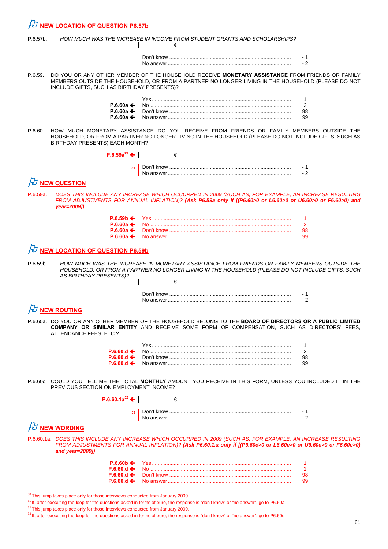| P.6.57b.    |                                                                      | HOW MUCH WAS THE INCREASE IN INCOME FROM STUDENT GRANTS AND SCHOLARSHIPS?<br>€                                                                                                                                                  |                    |
|-------------|----------------------------------------------------------------------|---------------------------------------------------------------------------------------------------------------------------------------------------------------------------------------------------------------------------------|--------------------|
|             |                                                                      |                                                                                                                                                                                                                                 | - 1<br>$-2$        |
| P.6.59.     | INCLUDE GIFTS, SUCH AS BIRTHDAY PRESENTS)?                           | DO YOU OR ANY OTHER MEMBER OF THE HOUSEHOLD RECEIVE MONETARY ASSISTANCE FROM FRIENDS OR FAMILY<br>MEMBERS OUTSIDE THE HOUSEHOLD, OR FROM A PARTNER NO LONGER LIVING IN THE HOUSEHOLD (PLEASE DO NOT                             |                    |
|             | $P.6.60a \leftarrow$<br>P.6.60a $\leftarrow$<br>P.6.60a $\leftarrow$ | <u>Yes……………………………………………………………………………………</u>                                                                                                                                                                                      | 1<br>2<br>98<br>99 |
| P.6.60.     | BIRTHDAY PRESENTS) EACH MONTH?                                       | HOW MUCH MONETARY ASSISTANCE DO YOU RECEIVE FROM FRIENDS OR FAMILY MEMBERS OUTSIDE THE<br>HOUSEHOLD, OR FROM A PARTNER NO LONGER LIVING IN THE HOUSEHOLD (PLEASE DO NOT INCLUDE GIFTS, SUCH AS                                  |                    |
|             | P.6.59a <sup>50</sup> ←                                              | €                                                                                                                                                                                                                               |                    |
|             |                                                                      |                                                                                                                                                                                                                                 | - 1<br>$-2$        |
|             | FU NEW QUESTION                                                      |                                                                                                                                                                                                                                 |                    |
| P.6.59a.    | year=2009])                                                          | DOES THIS INCLUDE ANY INCREASE WHICH OCCURRED IN 2009 (SUCH AS, FOR EXAMPLE, AN INCREASE RESULTING<br>FROM ADJUSTMENTS FOR ANNUAL INFLATION)? (Ask P6.59a only if [(P6.60>0 or L6.60>0 or U6.60>0 or F6.60>0) and               |                    |
|             | $P.6.59b \leftarrow$<br>$P.6.60a \triangleleft$                      |                                                                                                                                                                                                                                 | 1                  |
|             | P.6.60a $\leftarrow$<br>P.6.60a $\leftarrow$                         |                                                                                                                                                                                                                                 | 2<br>98<br>99      |
|             | $H$ NEW LOCATION OF QUESTION P6.59b                                  |                                                                                                                                                                                                                                 |                    |
| $P.6.59b$ . |                                                                      | HOW MUCH WAS THE INCREASE IN MONETARY ASSISTANCE FROM FRIENDS OR FAMILY MEMBERS OUTSIDE THE                                                                                                                                     |                    |
|             | AS BIRTHDAY PRESENTS)?                                               | HOUSEHOLD, OR FROM A PARTNER NO LONGER LIVING IN THE HOUSEHOLD (PLEASE DO NOT INCLUDE GIFTS, SUCH                                                                                                                               |                    |
|             |                                                                      | €                                                                                                                                                                                                                               |                    |
|             |                                                                      | No answer                                                                                                                                                                                                                       | - 1                |
|             | $\n  H$ NEW ROUTING                                                  |                                                                                                                                                                                                                                 |                    |
|             | ATTENDANCE FEES, ETC.?                                               | P.6.60a. DO YOU OR ANY OTHER MEMBER OF THE HOUSEHOLD BELONG TO THE BOARD OF DIRECTORS OR A PUBLIC LIMITED<br>COMPANY OR SIMILAR ENTITY AND RECEIVE SOME FORM OF COMPENSATION, SUCH AS DIRECTORS' FEES,                          |                    |
|             | $P.6.60d \leftarrow$                                                 |                                                                                                                                                                                                                                 | -1<br>2            |
|             | P.6.60.d $\leftarrow$<br>$P.6.60.d \leftarrow$                       |                                                                                                                                                                                                                                 | 98<br>99           |
|             |                                                                      |                                                                                                                                                                                                                                 |                    |
|             | PREVIOUS SECTION ON EMPLOYMENT INCOME?                               | P.6.60c. COULD YOU TELL ME THE TOTAL MONTHLY AMOUNT YOU RECEIVE IN THIS FORM, UNLESS YOU INCLUDED IT IN THE                                                                                                                     |                    |
|             | P.6.60.1a <sup>52</sup> ←                                            | $\epsilon$                                                                                                                                                                                                                      |                    |
|             |                                                                      |                                                                                                                                                                                                                                 | - 1<br>$-2$        |
|             | $\n  B$ NEW WORDING                                                  |                                                                                                                                                                                                                                 |                    |
|             | and year= $2009$ ])                                                  | P.6.60.1a. DOES THIS INCLUDE ANY INCREASE WHICH OCCURRED IN 2009 (SUCH AS, FOR EXAMPLE, AN INCREASE RESULTING<br>FROM ADJUSTMENTS FOR ANNUAL INFLATION)? (Ask P6.60.1.a only if [(P6.60c>0 or L6.60c>0 or U6.60c>0 or F6.60c>0) |                    |
|             |                                                                      |                                                                                                                                                                                                                                 |                    |

|  | 98. |
|--|-----|
|  | 99. |

<sup>50</sup> This jump takes place only for those interviews conducted from January 2009.

<sup>51</sup> If, after executing the loop for the questions asked in terms of euro, the response is "don't know" or "no answer", go to P6.60a

 $52$  This jump takes place only for those interviews conducted from January 2009.

<sup>53</sup> If, after executing the loop for the questions asked in terms of euro, the response is "don't know" or "no answer", go to P6.60d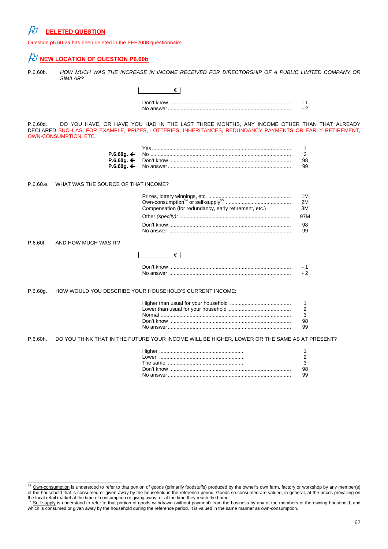# *<u>DELETED QUESTION</u>*

Question p6.60.2a has been deleted in the EFF2008 questionnaire

|           | Question polouiza nas been deleted in the EFFZ000 questionnane |                                                                                                                                                                                                       |                |
|-----------|----------------------------------------------------------------|-------------------------------------------------------------------------------------------------------------------------------------------------------------------------------------------------------|----------------|
|           | FU NEW LOCATION OF QUESTION P6.60b                             |                                                                                                                                                                                                       |                |
| P.6.60b.  | SIMILAR?                                                       | HOW MUCH WAS THE INCREASE IN INCOME RECEIVED FOR DIRECTORSHIP OF A PUBLIC LIMITED COMPANY OR                                                                                                          |                |
|           |                                                                | €                                                                                                                                                                                                     |                |
|           |                                                                |                                                                                                                                                                                                       | $-1$           |
|           |                                                                |                                                                                                                                                                                                       | $-2$           |
| P.6.60d.  | <b>OWN-CONSUMPTION, ETC.</b>                                   | DO YOU HAVE, OR HAVE YOU HAD IN THE LAST THREE MONTHS, ANY INCOME OTHER THAN THAT ALREADY<br>DECLARED SUCH AS, FOR EXAMPLE, PRIZES, LOTTERIES, INHERITANCES, REDUNDANCY PAYMENTS OR EARLY RETIREMENT, |                |
|           |                                                                | <u>Yes……………………………………………………………………………………</u>                                                                                                                                                            | 1              |
|           | P.6.60g. $\bigoplus$                                           |                                                                                                                                                                                                       | $\overline{2}$ |
|           | P.6.60g. $\bigoplus$                                           |                                                                                                                                                                                                       | 98             |
|           | P.6.60g. $\bigoplus$                                           |                                                                                                                                                                                                       | 99             |
| P.6.60.e. | WHAT WAS THE SOURCE OF THAT INCOME?                            |                                                                                                                                                                                                       |                |
|           |                                                                |                                                                                                                                                                                                       | 1M             |
|           |                                                                |                                                                                                                                                                                                       | 2M             |
|           |                                                                | Compensation (for redundancy, early retirement, etc.)                                                                                                                                                 | 3M             |
|           |                                                                |                                                                                                                                                                                                       | 97M            |
|           |                                                                |                                                                                                                                                                                                       | 98<br>99       |
| P.6.60f.  | AND HOW MUCH WAS IT?                                           |                                                                                                                                                                                                       |                |
|           |                                                                | €                                                                                                                                                                                                     |                |
|           |                                                                |                                                                                                                                                                                                       | - 1            |
|           |                                                                |                                                                                                                                                                                                       | $-2$           |
| P.6.60g.  |                                                                | HOW WOULD YOU DESCRIBE YOUR HOUSEHOLD'S CURRENT INCOME::                                                                                                                                              |                |
|           |                                                                |                                                                                                                                                                                                       | 1              |
|           |                                                                |                                                                                                                                                                                                       | 2              |
|           |                                                                |                                                                                                                                                                                                       | 3              |
|           |                                                                |                                                                                                                                                                                                       | 98             |
|           |                                                                |                                                                                                                                                                                                       | 99             |
| P.6.60h.  |                                                                | DO YOU THINK THAT IN THE FUTURE YOUR INCOME WILL BE HIGHER, LOWER OR THE SAME AS AT PRESENT?                                                                                                          |                |
|           |                                                                |                                                                                                                                                                                                       | 1              |
|           |                                                                |                                                                                                                                                                                                       | $\overline{2}$ |
|           |                                                                |                                                                                                                                                                                                       | 3              |
|           |                                                                |                                                                                                                                                                                                       | 98             |
|           |                                                                | No answer…………………………………………………………………………                                                                                                                                                                 | 99             |

 $\frac{54}{2}$  Own-consumption is understood to refer to that portion of goods (primarily foodstuffs) produced by the owner's own farm, factory or workshop by any member(s) of the household that is consumed or given away by the household in the reference period. Goods so consumed are valued, in general, at the prices prevailing on the local retail market at the time of consumption or giving away, or at the time they reach the home.<br><sup>55</sup> <u>Self-supply</u> is understood to refer to that portion of goods withdrawn (without payment) from the business by any

which is consumed or given away by the household during the reference period. It is valued in the same manner as own-consumption.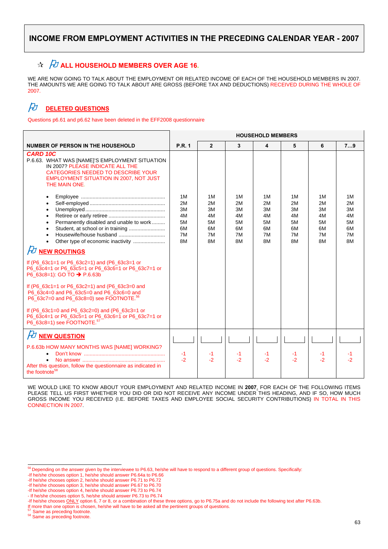## $\overrightarrow{A}$   $\overrightarrow{D}$  **ALL HOUSEHOLD MEMBERS OVER AGE 16.**

WE ARE NOW GOING TO TALK ABOUT THE EMPLOYMENT OR RELATED INCOME OF EACH OF THE HOUSEHOLD MEMBERS IN 2007. THE AMOUNTS WE ARE GOING TO TALK ABOUT ARE GROSS (BEFORE TAX AND DEDUCTIONS) RECEIVED DURING THE WHOLE OF 2007.

## **DELETED QUESTIONS**

Questions p6.61 and p6.62 have been deleted in the EFF2008 questionnaire

|                                                                                                                                                                                                                                                                                                                                                                                                                                                                                                          | <b>HOUSEHOLD MEMBERS</b>                     |                                              |                                              |                                              |                                              |                                              |                                              |
|----------------------------------------------------------------------------------------------------------------------------------------------------------------------------------------------------------------------------------------------------------------------------------------------------------------------------------------------------------------------------------------------------------------------------------------------------------------------------------------------------------|----------------------------------------------|----------------------------------------------|----------------------------------------------|----------------------------------------------|----------------------------------------------|----------------------------------------------|----------------------------------------------|
| <b>NUMBER OF PERSON IN THE HOUSEHOLD</b>                                                                                                                                                                                                                                                                                                                                                                                                                                                                 | <b>P.R. 1</b>                                | $\mathbf{2}$                                 | 3                                            | 4                                            | 5                                            | 6                                            | 79                                           |
| <b>CARD 10C</b><br>P.6.63. WHAT WAS [NAME]'S EMPLOYMENT SITUATION<br>IN 2007? PLEASE INDICATE ALL THE<br>CATEGORIES NEEDED TO DESCRIBE YOUR<br>EMPLOYMENT SITUATION IN 2007, NOT JUST<br>THE MAIN ONE.                                                                                                                                                                                                                                                                                                   |                                              |                                              |                                              |                                              |                                              |                                              |                                              |
| Permanently disabled and unable to work                                                                                                                                                                                                                                                                                                                                                                                                                                                                  | 1M<br>2M<br>3M<br>4M<br>5M<br>6M<br>7M<br>8M | 1M<br>2M<br>3M<br>4M<br>5M<br>6М<br>7M<br>8M | 1M<br>2M<br>3M<br>4M<br>5M<br>6M<br>7M<br>8M | 1M<br>2M<br>3M<br>4M<br>5M<br>6M<br>7M<br>8M | 1M<br>2M<br>3M<br>4M<br>5M<br>6M<br>7M<br>8M | 1M<br>2M<br>3M<br>4M<br>5M<br>6M<br>7M<br>8M | 1M<br>2M<br>3M<br>4M<br>5M<br>6M<br>7M<br>8M |
| FU NEW ROUTINGS<br>If (P6 $63c1=1$ or P6 $63c2=1$ ) and (P6 $63c3=1$ or<br>P6_63c4=1 or P6_63c5=1 or P6_63c6=1 or P6_63c7=1 or<br>P6 63c8=1): GO TO → P.6.63b<br>If $(P6_63c1=1 \text{ or } P6_63c2=1)$ and $(P6_63c3=0 \text{ and } P6_63c3=0)$<br>P6_63c4=0 and P6_63c5=0 and P6_63c6=0 and<br>P6_63c7=0 and P6_63c8=0) see FOOTNOTE. <sup>56</sup><br>If (P6_63c1=0 and P6_63c2=0) and (P6_63c3=1 or<br>P6_63c4=1 or P6_63c5=1 or P6_63c6=1 or P6_63c7=1 or<br>P6_63c8=1) see FOOTNOTE. <sup>57</sup> |                                              |                                              |                                              |                                              |                                              |                                              |                                              |
| $\beta$ NEW QUESTION<br>P.6.63b HOW MANY MONTHS WAS [NAME] WORKING?<br>After this question, follow the questionnaire as indicated in<br>the footnote <sup>58</sup>                                                                                                                                                                                                                                                                                                                                       | $-1$<br>$-2$                                 | -1<br>$-2$                                   | -1<br>$-2$                                   | -1<br>$-2$                                   | -1<br>$-2$                                   | -1<br>$-2$                                   | -2                                           |

WE WOULD LIKE TO KNOW ABOUT YOUR EMPLOYMENT AND RELATED INCOME IN **2007**. FOR EACH OF THE FOLLOWING ITEMS PLEASE TELL US FIRST WHETHER YOU DID OR DID NOT RECEIVE ANY INCOME UNDER THIS HEADING, AND IF SO, HOW MUCH GROSS INCOME YOU RECEIVED (I.E. BEFORE TAXES AND EMPLOYEE SOCIAL SECURITY CONTRIBUTIONS) IN TOTAL IN THIS CONNECTION IN 2007.

<sup>&</sup>lt;sup>56</sup> Depending on the answer given by the interviewee to P6.63, he/she will have to respond to a different group of questions. Specifically:

<sup>-</sup>If he/she chooses option 1, he/she should answer P6.64a to P6.66

<sup>-</sup>If he/she chooses option 2, he/she should answer P6.71 to P6.72

<sup>-</sup>If he/she chooses option 3, he/she should answer P6.67 to P6.70

<sup>-</sup>If he/she chooses option 4, he/she should answer P6.73 to P6.74

<sup>-</sup> If he/she chooses option 5, he/she should answer P6.73 to P6.74

<sup>-</sup>If he/she chooses ONLY option 6, 7 or 8, or a combination of these three options, go to P6.75a and do not include the following text after P6.63b.

If more than one option is chosen, he/she will have to be asked all the pertinent groups of questions.  $57$  Same as preceding footnote.  $58$  Same as preceding footnote.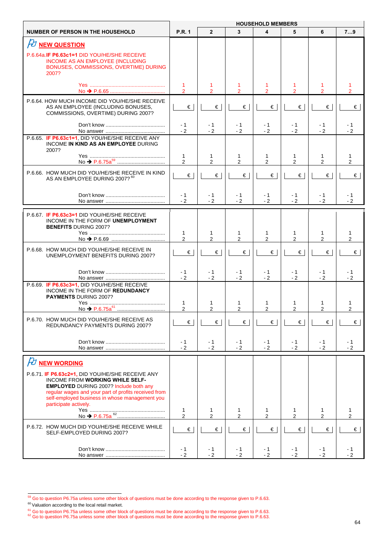|                                                                                                                                                                                                                                                                                                         | <b>HOUSEHOLD MEMBERS</b>       |                               |                     |                     |                               |                     |                     |
|---------------------------------------------------------------------------------------------------------------------------------------------------------------------------------------------------------------------------------------------------------------------------------------------------------|--------------------------------|-------------------------------|---------------------|---------------------|-------------------------------|---------------------|---------------------|
| <b>NUMBER OF PERSON IN THE HOUSEHOLD</b>                                                                                                                                                                                                                                                                | <b>P.R. 1</b>                  | $\overline{2}$                | 3                   | 4                   | 5                             | 6                   | 79                  |
| <b>PU NEW QUESTION</b>                                                                                                                                                                                                                                                                                  |                                |                               |                     |                     |                               |                     |                     |
| P.6.64a. <b>IF P6.63c1=1 DID YOU/HE/SHE RECEIVE</b><br>INCOME AS AN EMPLOYEE (INCLUDING<br>BONUSES, COMMISSIONS, OVERTIME) DURING<br>2007?                                                                                                                                                              |                                |                               |                     |                     |                               |                     |                     |
|                                                                                                                                                                                                                                                                                                         | 1<br>$\mathcal{P}$             | 1<br>$\mathcal{P}$            | 1<br>$\mathcal{P}$  | 1<br>$\mathcal{P}$  | $\mathcal{P}$                 | $\mathcal{P}$       |                     |
| P.6.64. HOW MUCH INCOME DID YOU/HE/SHE RECEIVE<br>AS AN EMPLOYEE (INCLUDING BONUSES,<br>COMMISSIONS, OVERTIME) DURING 2007?                                                                                                                                                                             | €                              | €                             | €                   | €                   | €                             | €                   | €                   |
|                                                                                                                                                                                                                                                                                                         | - 1<br>$-2$                    | - 1<br>$-2$                   | - 1<br>$-2$         | - 1<br>$-2$         | - 1<br>$-2$                   | - 1<br>$-2$         | - 1<br>$-2$         |
| P.6.65. IF P6.63c1=1, DID YOU/HE/SHE RECEIVE ANY<br>INCOME IN KIND AS AN EMPLOYEE DURING<br>2007?                                                                                                                                                                                                       |                                |                               |                     |                     |                               |                     |                     |
|                                                                                                                                                                                                                                                                                                         | 1<br>2                         | 1<br>$\overline{2}$           | 1<br>$\overline{2}$ | 1<br>$\overline{2}$ | 1<br>$\overline{2}$           | 1<br>$\overline{2}$ | 1<br>$\overline{2}$ |
| P.6.66. HOW MUCH DID YOU/HE/SHE RECEIVE IN KIND<br>AS AN EMPLOYEE DURING 2007? 60                                                                                                                                                                                                                       | €                              | €                             | €                   | €                   | €                             | €                   | €                   |
|                                                                                                                                                                                                                                                                                                         | - 1<br>$-2$                    | - 1<br>$-2$                   | - 1<br>$-2$         | - 1<br>$-2$         | - 1<br>$-2$                   | - 1<br>$-2$         | - 1<br>$-2$         |
| P.6.67 IF P6.63c3=1 DID YOU/HE/SHE RECEIVE<br>INCOME IN THE FORM OF UNEMPLOYMENT<br><b>BENEFITS DURING 2007?</b>                                                                                                                                                                                        |                                |                               |                     |                     |                               |                     |                     |
|                                                                                                                                                                                                                                                                                                         | 1<br>$\overline{2}$            | $\mathbf{1}$<br>$\mathcal{P}$ | 1<br>$\mathcal{P}$  | 1<br>$\overline{2}$ | 1<br>2                        | 1<br>2              | 1<br>$\overline{2}$ |
| P.6.68. HOW MUCH DID YOU/HE/SHE RECEIVE IN<br>UNEMPLOYMENT BENEFITS DURING 2007?                                                                                                                                                                                                                        | €                              | $\epsilon$                    | €                   | €                   | €                             | $\epsilon$          | €                   |
|                                                                                                                                                                                                                                                                                                         | $-1$<br>$-2$                   | - 1<br>$-2$                   | - 1<br>$-2$         | - 1<br>$-2$         | - 1<br>$-2$                   | - 1<br>$-2$         | - 1<br>$-2$         |
| P.6.69. IF P6.63c3=1, DID YOU/HE/SHE RECEIVE<br>INCOME IN THE FORM OF REDUNDANCY<br><b>PAYMENTS DURING 2007?</b>                                                                                                                                                                                        | 1<br>$\overline{2}$            | 1<br>2                        | 1<br>$\mathfrak{p}$ | 1<br>$\mathfrak{p}$ | 1<br>$\mathcal{P}$            | 1<br>$\mathfrak{p}$ | 1                   |
| P.6.70. HOW MUCH DID YOU/HE/SHE RECEIVE AS<br>REDUNDANCY PAYMENTS DURING 2007?                                                                                                                                                                                                                          | €                              | €                             | €                   | $\in$               | €                             | €                   | 2<br>€              |
|                                                                                                                                                                                                                                                                                                         | $-1$<br>$-2$                   | - 1<br>$-2$                   | - 1<br>$-2$         | $-1$<br>$-2$        | $-1$<br>$-2$                  | $-1$<br>$-2$        | $-1$<br>$-2$        |
|                                                                                                                                                                                                                                                                                                         |                                |                               |                     |                     |                               |                     |                     |
| <b><i>FU</i></b> NEW WORDING<br>P.6.71. IF P6.63c2=1, DID YOU/HE/SHE RECEIVE ANY<br>INCOME FROM WORKING WHILE SELF-<br><b>EMPLOYED DURING 2007? Include both any</b><br>regular wages and your part of profits received from<br>self-employed business in whose management you<br>participate actively. |                                |                               |                     |                     |                               |                     |                     |
|                                                                                                                                                                                                                                                                                                         | $\mathbf{1}$<br>$\overline{2}$ | 1<br>$\overline{2}$           | 1<br>$\overline{2}$ | 1<br>$\overline{2}$ | $\mathbf 1$<br>$\overline{2}$ | 1<br>$\overline{2}$ | 1<br>2              |
| P.6.72. HOW MUCH DID YOU/HE/SHE RECEIVE WHILE<br>SELF-EMPLOYED DURING 2007?                                                                                                                                                                                                                             | €                              | €                             | €                   | €                   | €                             | $\epsilon$          | $\epsilon$          |
|                                                                                                                                                                                                                                                                                                         | - 1<br>$-2$                    | - 1<br>$-2$                   | - 1<br>$-2$         | $-1$<br>$-2$        | - 1<br>$-2$                   | - 1<br>$-2$         | - 1<br>$-2$         |

 $^{59}$  Go to question P6.75a unless some other block of questions must be done according to the response given to P.6.63.<br><sup>60</sup> Valuation according to the local retail market.

<sup>&</sup>lt;sup>61</sup> Go to question P6.75a unless some other block of questions must be done according to the response given to P.6.63.<br><sup>62</sup> Go to question P6.75a unless some other block of questions must be done according to the response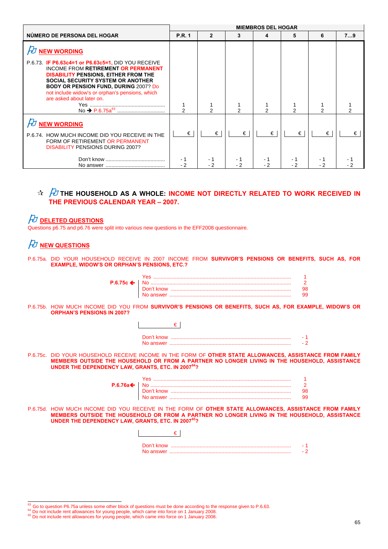|                                                                                                                                                                                                                                                                                                                                   | <b>MIEMBROS DEL HOGAR</b> |             |             |             |            |   |    |
|-----------------------------------------------------------------------------------------------------------------------------------------------------------------------------------------------------------------------------------------------------------------------------------------------------------------------------------|---------------------------|-------------|-------------|-------------|------------|---|----|
| NÚMERO DE PERSONA DEL HOGAR                                                                                                                                                                                                                                                                                                       | <b>P.R. 1</b>             | 2           | 3           | 4           | 5          | 6 | 79 |
| $H$ NEW WORDING                                                                                                                                                                                                                                                                                                                   |                           |             |             |             |            |   |    |
| P.6.73 <b>IF P6.63c4=1 or P6.63c5=1, DID YOU RECEIVE</b><br><b>INCOME FROM RETIREMENT OR PERMANENT</b><br><b>DISABILITY PENSIONS, EITHER FROM THE</b><br><b>SOCIAL SECURITY SYSTEM OR ANOTHER</b><br><b>BODY OR PENSION FUND, DURING 2007? Do</b><br>not include widow's or orphan's pensions, which<br>are asked about later on. | $\mathcal{P}$             | 2           | 2           | 2           | 2          | 2 |    |
| $H$ NEW WORDING                                                                                                                                                                                                                                                                                                                   |                           |             |             |             |            |   |    |
| P.6.74. HOW MUCH INCOME DID YOU RECEIVE IN THE<br>FORM OF RETIREMENT OR PERMANENT<br><b>DISABILITY PENSIONS DURING 2007?</b>                                                                                                                                                                                                      | €                         | €           | €           | €           | €          | € | €  |
|                                                                                                                                                                                                                                                                                                                                   | $-2$                      | - 1<br>$-2$ | - 1<br>$-2$ | - 1<br>$-2$ | - 1<br>- 2 |   |    |

## $\frac{1}{N}$   $\frac{1}{N}$  the household as a whole: income not directly related to work received in **THE PREVIOUS CALENDAR YEAR – 2007.**

## **DELETED QUESTIONS**

Questions p6.75 and p6.76 were split into various new questions in the EFF2008 questionnaire.

## *FU* NEW QUESTIONS

P.6.75a. DID YOUR HOUSEHOLD RECEIVE IN 2007 INCOME FROM **SURVIVOR'S PENSIONS OR BENEFITS, SUCH AS, FOR EXAMPLE, WIDOW'S OR ORPHAN'S PENSIONS, ETC.?**

P.6.75b. HOW MUCH INCOME DID YOU FROM **SURVIVOR'S PENSIONS OR BENEFITS, SUCH AS, FOR EXAMPLE, WIDOW'S OR ORPHAN'S PENSIONS IN 2007?**

| UNDER THE DEPENDENCY LAW, GRANTS, ETC. IN 2007 <sup>64</sup> ? | P.6.75c. DID YOUR HOUSEHOLD RECEIVE INCOME IN THE FORM OF <b>OTHER STATE ALLOWANCES, ASSISTANCE FROM FAMILY</b><br>MEMBERS OUTSIDE THE HOUSEHOLD OR FROM A PARTNER NO LONGER LIVING IN THE HOUSEHOLD, ASSISTANCE |    |
|----------------------------------------------------------------|------------------------------------------------------------------------------------------------------------------------------------------------------------------------------------------------------------------|----|
|                                                                |                                                                                                                                                                                                                  |    |
|                                                                |                                                                                                                                                                                                                  |    |
|                                                                |                                                                                                                                                                                                                  | 98 |
|                                                                |                                                                                                                                                                                                                  | 99 |
| <b>UNDER THE DEPENDENCY LAW, GRANTS, ETC. IN 200765?</b>       | P.6.75d. HOW MUCH INCOME DID YOU RECEIVE IN THE FORM OF OTHER STATE ALLOWANCES, ASSISTANCE FROM FAMILY<br>MEMBERS OUTSIDE THE HOUSEHOLD OR FROM A PARTNER NO LONGER LIVING IN THE HOUSEHOLD, ASSISTANCE          |    |
|                                                                |                                                                                                                                                                                                                  |    |
|                                                                |                                                                                                                                                                                                                  |    |
|                                                                |                                                                                                                                                                                                                  |    |

<sup>&</sup>lt;sup>63</sup> Go to question P6.75a unless some other block of questions must be done according to the response given to P.6.63.

<sup>&</sup>lt;sup>64</sup> Do not include rent allowances for young people, which came into force on 1 January 2008.<br><sup>64</sup> Do not include rent allowances for young people, which came into force on 1 January 2008.<br><sup>65</sup> Do not include rent allowan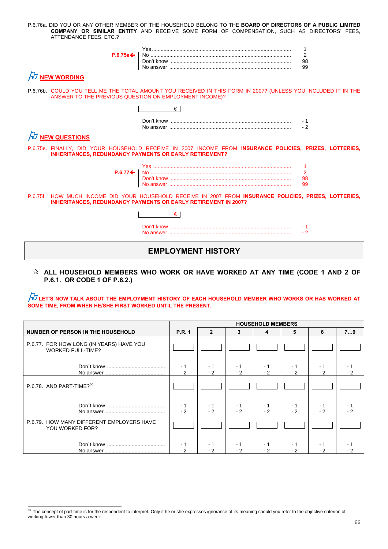P.6.76a. DID YOU OR ANY OTHER MEMBER OF THE HOUSEHOLD BELONG TO THE **BOARD OF DIRECTORS OF A PUBLIC LIMITED COMPANY OR SIMILAR ENTITY** AND RECEIVE SOME FORM OF COMPENSATION, SUCH AS DIRECTORS' FEES, ATTENDANCE FEES, ETC.?

| $P.6.75e \leftarrow$ |  |  |
|----------------------|--|--|
|----------------------|--|--|

## *A* NEW WORDING

P.6.76b. COULD YOU TELL ME THE TOTAL AMOUNT YOU RECEIVED IN THIS FORM IN 2007? (UNLESS YOU INCLUDED IT IN THE ANSWER TO THE PREVIOUS QUESTION ON EMPLOYMENT INCOME)?

 $\overline{a}$ 

 $\overline{1}$ 

| Don't know |  |
|------------|--|
| No answer  |  |

# $\cancel{E}$  NEW QUESTIONS

P.6.75e. FINALLY, DID YOUR HOUSEHOLD RECEIVE IN 2007 INCOME FROM **INSURANCE POLICIES, PRIZES, LOTTERIES, INHERITANCES, REDUNDANCY PAYMENTS OR EARLY RETIREMENT?**

| P.6.77✦ │ No ……………………………………………………………………………… |  |
|---------------------------------------------|--|
|                                             |  |
|                                             |  |

P.6.75f. HOW MUCH INCOME DID YOUR HOUSEHOLD RECEIVE IN 2007 FROM **INSURANCE POLICIES, PRIZES, LOTTERIES, INHERITANCES, REDUNDANCY PAYMENTS OR EARLY RETIREMENT IN 2007?**

€

## **EMPLOYMENT HISTORY**

### **ALL HOUSEHOLD MEMBERS WHO WORK OR HAVE WORKED AT ANY TIME (CODE 1 AND 2 OF P.6.1. OR CODE 1 OF P.6.2.)**

 $\cancel{E}$  let's now talk about the employment history of each household member who works or has worked at **SOME TIME, FROM WHEN HE/SHE FIRST WORKED UNTIL THE PRESENT.** 

|                                                                      | <b>HOUSEHOLD MEMBERS</b> |              |              |              |             |             |     |
|----------------------------------------------------------------------|--------------------------|--------------|--------------|--------------|-------------|-------------|-----|
| <b>NUMBER OF PERSON IN THE HOUSEHOLD</b>                             | <b>P.R. 1</b>            | $\mathbf{2}$ | 3            | 4            | 5           | 6           | 79  |
| P.6.77. FOR HOW LONG (IN YEARS) HAVE YOU<br><b>WORKED FULL-TIME?</b> |                          |              |              |              |             |             |     |
|                                                                      | $-1$<br>$-2$             | - 1<br>$-2$  | - 1<br>$-2$  | - 1<br>$-2$  | - 1<br>$-2$ | - 1<br>$-2$ |     |
| P.6.78. AND PART-TIME? <sup>66</sup>                                 |                          |              |              |              |             |             |     |
|                                                                      | $-1$<br>$-2$             | - 1<br>$-2$  | - 1<br>$-2$  | - 1<br>$-2$  | - 1<br>$-2$ | - 1<br>$-2$ | - 2 |
| P.6.79. HOW MANY DIFFERENT EMPLOYERS HAVE<br>YOU WORKED FOR?         |                          |              |              |              |             |             |     |
|                                                                      | $-1$<br>$-2$             | - 1<br>$-2$  | $-1$<br>$-2$ | $-1$<br>$-2$ | - 1<br>$-2$ | - 1<br>- 2  |     |

<sup>&</sup>lt;sup>66</sup> The concept of part-time is for the respondent to interpret. Only if he or she expresses ignorance of its meaning should you refer to the objective criterion of working fewer than 30 hours a week.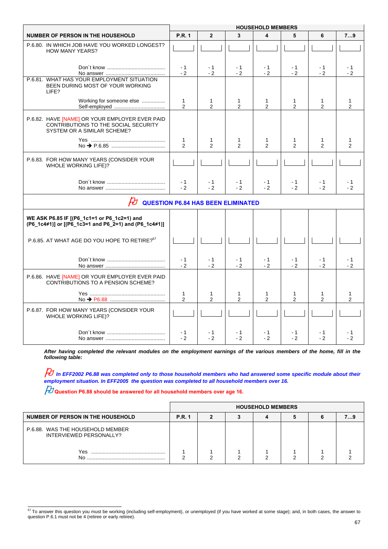|                                                                                                                       | <b>HOUSEHOLD MEMBERS</b>       |                     |                                |                               |                     |                     |                   |
|-----------------------------------------------------------------------------------------------------------------------|--------------------------------|---------------------|--------------------------------|-------------------------------|---------------------|---------------------|-------------------|
| <b>NUMBER OF PERSON IN THE HOUSEHOLD</b>                                                                              | <b>P.R. 1</b>                  | $\overline{2}$      | 3                              | 4                             | 5                   | 6                   | 79                |
| P.6.80. IN WHICH JOB HAVE YOU WORKED LONGEST?<br><b>HOW MANY YEARS?</b>                                               |                                |                     |                                |                               |                     |                     |                   |
|                                                                                                                       | $-1$<br>$-2$                   | - 1<br>$-2$         | - 1<br>$-2$                    | $-1$<br>$-2$                  | $-1$<br>$-2$        | $-1$<br>$-2$        | - 1<br>$-2$       |
| P.6.81. WHAT HAS YOUR EMPLOYMENT SITUATION<br>BEEN DURING MOST OF YOUR WORKING<br>LIFE?                               |                                |                     |                                |                               |                     |                     |                   |
| Working for someone else                                                                                              | $\mathbf{1}$<br>$\overline{2}$ | 1<br>2              | 1<br>$\overline{2}$            | 1<br>$\overline{2}$           | 1<br>$\overline{2}$ | 1<br>2              | 1<br>2            |
| P.6.82. HAVE [NAME] OR YOUR EMPLOYER EVER PAID<br>CONTRIBUTIONS TO THE SOCIAL SECURITY<br>SYSTEM OR A SIMILAR SCHEME? |                                |                     |                                |                               |                     |                     |                   |
|                                                                                                                       | $\mathbf{1}$<br>$\overline{2}$ | 1<br>2              | 1<br>2                         | 1<br>$\overline{2}$           | 1<br>$\overline{2}$ | 1<br>2              | 1<br>2            |
| P.6.83. FOR HOW MANY YEARS (CONSIDER YOUR<br>WHOLE WORKING LIFE)?                                                     |                                |                     |                                |                               |                     |                     |                   |
|                                                                                                                       | $-1$<br>$-2$                   | - 1<br>$-2$         | $-1$<br>$-2$                   | $-1$<br>$-2$                  | $-1$<br>$-2$        | $-1$<br>$-2$        | $-1$<br>$-2$      |
| $\beta$ QUESTION P6.84 HAS BEEN ELIMINATED                                                                            |                                |                     |                                |                               |                     |                     |                   |
| WE ASK P6.85 IF [(P6_1c1=1 or P6_1c2=1) and<br>(P6_1c4≠1)] or [(P6_1c3=1 and P6_2=1) and (P6_1c4≠1)]                  |                                |                     |                                |                               |                     |                     |                   |
| P.6.85. AT WHAT AGE DO YOU HOPE TO RETIRE? <sup>67</sup>                                                              |                                |                     |                                |                               |                     |                     |                   |
|                                                                                                                       | $-1$<br>$-2$                   | $-1$<br>$-2$        | - 1<br>$-2$                    | $-1$<br>$-2$                  | $-1$<br>$-2$        | $-1$<br>$-2$        | $-1$<br>$-2$      |
| P.6.86. HAVE [NAME] OR YOUR EMPLOYER EVER PAID<br><b>CONTRIBUTIONS TO A PENSION SCHEME?</b>                           |                                |                     |                                |                               |                     |                     |                   |
|                                                                                                                       | $\mathbf{1}$<br>$\overline{2}$ | 1<br>$\overline{2}$ | $\mathbf{1}$<br>$\overline{2}$ | $\mathbf{1}$<br>$\mathcal{P}$ | 1<br>$\overline{2}$ | 1<br>$\overline{2}$ | $\mathbf{1}$<br>2 |
| P.6.87. FOR HOW MANY YEARS (CONSIDER YOUR<br><b>WHOLE WORKING LIFE)?</b>                                              |                                |                     |                                |                               |                     |                     |                   |
|                                                                                                                       | - 1<br>$-2$                    | - 1<br>$-2$         | - 1<br>$-2$                    | - 1<br>$-2$                   | - 1<br>$-2$         | - 1<br>$-2$         | - 1<br>$-2$       |

*After having completed the relevant modules on the employment earnings of the various members of the home, fill in the following table:*

 *In EFF2002 P6.88 was completed only to those household members who had answered some specific module about their employment situation. In EFF2005 the question was completed to all household members over 16.*

**Question P6.88 should be answered for all household members over age 16.**

|                                                             | <b>HOUSEHOLD MEMBERS</b> |  |  |  |  |  |  |  |
|-------------------------------------------------------------|--------------------------|--|--|--|--|--|--|--|
| NUMBER OF PERSON IN THE HOUSEHOLD                           | <b>P.R. 1</b>            |  |  |  |  |  |  |  |
| P.6.88. WAS THE HOUSEHOLD MEMBER<br>INTERVIEWED PERSONALLY? |                          |  |  |  |  |  |  |  |
| Yes<br>No                                                   |                          |  |  |  |  |  |  |  |

<sup>&</sup>lt;sup>67</sup> To answer this question you must be working (including self-employment), or unemployed (if you have worked at some stage); and, in both cases, the answer to question P.6.1 must not be 4 (retiree or early retiree).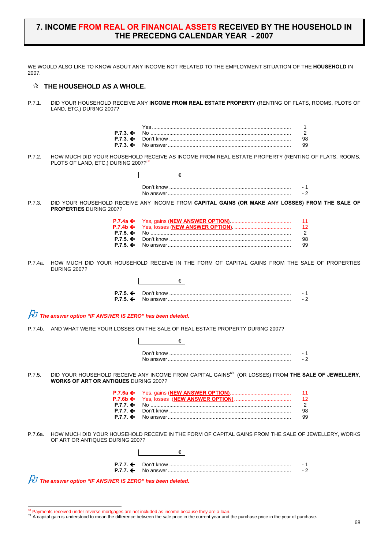### **7. INCOME FROM REAL OR FINANCIAL ASSETS RECEIVED BY THE HOUSEHOLD IN THE PRECEDNG CALENDAR YEAR - 2007**

WE WOULD ALSO LIKE TO KNOW ABOUT ANY INCOME NOT RELATED TO THE EMPLOYMENT SITUATION OF THE **HOUSEHOLD** IN 2007.

### $\hat{x}$  THE HOUSEHOLD AS A WHOLE.

P.7.1. DID YOUR HOUSEHOLD RECEIVE ANY **INCOME FROM REAL ESTATE PROPERTY** (RENTING OF FLATS, ROOMS, PLOTS OF LAND, ETC.) DURING 2007?

P.7.2. HOW MUCH DID YOUR HOUSEHOLD RECEIVE AS INCOME FROM REAL ESTATE PROPERTY (RENTING OF FLATS, ROOMS, PLOTS OF LAND, ETC.) DURING 2007?<sup>68</sup>

|         |                                                                                                         | €                                                                                                              |                           |
|---------|---------------------------------------------------------------------------------------------------------|----------------------------------------------------------------------------------------------------------------|---------------------------|
|         |                                                                                                         |                                                                                                                | - 1<br>$-2$               |
| P.7.3.  | <b>PROPERTIES DURING 2007?</b>                                                                          | DID YOUR HOUSEHOLD RECEIVE ANY INCOME FROM CAPITAL GAINS (OR MAKE ANY LOSSES) FROM THE SALE OF                 |                           |
|         | P.7.4a $\leftarrow$<br>$P.7.4b \Leftrightarrow$<br>$P.7.5. \Leftrightarrow$<br>$P.7.5.$ ←<br>$P.7.5.$ ← |                                                                                                                | 11<br>12<br>2<br>98<br>99 |
| P.7.4a. | <b>DURING 2007?</b>                                                                                     | HOW MUCH DID YOUR HOUSEHOLD RECEIVE IN THE FORM OF CAPITAL GAINS FROM THE SALE OF PROPERTIES                   |                           |
|         |                                                                                                         | €∣                                                                                                             |                           |
|         | $P.7.5.$ ←<br>$P.7.5.$ ←                                                                                |                                                                                                                | - 1<br>- 2                |
|         | $\#$ The answer option "IF ANSWER IS ZERO" has been deleted.                                            |                                                                                                                |                           |
| P.7.4b. |                                                                                                         | AND WHAT WERE YOUR LOSSES ON THE SALE OF REAL ESTATE PROPERTY DURING 2007?                                     |                           |
|         |                                                                                                         | €                                                                                                              |                           |
|         |                                                                                                         |                                                                                                                | - 1<br>- 2                |
| P.7.5.  | <b>WORKS OF ART OR ANTIQUES DURING 2007?</b>                                                            | DID YOUR HOUSEHOLD RECEIVE ANY INCOME FROM CAPITAL GAINS <sup>69</sup> (OR LOSSES) FROM THE SALE OF JEWELLERY, |                           |
|         | $P.7.6a \Leftrightarrow$                                                                                |                                                                                                                | 11                        |
|         | $P.7.6b \Leftrightarrow$<br>$P.7.7.$ ←                                                                  |                                                                                                                | 12<br>2                   |
|         | P.7.7.<br>$P.7.7 \div$                                                                                  |                                                                                                                | 98<br>99                  |
| P.7.6a. | OF ART OR ANTIQUES DURING 2007?                                                                         | HOW MUCH DID YOUR HOUSEHOLD RECEIVE IN THE FORM OF CAPITAL GAINS FROM THE SALE OF JEWELLERY. WORKS             |                           |
|         |                                                                                                         | €                                                                                                              |                           |
|         |                                                                                                         |                                                                                                                | - 1                       |
|         | $P.7.7.$ ←                                                                                              |                                                                                                                | $-2$                      |
|         | The answer option "IF ANSWER IS ZERO" has been deleted.                                                 |                                                                                                                |                           |

<sup>&</sup>lt;sup>68</sup> Payments received under reverse mortgages are not included as income because they are a loan

<sup>&</sup>lt;sup>69</sup> A capital gain is understood to mean the difference between the sale price in the current year and the purchase price in the year of purchase.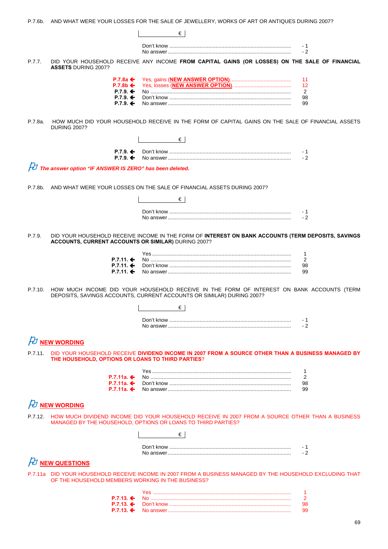|         |                                                         | P.7.6b. AND WHAT WERE YOUR LOSSES FOR THE SALE OF JEWELLERY, WORKS OF ART OR ANTIQUES DURING 2007?                                                                      |             |
|---------|---------------------------------------------------------|-------------------------------------------------------------------------------------------------------------------------------------------------------------------------|-------------|
|         |                                                         | €                                                                                                                                                                       |             |
|         |                                                         |                                                                                                                                                                         | - 1<br>- 2  |
| P.7.7.  | <b>ASSETS DURING 2007?</b>                              | DID YOUR HOUSEHOLD RECEIVE ANY INCOME FROM CAPITAL GAINS (OR LOSSES) ON THE SALE OF FINANCIAL                                                                           |             |
|         | P.7.8a $\leftarrow$                                     |                                                                                                                                                                         | 11          |
|         | $P.7.8b \Leftrightarrow$<br>$P.7.9.$ ←                  |                                                                                                                                                                         | 12<br>2     |
|         | $P.7.9 \div$<br>$P.7.9. \Leftrightarrow$                |                                                                                                                                                                         | 98<br>99    |
|         |                                                         |                                                                                                                                                                         |             |
| P.7.8a. | <b>DURING 2007?</b>                                     | HOW MUCH DID YOUR HOUSEHOLD RECEIVE IN THE FORM OF CAPITAL GAINS ON THE SALE OF FINANCIAL ASSETS                                                                        |             |
|         |                                                         | €∣                                                                                                                                                                      |             |
|         | $P.7.9 \div$<br>$P.7.9.$ ←                              |                                                                                                                                                                         | - 1<br>$-2$ |
|         | The answer option "IF ANSWER IS ZERO" has been deleted. |                                                                                                                                                                         |             |
|         |                                                         |                                                                                                                                                                         |             |
| P.7.8b. |                                                         | AND WHAT WERE YOUR LOSSES ON THE SALE OF FINANCIAL ASSETS DURING 2007?                                                                                                  |             |
|         |                                                         | €∣                                                                                                                                                                      |             |
|         |                                                         |                                                                                                                                                                         | - 1<br>$-2$ |
|         |                                                         |                                                                                                                                                                         |             |
| P.7.9.  | ACCOUNTS, CURRENT ACCOUNTS OR SIMILAR) DURING 2007?     | DID YOUR HOUSEHOLD RECEIVE INCOME IN THE FORM OF INTEREST ON BANK ACCOUNTS (TERM DEPOSITS, SAVINGS                                                                      |             |
|         |                                                         |                                                                                                                                                                         | 1           |
|         | $P.7.11. \Leftrightarrow$<br>P.7.11. ←                  |                                                                                                                                                                         | 2<br>98     |
|         | $P.7.11.$ ←                                             |                                                                                                                                                                         | 99          |
| P.7.10. |                                                         | HOW MUCH INCOME DID YOUR HOUSEHOLD RECEIVE IN THE FORM OF INTEREST ON BANK ACCOUNTS (TERM<br>DEPOSITS, SAVINGS ACCOUNTS, CURRENT ACCOUNTS OR SIMILAR) DURING 2007?<br>€ | - 1         |
|         |                                                         |                                                                                                                                                                         | $-2$        |
|         | $\n  D$ NEW WORDING                                     |                                                                                                                                                                         |             |
| P.7.11. | THE HOUSEHOLD, OPTIONS OR LOANS TO THIRD PARTIES?       | DID YOUR HOUSEHOLD RECEIVE DIVIDEND INCOME IN 2007 FROM A SOURCE OTHER THAN A BUSINESS MANAGED BY                                                                       |             |
|         | P.7.11a. $\bigoplus$                                    |                                                                                                                                                                         | 1<br>2      |
|         | P.7.11a. ←                                              |                                                                                                                                                                         | 98          |
|         | $P.7.11a.$ ←                                            |                                                                                                                                                                         | 99          |
|         | $\cancel{E}$ NEW WORDING                                |                                                                                                                                                                         |             |
| P.7.12. |                                                         | HOW MUCH DIVIDEND INCOME DID YOUR HOUSEHOLD RECEIVE IN 2007 FROM A SOURCE OTHER THAN A BUSINESS<br>MANAGED BY THE HOUSEHOLD, OPTIONS OR LOANS TO THIRD PARTIES?         |             |
|         |                                                         | €                                                                                                                                                                       |             |
|         |                                                         |                                                                                                                                                                         | - 1<br>$-2$ |
|         | FU NEW QUESTIONS                                        |                                                                                                                                                                         |             |
|         |                                                         |                                                                                                                                                                         |             |
|         | OF THE HOUSEHOLD MEMBERS WORKING IN THE BUSINESS?       | P.7.11a DID YOUR HOUSEHOLD RECEIVE INCOME IN 2007 FROM A BUSINESS MANAGED BY THE HOUSEHOLD EXCLUDING THAT                                                               |             |
|         |                                                         |                                                                                                                                                                         | 1           |
|         | $P.7.13.$ ←<br>$P.7.13.$ ←                              |                                                                                                                                                                         | 2<br>98     |
|         | P.7.13. ←                                               |                                                                                                                                                                         | 99          |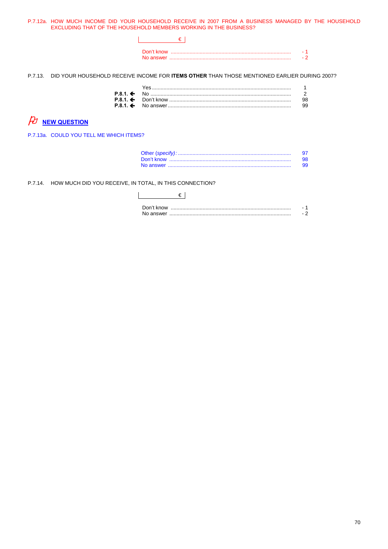P.7.12a. HOW MUCH INCOME DID YOUR HOUSEHOLD RECEIVE IN 2007 FROM A BUSINESS MANAGED BY THE HOUSEHOLD EXCLUDING THAT OF THE HOUSEHOLD MEMBERS WORKING IN THE BUSINESS?

P.7.13. DID YOUR HOUSEHOLD RECEIVE INCOME FOR ITEMS OTHER THAN THOSE MENTIONED EARLIER DURING 2007?

|  | 99 |
|--|----|
|  |    |

# $\n *D*$  **NEW QUESTION**

P.7.13a. COULD YOU TELL ME WHICH ITEMS?

| 98. |
|-----|
| 99. |

P.7.14. HOW MUCH DID YOU RECEIVE, IN TOTAL, IN THIS CONNECTION?

| Don't know |  |
|------------|--|
|            |  |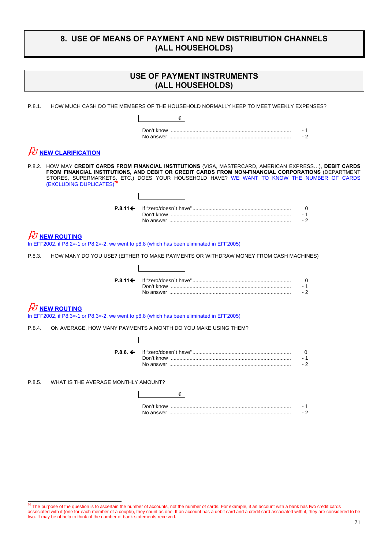## **8. USE OF MEANS OF PAYMENT AND NEW DISTRIBUTION CHANNELS (ALL HOUSEHOLDS)**

|                                                                                                                 | USE OF PAYMENT INSTRUMENTS<br>(ALL HOUSEHOLDS)                                                                                                                                                                                                                                                               |                  |
|-----------------------------------------------------------------------------------------------------------------|--------------------------------------------------------------------------------------------------------------------------------------------------------------------------------------------------------------------------------------------------------------------------------------------------------------|------------------|
| P.8.1.                                                                                                          | HOW MUCH CASH DO THE MEMBERS OF THE HOUSEHOLD NORMALLY KEEP TO MEET WEEKLY EXPENSES?                                                                                                                                                                                                                         |                  |
|                                                                                                                 | $\epsilon$                                                                                                                                                                                                                                                                                                   |                  |
|                                                                                                                 |                                                                                                                                                                                                                                                                                                              | - 1<br>$-2$      |
| <b>NEW CLARIFICATION</b>                                                                                        |                                                                                                                                                                                                                                                                                                              |                  |
| (EXCLUDING DUPLICATES) <sup>7</sup>                                                                             | P.8.2. HOW MAY CREDIT CARDS FROM FINANCIAL INSTITUTIONS (VISA, MASTERCARD, AMERICAN EXPRESS), DEBIT CARDS<br>FROM FINANCIAL INSTITUTIONS, AND DEBIT OR CREDIT CARDS FROM NON-FINANCIAL CORPORATIONS (DEPARTMENT<br>STORES, SUPERMARKETS, ETC.) DOES YOUR HOUSEHOLD HAVE? WE WANT TO KNOW THE NUMBER OF CARDS |                  |
|                                                                                                                 |                                                                                                                                                                                                                                                                                                              |                  |
| $P.8.11 \Leftrightarrow$                                                                                        |                                                                                                                                                                                                                                                                                                              | 0<br>- 1<br>$-2$ |
| <b>NEW ROUTING</b><br>In EFF2002, if P8.2=-1 or P8.2=-2, we went to p8.8 (which has been eliminated in EFF2005) |                                                                                                                                                                                                                                                                                                              |                  |
| P.8.3.                                                                                                          | HOW MANY DO YOU USE? (EITHER TO MAKE PAYMENTS OR WITHDRAW MONEY FROM CASH MACHINES)                                                                                                                                                                                                                          |                  |
|                                                                                                                 |                                                                                                                                                                                                                                                                                                              |                  |
| $P.8.11 \Leftrightarrow$                                                                                        |                                                                                                                                                                                                                                                                                                              | 0<br>- 1<br>$-2$ |
| <b>NEW ROUTING</b><br>In EFF2002, if P8.3=-1 or P8.3=-2, we went to p8.8 (which has been eliminated in EFF2005) |                                                                                                                                                                                                                                                                                                              |                  |
| P.8.4.                                                                                                          | ON AVERAGE, HOW MANY PAYMENTS A MONTH DO YOU MAKE USING THEM?                                                                                                                                                                                                                                                |                  |
|                                                                                                                 |                                                                                                                                                                                                                                                                                                              |                  |
|                                                                                                                 |                                                                                                                                                                                                                                                                                                              | 0<br>- 1<br>- 2  |
| P.8.5.<br>WHAT IS THE AVERAGE MONTHLY AMOUNT?                                                                   |                                                                                                                                                                                                                                                                                                              |                  |
|                                                                                                                 | €∣                                                                                                                                                                                                                                                                                                           |                  |
|                                                                                                                 |                                                                                                                                                                                                                                                                                                              | - 1<br>$-2$      |
|                                                                                                                 |                                                                                                                                                                                                                                                                                                              |                  |

 $\overline{r}$  The purpose of the question is to ascertain the number of accounts, not the number of cards. For example, if an account with a bank has two credit cards associated with it (one for each member of a couple), they count as one. If an account has a debit card and a credit card associated with it, they are considered to be two. It may be of help to think of the number of bank statements received.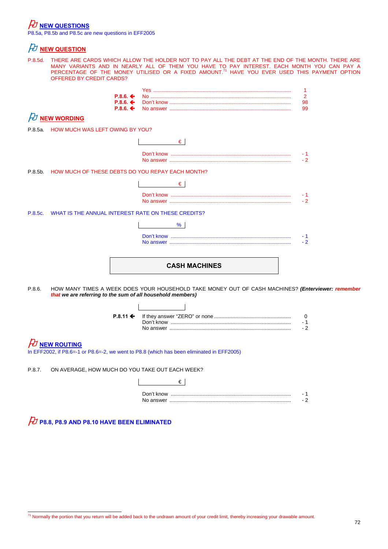## $\cancel{E}$  <u>NEW QUESTIONS</u>

P8.5a, P8.5b and P8.5c are new questions in EFF2005

## $\n *D*$  NEW QUESTION

P.8.5d. THERE ARE CARDS WHICH ALLOW THE HOLDER NOT TO PAY ALL THE DEBT AT THE END OF THE MONTH. THERE ARE MANY VARIANTS AND IN NEARLY ALL OF THEM YOU HAVE TO PAY INTEREST. EACH MONTH YOU CAN PAY A<br>PERCENTAGE OF THE MONEY UTILISED OR A FIXED AMOUNT.<sup>71</sup> HAVE YOU EVER USED THIS PAYMENT OPTION OFFERED BY CREDIT CARDS?

| $P.8.6.$ $\leftarrow$ No $\ldots$ No $\ldots$ No $\ldots$ $\ldots$ $\ldots$ $\ldots$ $\ldots$ $\ldots$ $\ldots$ $\ldots$ $\ldots$ $\ldots$ $\ldots$ $\ldots$ $\ldots$ |  |
|-----------------------------------------------------------------------------------------------------------------------------------------------------------------------|--|
|                                                                                                                                                                       |  |
|                                                                                                                                                                       |  |

## $\not\!\!\! D$  NEW WORDING

P.8.5a. HOW MUCH WAS LEFT OWING BY YOU?

|         | P.8.5a. HOW MUCH WAS LEFT OWING BY YOU?                                                                                                                         |
|---------|-----------------------------------------------------------------------------------------------------------------------------------------------------------------|
|         | €                                                                                                                                                               |
|         | - 1<br>$-2$                                                                                                                                                     |
|         | P.8.5b. HOW MUCH OF THESE DEBTS DO YOU REPAY EACH MONTH?                                                                                                        |
|         | €                                                                                                                                                               |
|         | - 1<br>- 2                                                                                                                                                      |
| P.8.5c. | WHAT IS THE ANNUAL INTEREST RATE ON THESE CREDITS?                                                                                                              |
|         | %                                                                                                                                                               |
|         | - 1<br>$-2$                                                                                                                                                     |
|         | <b>CASH MACHINES</b>                                                                                                                                            |
| P.8.6.  | HOW MANY TIMES A WEEK DOES YOUR HOUSEHOLD TAKE MONEY OUT OF CASH MACHINES? (Enterviewer: remember<br>that we are referring to the sum of all household members) |
|         | $P.8.11 \div$<br>0<br>- 1                                                                                                                                       |
|         | $-2$                                                                                                                                                            |

### **NEW ROUTING**

In EFF2002, if P8.6=-1 or P8.6=-2, we went to P8.8 (which has been eliminated in EFF2005)

P.8.7. ON AVERAGE, HOW MUCH DO YOU TAKE OUT EACH WEEK?

| Don't know |  |
|------------|--|
| No answer  |  |



 $171$  Normally the portion that you return will be added back to the undrawn amount of your credit limit, thereby increasing your drawable amount.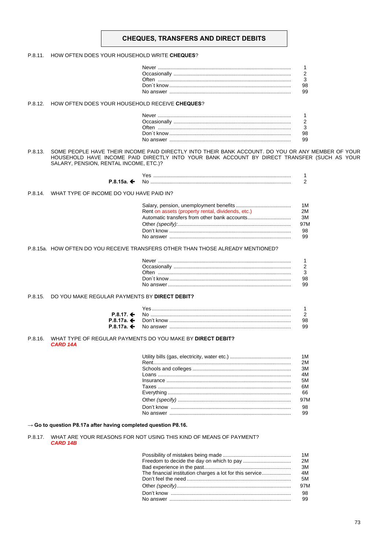### **CHEQUES, TRANSFERS AND DIRECT DEBITS**

#### P.8.11. HOW OFTEN DOES YOUR HOUSEHOLD WRITE CHEQUES?

| 98 |
|----|
| 99 |

#### P.8.12. HOW OFTEN DOES YOUR HOUSEHOLD RECEIVE CHEQUES?

| 98 |
|----|
|    |

#### P.8.13. SOME PEOPLE HAVE THEIR INCOME PAID DIRECTLY INTO THEIR BANK ACCOUNT. DO YOU OR ANY MEMBER OF YOUR HOUSEHOLD HAVE INCOME PAID DIRECTLY INTO YOUR BANK ACCOUNT BY DIRECT TRANSFER (SUCH AS YOUR SALARY, PENSION, RENTAL INCOME, ETC.)?

#### P.8.14. WHAT TYPE OF INCOME DO YOU HAVE PAID IN?

|                                                   | 1M  |
|---------------------------------------------------|-----|
| Rent on assets (property rental, dividends, etc.) | 2M  |
|                                                   | 3M  |
|                                                   | 97M |
|                                                   | 98. |
|                                                   | 99  |

#### P.8.15a. HOW OFTEN DO YOU RECEIVE TRANSFERS OTHER THAN THOSE ALREADY MENTIONED?

| 98 |
|----|
| 99 |
|    |

#### P.8.15. DO YOU MAKE REGULAR PAYMENTS BY DIRECT DEBIT?

| $P.8.17.$ $\leftarrow$ No $\ldots$ No $\ldots$ No $\ldots$ $\ldots$ $\ldots$ $\ldots$ $\ldots$ $\ldots$ $\ldots$ $\ldots$ $\ldots$ $\ldots$ $\ldots$ $\ldots$ $\ldots$ |    |
|------------------------------------------------------------------------------------------------------------------------------------------------------------------------|----|
|                                                                                                                                                                        | 98 |
|                                                                                                                                                                        | 99 |

#### P.8.16. WHAT TYPE OF REGULAR PAYMENTS DO YOU MAKE BY DIRECT DEBIT? CARD 14A

| 1M  |
|-----|
| 2M  |
| 3M  |
| 4M  |
| 5M  |
| 6M  |
| 66  |
| 97M |
|     |
| 99  |
|     |

#### $\rightarrow$  Go to question P8.17a after having completed question P8.16.

#### P.8.17. WHAT ARE YOUR REASONS FOR NOT USING THIS KIND OF MEANS OF PAYMENT? **CARD 14B**

|                                                          | 1 M |
|----------------------------------------------------------|-----|
|                                                          | 2M  |
|                                                          | 3M  |
| The financial institution charges a lot for this service | 4M  |
|                                                          | 5M  |
|                                                          | 97M |
|                                                          | 98  |
|                                                          | 99  |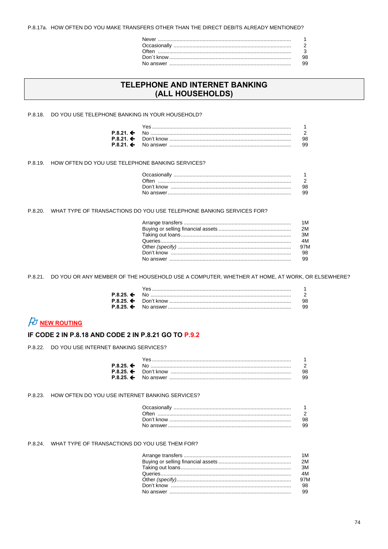P.8.17a. HOW OFTEN DO YOU MAKE TRANSFERS OTHER THAN THE DIRECT DEBITS ALREADY MENTIONED?

| 98 |
|----|
| 99 |

## TELEPHONE AND INTERNET BANKING (ALL HOUSEHOLDS)

P.8.18. DO YOU USE TELEPHONE BANKING IN YOUR HOUSEHOLD?

| Yes……………………………………………………………………………………… |    |
|--------------------------------------|----|
|                                      |    |
|                                      | 98 |
|                                      | 99 |

P.8.19. HOW OFTEN DO YOU USE TELEPHONE BANKING SERVICES?

| 2    |
|------|
| 98   |
| - 99 |

### P.8.20. WHAT TYPE OF TRANSACTIONS DO YOU USE TELEPHONE BANKING SERVICES FOR?

P.8.21. DO YOU OR ANY MEMBER OF THE HOUSEHOLD USE A COMPUTER, WHETHER AT HOME, AT WORK, OR ELSEWHERE?

| P.8.25. ← No ………………………………………………………………………………… |     |
|----------------------------------------------|-----|
|                                              | 98. |
|                                              | 99  |

# $\cancel{E}$  NEW ROUTING

### IF CODE 2 IN P.8.18 AND CODE 2 IN P.8.21 GO TO P.9.2

P.8.22. DO YOU USE INTERNET BANKING SERVICES?

| $P.8.25.$ $\leftarrow$ No $\ldots$ No $\ldots$ No $\ldots$ $\ldots$ $\ldots$ $\ldots$ $\ldots$ $\ldots$ $\ldots$ $\ldots$ $\ldots$ $\ldots$ $\ldots$ $\ldots$ $\ldots$ |    |
|------------------------------------------------------------------------------------------------------------------------------------------------------------------------|----|
|                                                                                                                                                                        |    |
|                                                                                                                                                                        | 99 |

#### P.8.23. HOW OFTEN DO YOU USE INTERNET BANKING SERVICES?

| 99 |
|----|

P.8.24. WHAT TYPE OF TRANSACTIONS DO YOU USE THEM FOR?

| 1M  |
|-----|
|     |
| 3M  |
| 4M  |
| 97M |
|     |
|     |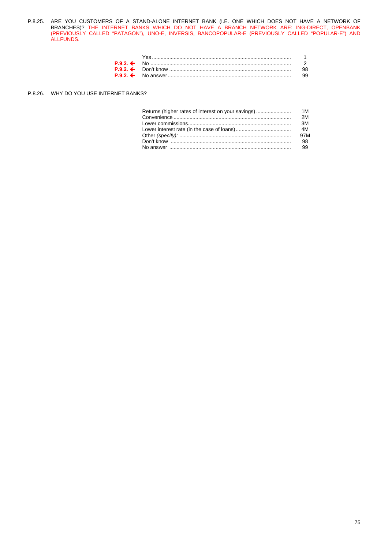P.8.25. ARE YOU CUSTOMERS OF A STAND-ALONE INTERNET BANK (I.E. ONE WHICH DOES NOT HAVE A NETWORK OF BRANCHES)? THE INTERNET BANKS WHICH DO NOT HAVE A BRANCH NETWORK ARE: ING-DIRECT, OPENBANK (PREVIOUSLY CALLED "PATAGON"), UNO-E, INVERSIS, BANCOPOPULAR-E (PREVIOUSLY CALLED "POPULAR-E") AND ALLFUNDS.

| Yes |  |
|-----|--|
|     |  |
|     |  |
|     |  |

#### P.8.26. WHY DO YOU USE INTERNET BANKS?

| Returns (higher rates of interest on your savings) | 1M  |
|----------------------------------------------------|-----|
|                                                    | 2M  |
|                                                    | 3M  |
|                                                    |     |
|                                                    | 97M |
|                                                    | 98  |
|                                                    | 99  |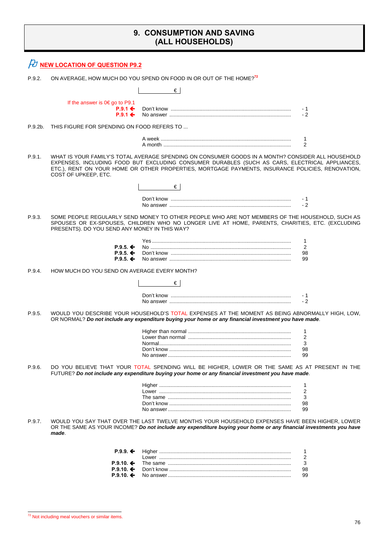## **9. CONSUMPTION AND SAVING (ALL HOUSEHOLDS)**

|         | <b>NEW LOCATION OF QUESTION P9.2</b>               |                                                                                                                                                                                                                                                                                                         |             |
|---------|----------------------------------------------------|---------------------------------------------------------------------------------------------------------------------------------------------------------------------------------------------------------------------------------------------------------------------------------------------------------|-------------|
| P.9.2.  |                                                    | ON AVERAGE, HOW MUCH DO YOU SPEND ON FOOD IN OR OUT OF THE HOME? <sup>72</sup>                                                                                                                                                                                                                          |             |
|         |                                                    | €                                                                                                                                                                                                                                                                                                       |             |
|         | If the answer is $0 \in \text{go}$ to P9.1         |                                                                                                                                                                                                                                                                                                         |             |
|         | $P.9.1 \Leftrightarrow$<br>$P.9.1 \Leftrightarrow$ |                                                                                                                                                                                                                                                                                                         | - 1<br>$-2$ |
| P.9.2b. | THIS FIGURE FOR SPENDING ON FOOD REFERS TO         |                                                                                                                                                                                                                                                                                                         |             |
|         |                                                    |                                                                                                                                                                                                                                                                                                         | 1           |
|         |                                                    |                                                                                                                                                                                                                                                                                                         | 2           |
| P.9.1.  | COST OF UPKEEP, ETC.                               | WHAT IS YOUR FAMILY'S TOTAL AVERAGE SPENDING ON CONSUMER GOODS IN A MONTH? CONSIDER ALL HOUSEHOLD<br>EXPENSES, INCLUDING FOOD BUT EXCLUDING CONSUMER DURABLES (SUCH AS CARS, ELECTRICAL APPLIANCES,<br>ETC.), RENT ON YOUR HOME OR OTHER PROPERTIES, MORTGAGE PAYMENTS, INSURANCE POLICIES, RENOVATION, |             |
|         |                                                    | €∣                                                                                                                                                                                                                                                                                                      |             |
|         |                                                    |                                                                                                                                                                                                                                                                                                         | - 1<br>$-2$ |
| P.9.3.  | PRESENTS). DO YOU SEND ANY MONEY IN THIS WAY?      | SOME PEOPLE REGULARLY SEND MONEY TO OTHER PEOPLE WHO ARE NOT MEMBERS OF THE HOUSEHOLD. SUCH AS<br>SPOUSES OR EX-SPOUSES, CHILDREN WHO NO LONGER LIVE AT HOME, PARENTS, CHARITIES, ETC. (EXCLUDING                                                                                                       |             |
|         |                                                    |                                                                                                                                                                                                                                                                                                         | 1           |
|         | $P.9.5 \div$<br>$P.9.5 \leftarrow$                 |                                                                                                                                                                                                                                                                                                         | 2<br>98     |
|         | $P.9.5.$ ←                                         |                                                                                                                                                                                                                                                                                                         | 99          |
| P.9.4.  | HOW MUCH DO YOU SEND ON AVERAGE EVERY MONTH?       |                                                                                                                                                                                                                                                                                                         |             |
|         |                                                    | €∣                                                                                                                                                                                                                                                                                                      |             |
|         |                                                    |                                                                                                                                                                                                                                                                                                         | - 1<br>$-2$ |
| P.9.5.  |                                                    | WOULD YOU DESCRIBE YOUR HOUSEHOLD'S TOTAL EXPENSES AT THE MOMENT AS BEING ABNORMALLY HIGH, LOW,<br>OR NORMAL? Do not include any expenditure buying your home or any financial investment you have made.                                                                                                |             |
|         |                                                    |                                                                                                                                                                                                                                                                                                         | 1<br>2      |
|         |                                                    |                                                                                                                                                                                                                                                                                                         | 3           |
|         |                                                    |                                                                                                                                                                                                                                                                                                         | 98<br>99    |
| P.9.6.  |                                                    | DO YOU BELIEVE THAT YOUR TOTAL SPENDING WILL BE HIGHER, LOWER OR THE SAME AS AT PRESENT IN THE<br>FUTURE? Do not include any expenditure buying your home or any financial investment you have made.                                                                                                    |             |
|         |                                                    |                                                                                                                                                                                                                                                                                                         | 1           |
|         |                                                    |                                                                                                                                                                                                                                                                                                         | 2<br>3      |
|         |                                                    |                                                                                                                                                                                                                                                                                                         | 98          |
|         |                                                    |                                                                                                                                                                                                                                                                                                         | 99          |
| P.9.7.  | made.                                              | WOULD YOU SAY THAT OVER THE LAST TWELVE MONTHS YOUR HOUSEHOLD EXPENSES HAVE BEEN HIGHER. LOWER<br>OR THE SAME AS YOUR INCOME? Do not include any expenditure buying your home or any financial investments you have                                                                                     |             |
|         | $P.9.9.$ ←                                         |                                                                                                                                                                                                                                                                                                         | 1           |
|         |                                                    |                                                                                                                                                                                                                                                                                                         | 2           |
|         | $P.9.10 \div$<br>$P.9.10 \div$                     |                                                                                                                                                                                                                                                                                                         | 3<br>98     |
|         | $P.9.10.$ ←                                        |                                                                                                                                                                                                                                                                                                         | 99          |
|         |                                                    |                                                                                                                                                                                                                                                                                                         |             |

 $72$  Not including meal vouchers or similar items.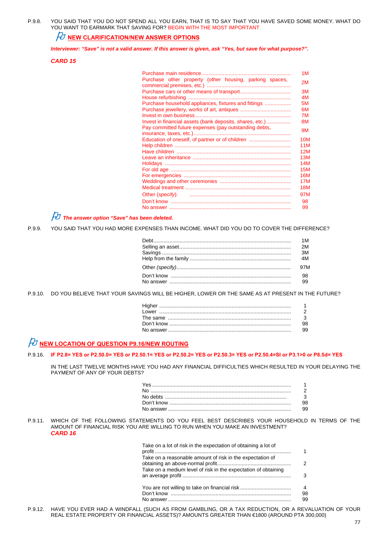P.9.8. YOU SAID THAT YOU DO NOT SPEND ALL YOU EARN, THAT IS TO SAY THAT YOU HAVE SAVED SOME MONEY. WHAT DO YOU WANT TO EARMARK THAT SAVING FOR? BEGIN WITH THE MOST IMPORTANT.

## *NU* NEW CLARIFICATION/NEW ANSWER OPTIONS

*Interviewer: "Save" is not a valid answer. If this answer is given, ask "Yes, but save for what purpose?".* 

#### *CARD 15*

|                                                          | 1M         |
|----------------------------------------------------------|------------|
| Purchase other property (other housing, parking spaces,  | 2M         |
|                                                          |            |
|                                                          | 3M         |
|                                                          | 4M         |
| Purchase household appliances, fixtures and fittings     | 5M         |
|                                                          | 6M         |
|                                                          | 7M         |
| Invest in financial assets (bank deposits, shares, etc.) | 8M         |
| Pay committed future expenses (pay outstanding debts,    | 9M         |
|                                                          |            |
| Education of oneself, of partner or of children          | <b>10M</b> |
|                                                          | 11M        |
|                                                          | 12M        |
|                                                          | 13M        |
|                                                          | 14M        |
|                                                          | <b>15M</b> |
|                                                          | 16M        |
|                                                          | 17M        |
|                                                          | 18M        |
|                                                          | 97M        |
|                                                          | 98         |
|                                                          | 99         |

*The answer option "Save" has been deleted.*

P.9.9. YOU SAID THAT YOU HAD MORE EXPENSES THAN INCOME. WHAT DID YOU DO TO COVER THE DIFFERENCE?

P.9.10. DO YOU BELIEVE THAT YOUR SAVINGS WILL BE HIGHER, LOWER OR THE SAME AS AT PRESENT IN THE FUTURE?

| 99. |
|-----|

## **NEW LOCATION OF QUESTION P9.16/NEW ROUTING**

#### P.9.16. **IF P2.8= YES or P2.50.0= YES or P2.50.1= YES or P2.50.2= YES or P2.50.3= YES or P2.50.4=SI or P3.1>0 or P8.5d= YES**

 IN THE LAST TWELVE MONTHS HAVE YOU HAD ANY FINANCIAL DIFFICULTIES WHICH RESULTED IN YOUR DELAYING THE PAYMENT OF ANY OF YOUR DEBTS?

| 98. |
|-----|
| 99. |

#### P.9.11. WHICH OF THE FOLLOWING STATEMENTS DO YOU FEEL BEST DESCRIBES YOUR HOUSEHOLD IN TERMS OF THE AMOUNT OF FINANCIAL RISK YOU ARE WILLING TO RUN WHEN YOU MAKE AN INVESTMENT? *CARD 16*

| Take on a lot of risk in the expectation of obtaining a lot of                                                              |         |
|-----------------------------------------------------------------------------------------------------------------------------|---------|
| Take on a reasonable amount of risk in the expectation of<br>Take on a medium level of risk in the expectation of obtaining | 2       |
|                                                                                                                             | 3       |
| You are not willing to take on financial risk                                                                               | 4<br>98 |
|                                                                                                                             | 99      |

P.9.12. HAVE YOU EVER HAD A WINDFALL (SUCH AS FROM GAMBLING, OR A TAX REDUCTION, OR A REVALUATION OF YOUR REAL ESTATE PROPERTY OR FINANCIAL ASSETS)? AMOUNTS GREATER THAN €1800 (AROUND PTA 300,000)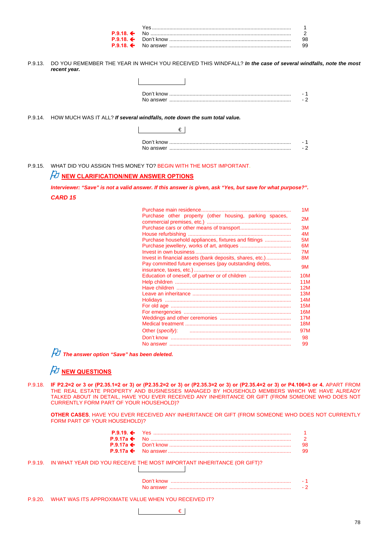| <b>P.9.18. ←</b> No ………………………………………………………………………………… |     |
|-----------------------------------------------------|-----|
|                                                     | 98. |
|                                                     | 99. |

P.9.13. DO YOU REMEMBER THE YEAR IN WHICH YOU RECEIVED THIS WINDFALL? *In the case of several windfalls, note the most recent year.* 

| Don't know |  |
|------------|--|
| No answer  |  |

P.9.14. HOW MUCH WAS IT ALL? *If several windfalls, note down the sum total value.*

 $\mathbf{r}$ 

P.9.15. WHAT DID YOU ASSIGN THIS MONEY TO? BEGIN WITH THE MOST IMPORTANT.

## *FU* NEW CLARIFICATION/NEW ANSWER OPTIONS

*Interviewer: "Save" is not a valid answer. If this answer is given, ask "Yes, but save for what purpose?". CARD 15*

|                                                          | 1M         |
|----------------------------------------------------------|------------|
| Purchase other property (other housing, parking spaces,  | 2M         |
|                                                          | 3M         |
|                                                          | 4M         |
| Purchase household appliances, fixtures and fittings     | 5M         |
|                                                          | 6M         |
|                                                          | 7M         |
| Invest in financial assets (bank deposits, shares, etc.) | 8M         |
| Pay committed future expenses (pay outstanding debts,    |            |
|                                                          | 9M         |
| Education of oneself, of partner or of children          | <b>10M</b> |
|                                                          | <b>11M</b> |
|                                                          | 12M        |
|                                                          | 13M        |
|                                                          | 14M        |
|                                                          | 15M        |
|                                                          | 16M        |
|                                                          | 17M        |
|                                                          | 18M        |
|                                                          |            |
|                                                          | 97M        |
|                                                          | 98         |
|                                                          | 99         |

*The answer option "Save" has been deleted.*

## $\not\!\!\! D$  new questions

P.9.18. **IF P2.2=2 or 3 or (P2.35.1=2 or 3) or (P2.35.2=2 or 3) or (P2.35.3=2 or 3) or (P2.35.4=2 or 3) or P4.106=3 or 4. APART FROM** THE REAL ESTATE PROPERTY AND BUSINESSES MANAGED BY HOUSEHOLD MEMBERS WHICH WE HAVE ALREADY TALKED ABOUT IN DETAIL, HAVE YOU EVER RECEIVED ANY INHERITANCE OR GIFT (FROM SOMEONE WHO DOES NOT CURRENTLY FORM PART OF YOUR HOUSEHOLD)?

**OTHER CASES**, HAVE YOU EVER RECEIVED ANY INHERITANCE OR GIFT (FROM SOMEONE WHO DOES NOT CURRENTLY FORM PART OF YOUR HOUSEHOLD)?

|  | 98. |
|--|-----|
|  | 99. |

P.9.19. IN WHAT YEAR DID YOU RECEIVE THE MOST IMPORTANT INHERITANCE (OR GIFT)?

P.9.20. WHAT WAS ITS APPROXIMATE VALUE WHEN YOU RECEIVED IT?

€